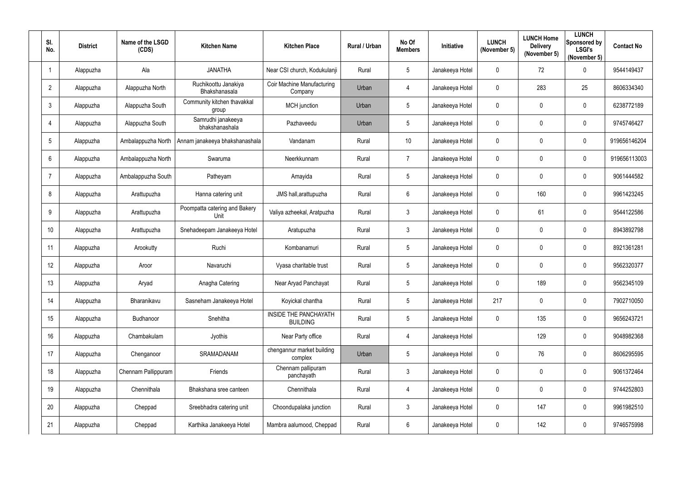| SI.<br>No.      | <b>District</b> | Name of the LSGD<br>(CDS) | <b>Kitchen Name</b>                   | <b>Kitchen Place</b>                            | Rural / Urban | No Of<br><b>Members</b> | Initiative      | <b>LUNCH</b><br>(November 5) | <b>LUNCH Home</b><br><b>Delivery</b><br>(November 5) | <b>LUNCH</b><br>Sponsored by<br><b>LSGI's</b><br>(November 5) | <b>Contact No</b> |
|-----------------|-----------------|---------------------------|---------------------------------------|-------------------------------------------------|---------------|-------------------------|-----------------|------------------------------|------------------------------------------------------|---------------------------------------------------------------|-------------------|
|                 | Alappuzha       | Ala                       | <b>JANATHA</b>                        | Near CSI church, Kodukulanji                    | Rural         | $5\overline{)}$         | Janakeeya Hotel | $\overline{0}$               | 72                                                   | $\mathbf 0$                                                   | 9544149437        |
| $\overline{2}$  | Alappuzha       | Alappuzha North           | Ruchikoottu Janakiya<br>Bhakshanasala | Coir Machine Manufacturing<br>Company           | Urban         | $\overline{4}$          | Janakeeya Hotel | $\mathbf 0$                  | 283                                                  | 25                                                            | 8606334340        |
| 3               | Alappuzha       | Alappuzha South           | Community kitchen thavakkal<br>group  | MCH junction                                    | Urban         | $5\phantom{.0}$         | Janakeeya Hotel | $\mathbf 0$                  | $\mathbf 0$                                          | $\mathbf 0$                                                   | 6238772189        |
| 4               | Alappuzha       | Alappuzha South           | Samrudhi janakeeya<br>bhakshanashala  | Pazhaveedu                                      | Urban         | $5\phantom{.0}$         | Janakeeya Hotel | $\boldsymbol{0}$             | 0                                                    | $\overline{0}$                                                | 9745746427        |
| $5\overline{)}$ | Alappuzha       | Ambalappuzha North        | Annam janakeeya bhakshanashala        | Vandanam                                        | Rural         | 10                      | Janakeeya Hotel | $\boldsymbol{0}$             | 0                                                    | $\overline{0}$                                                | 919656146204      |
| 6               | Alappuzha       | Ambalappuzha North        | Swaruma                               | Neerkkunnam                                     | Rural         | $\overline{7}$          | Janakeeya Hotel | $\overline{0}$               | 0                                                    | $\mathbf 0$                                                   | 919656113003      |
| -7              | Alappuzha       | Ambalappuzha South        | Patheyam                              | Amayida                                         | Rural         | $5\overline{)}$         | Janakeeya Hotel | $\boldsymbol{0}$             | 0                                                    | $\overline{0}$                                                | 9061444582        |
| 8               | Alappuzha       | Arattupuzha               | Hanna catering unit                   | JMS hall, arattupuzha                           | Rural         | $6\overline{6}$         | Janakeeya Hotel | $\mathbf 0$                  | 160                                                  | $\mathbf 0$                                                   | 9961423245        |
| 9               | Alappuzha       | Arattupuzha               | Poompatta catering and Bakery<br>Unit | Valiya azheekal, Aratpuzha                      | Rural         | $\mathbf{3}$            | Janakeeya Hotel | $\boldsymbol{0}$             | 61                                                   | $\mathbf 0$                                                   | 9544122586        |
| 10              | Alappuzha       | Arattupuzha               | Snehadeepam Janakeeya Hotel           | Aratupuzha                                      | Rural         | $\mathbf{3}$            | Janakeeya Hotel | $\boldsymbol{0}$             | 0                                                    | $\overline{0}$                                                | 8943892798        |
| 11              | Alappuzha       | Arookutty                 | Ruchi                                 | Kombanamuri                                     | Rural         | $5\overline{)}$         | Janakeeya Hotel | $\boldsymbol{0}$             | 0                                                    | $\overline{0}$                                                | 8921361281        |
| 12              | Alappuzha       | Aroor                     | Navaruchi                             | Vyasa charitable trust                          | Rural         | $5\overline{)}$         | Janakeeya Hotel | $\overline{0}$               | 0                                                    | $\overline{0}$                                                | 9562320377        |
| 13              | Alappuzha       | Aryad                     | Anagha Catering                       | Near Aryad Panchayat                            | Rural         | 5                       | Janakeeya Hotel | $\mathbf 0$                  | 189                                                  | 0                                                             | 9562345109        |
| 14              | Alappuzha       | Bharanikavu               | Sasneham Janakeeya Hotel              | Koyickal chantha                                | Rural         | $5\phantom{.0}$         | Janakeeya Hotel | 217                          | $\mathbf 0$                                          | $\mathbf 0$                                                   | 7902710050        |
| 15              | Alappuzha       | Budhanoor                 | Snehitha                              | <b>INSIDE THE PANCHAYATH</b><br><b>BUILDING</b> | Rural         | $5\phantom{.0}$         | Janakeeya Hotel | $\boldsymbol{0}$             | 135                                                  | $\mathbf 0$                                                   | 9656243721        |
| 16              | Alappuzha       | Chambakulam               | Jyothis                               | Near Party office                               | Rural         | $\overline{4}$          | Janakeeya Hotel |                              | 129                                                  | $\mathbf 0$                                                   | 9048982368        |
| 17              | Alappuzha       | Chenganoor                | SRAMADANAM                            | chengannur market building<br>complex           | Urban         | $5\phantom{.0}$         | Janakeeya Hotel | $\overline{0}$               | 76                                                   | $\mathbf 0$                                                   | 8606295595        |
| 18              | Alappuzha       | Chennam Pallippuram       | Friends                               | Chennam pallipuram<br>panchayath                | Rural         | $\mathbf{3}$            | Janakeeya Hotel | $\mathbf 0$                  | $\mathbf 0$                                          | $\mathbf 0$                                                   | 9061372464        |
| 19              | Alappuzha       | Chennithala               | Bhakshana sree canteen                | Chennithala                                     | Rural         | $\overline{4}$          | Janakeeya Hotel | $\pmb{0}$                    | $\mathbf 0$                                          | $\mathbf 0$                                                   | 9744252803        |
| 20              | Alappuzha       | Cheppad                   | Sreebhadra catering unit              | Choondupalaka junction                          | Rural         | $\mathbf{3}$            | Janakeeya Hotel | $\pmb{0}$                    | 147                                                  | $\mathbf 0$                                                   | 9961982510        |
| 21              | Alappuzha       | Cheppad                   | Karthika Janakeeya Hotel              | Mambra aalumood, Cheppad                        | Rural         | $6\overline{6}$         | Janakeeya Hotel | $\boldsymbol{0}$             | 142                                                  | $\pmb{0}$                                                     | 9746575998        |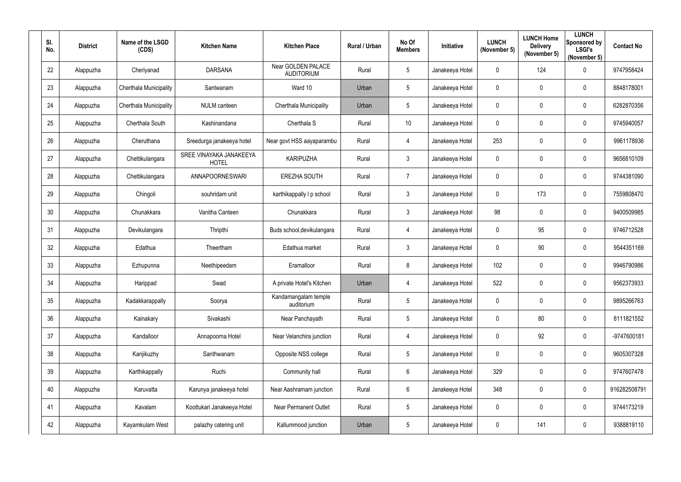| SI.<br>No. | <b>District</b> | Name of the LSGD<br>(CDS) | <b>Kitchen Name</b>                     | <b>Kitchen Place</b>                    | Rural / Urban | No Of<br><b>Members</b> | Initiative      | <b>LUNCH</b><br>(November 5) | <b>LUNCH Home</b><br><b>Delivery</b><br>(November 5) | <b>LUNCH</b><br>Sponsored by<br><b>LSGI's</b><br>(November 5) | <b>Contact No</b> |
|------------|-----------------|---------------------------|-----------------------------------------|-----------------------------------------|---------------|-------------------------|-----------------|------------------------------|------------------------------------------------------|---------------------------------------------------------------|-------------------|
| 22         | Alappuzha       | Cheriyanad                | <b>DARSANA</b>                          | Near GOLDEN PALACE<br><b>AUDITORIUM</b> | Rural         | $5\overline{)}$         | Janakeeya Hotel | $\mathbf 0$                  | 124                                                  | $\mathbf 0$                                                   | 9747958424        |
| 23         | Alappuzha       | Cherthala Municipality    | Santwanam                               | Ward 10                                 | Urban         | $5\overline{)}$         | Janakeeya Hotel | $\mathbf 0$                  | $\mathbf 0$                                          | $\mathbf 0$                                                   | 8848178001        |
| 24         | Alappuzha       | Cherthala Municipality    | <b>NULM</b> canteen                     | <b>Cherthala Municipality</b>           | Urban         | $5\phantom{.0}$         | Janakeeya Hotel | $\mathbf 0$                  | $\mathbf 0$                                          | $\boldsymbol{0}$                                              | 6282870356        |
| 25         | Alappuzha       | Cherthala South           | Kashinandana                            | Cherthala S                             | Rural         | 10                      | Janakeeya Hotel | $\boldsymbol{0}$             | 0                                                    | $\mathbf 0$                                                   | 9745940057        |
| 26         | Alappuzha       | Cheruthana                | Sreedurga janakeeya hotel               | Near govt HSS aayaparambu               | Rural         | $\overline{4}$          | Janakeeya Hotel | 253                          | 0                                                    | $\overline{0}$                                                | 9961178936        |
| 27         | Alappuzha       | Chettikulangara           | SREE VINAYAKA JANAKEEYA<br><b>HOTEL</b> | <b>KARIPUZHA</b>                        | Rural         | $\mathbf{3}$            | Janakeeya Hotel | $\boldsymbol{0}$             | $\mathbf 0$                                          | $\boldsymbol{0}$                                              | 9656810109        |
| 28         | Alappuzha       | Chettikulangara           | ANNAPOORNESWARI                         | EREZHA SOUTH                            | Rural         | $\overline{7}$          | Janakeeya Hotel | $\boldsymbol{0}$             | 0                                                    | $\mathbf 0$                                                   | 9744381090        |
| 29         | Alappuzha       | Chingoli                  | souhridam unit                          | karthikappally I p school               | Rural         | $\mathbf{3}$            | Janakeeya Hotel | $\mathbf 0$                  | 173                                                  | $\mathbf 0$                                                   | 7559808470        |
| 30         | Alappuzha       | Chunakkara                | Vanitha Canteen                         | Chunakkara                              | Rural         | $\mathbf{3}$            | Janakeeya Hotel | 98                           | $\mathbf 0$                                          | $\overline{0}$                                                | 9400509985        |
| 31         | Alappuzha       | Devikulangara             | Thripthi                                | Buds school, devikulangara              | Rural         | $\overline{4}$          | Janakeeya Hotel | $\mathbf 0$                  | 95                                                   | $\mathbf 0$                                                   | 9746712528        |
| 32         | Alappuzha       | Edathua                   | Theertham                               | Edathua market                          | Rural         | $3\phantom{.0}$         | Janakeeya Hotel | $\boldsymbol{0}$             | 90                                                   | $\overline{0}$                                                | 9544351169        |
| 33         | Alappuzha       | Ezhupunna                 | Neethipeedam                            | Eramalloor                              | Rural         | 8                       | Janakeeya Hotel | 102                          | $\mathbf 0$                                          | $\overline{0}$                                                | 9946790986        |
| 34         | Alappuzha       | Harippad                  | Swad                                    | A private Hotel's Kitchen               | Urban         | 4                       | Janakeeya Hotel | 522                          | $\mathbf 0$                                          | $\overline{0}$                                                | 9562373933        |
| 35         | Alappuzha       | Kadakkarappally           | Soorya                                  | Kandamangalam temple<br>auditorium      | Rural         | $5\phantom{.0}$         | Janakeeya Hotel | $\pmb{0}$                    | $\mathbf 0$                                          | $\mathbf 0$                                                   | 9895266763        |
| 36         | Alappuzha       | Kainakary                 | Sivakashi                               | Near Panchayath                         | Rural         | $5\phantom{.0}$         | Janakeeya Hotel | $\pmb{0}$                    | 80                                                   | $\pmb{0}$                                                     | 8111821552        |
| 37         | Alappuzha       | Kandalloor                | Annapoorna Hotel                        | Near Velanchira junction                | Rural         | $\overline{4}$          | Janakeeya Hotel | $\pmb{0}$                    | 92                                                   | $\mathbf 0$                                                   | -9747600181       |
| 38         | Alappuzha       | Kanjikuzhy                | Santhwanam                              | Opposite NSS college                    | Rural         | $5\phantom{.0}$         | Janakeeya Hotel | $\pmb{0}$                    | $\mathbf 0$                                          | $\boldsymbol{0}$                                              | 9605307328        |
| 39         | Alappuzha       | Karthikappally            | Ruchi                                   | Community hall                          | Rural         | $6\overline{6}$         | Janakeeya Hotel | 329                          | $\mathbf 0$                                          | $\mathbf 0$                                                   | 9747607478        |
| 40         | Alappuzha       | Karuvatta                 | Karunya janakeeya hotel                 | Near Aashramam junction                 | Rural         | $6\phantom{.}6$         | Janakeeya Hotel | 348                          | $\mathbf 0$                                          | $\pmb{0}$                                                     | 916282508791      |
| 41         | Alappuzha       | Kavalam                   | Koottukari Janakeeya Hotel              | <b>Near Permanent Outlet</b>            | Rural         | $5\phantom{.0}$         | Janakeeya Hotel | $\boldsymbol{0}$             | $\mathbf 0$                                          | $\pmb{0}$                                                     | 9744173219        |
| 42         | Alappuzha       | Kayamkulam West           | palazhy catering unit                   | Kallummood junction                     | Urban         | $5\phantom{.0}$         | Janakeeya Hotel | $\boldsymbol{0}$             | 141                                                  | $\bm{0}$                                                      | 9388819110        |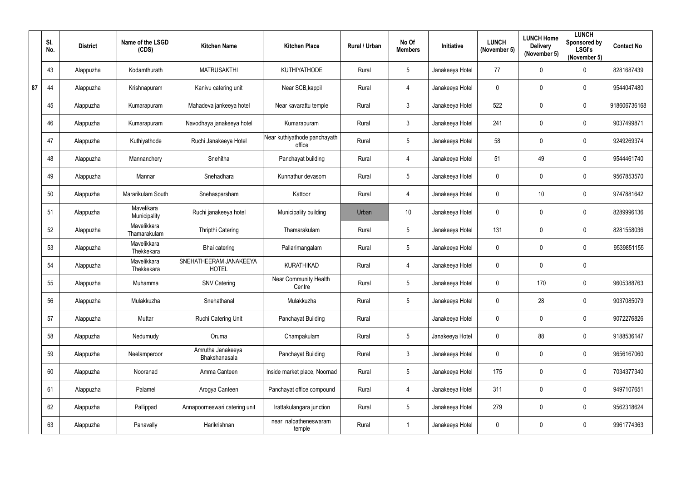|    | SI.<br>No. | <b>District</b> | Name of the LSGD<br>(CDS)   | <b>Kitchen Name</b>                    | <b>Kitchen Place</b>                   | Rural / Urban | No Of<br><b>Members</b> | Initiative      | <b>LUNCH</b><br>(November 5) | <b>LUNCH Home</b><br><b>Delivery</b><br>(November 5) | <b>LUNCH</b><br>Sponsored by<br><b>LSGI's</b><br>(November 5) | <b>Contact No</b> |
|----|------------|-----------------|-----------------------------|----------------------------------------|----------------------------------------|---------------|-------------------------|-----------------|------------------------------|------------------------------------------------------|---------------------------------------------------------------|-------------------|
|    | 43         | Alappuzha       | Kodamthurath                | <b>MATRUSAKTHI</b>                     | KUTHIYATHODE                           | Rural         | 5                       | Janakeeya Hotel | 77                           | 0                                                    | $\mathbf 0$                                                   | 8281687439        |
| 87 | 44         | Alappuzha       | Krishnapuram                | Kanivu catering unit                   | Near SCB, kappil                       | Rural         | $\overline{4}$          | Janakeeya Hotel | $\mathbf 0$                  | 0                                                    | $\mathbf 0$                                                   | 9544047480        |
|    | 45         | Alappuzha       | Kumarapuram                 | Mahadeva jankeeya hotel                | Near kavarattu temple                  | Rural         | $\mathfrak{Z}$          | Janakeeya Hotel | 522                          | 0                                                    | $\mathbf 0$                                                   | 918606736168      |
|    | 46         | Alappuzha       | Kumarapuram                 | Navodhaya janakeeya hotel              | Kumarapuram                            | Rural         | $\mathfrak{Z}$          | Janakeeya Hotel | 241                          | 0                                                    | $\boldsymbol{0}$                                              | 9037499871        |
|    | 47         | Alappuzha       | Kuthiyathode                | Ruchi Janakeeya Hotel                  | Near kuthiyathode panchayath<br>office | Rural         | 5                       | Janakeeya Hotel | 58                           | 0                                                    | $\mathbf 0$                                                   | 9249269374        |
|    | 48         | Alappuzha       | Mannanchery                 | Snehitha                               | Panchayat building                     | Rural         | $\overline{4}$          | Janakeeya Hotel | 51                           | 49                                                   | $\mathbf 0$                                                   | 9544461740        |
|    | 49         | Alappuzha       | Mannar                      | Snehadhara                             | Kunnathur devasom                      | Rural         | 5                       | Janakeeya Hotel | $\mathbf 0$                  | 0                                                    | $\mathbf 0$                                                   | 9567853570        |
|    | 50         | Alappuzha       | Mararikulam South           | Snehasparsham                          | Kattoor                                | Rural         | $\overline{4}$          | Janakeeya Hotel | $\mathbf 0$                  | 10                                                   | $\mathbf 0$                                                   | 9747881642        |
|    | 51         | Alappuzha       | Mavelikara<br>Municipality  | Ruchi janakeeya hotel                  | Municipality building                  | Urban         | 10                      | Janakeeya Hotel | $\mathbf 0$                  | 0                                                    | $\mathbf 0$                                                   | 8289996136        |
|    | 52         | Alappuzha       | Mavelikkara<br>Thamarakulam | <b>Thripthi Catering</b>               | Thamarakulam                           | Rural         | 5                       | Janakeeya Hotel | 131                          | 0                                                    | $\mathbf 0$                                                   | 8281558036        |
|    | 53         | Alappuzha       | Mavelikkara<br>Thekkekara   | Bhai catering                          | Pallarimangalam                        | Rural         | 5                       | Janakeeya Hotel | $\mathbf 0$                  | 0                                                    | $\mathbf 0$                                                   | 9539851155        |
|    | 54         | Alappuzha       | Mavelikkara<br>Thekkekara   | SNEHATHEERAM JANAKEEYA<br><b>HOTEL</b> | <b>KURATHIKAD</b>                      | Rural         | $\overline{4}$          | Janakeeya Hotel | $\mathbf 0$                  | 0                                                    | $\boldsymbol{0}$                                              |                   |
|    | 55         | Alappuzha       | Muhamma                     | <b>SNV Catering</b>                    | Near Community Health<br>Centre        | Rural         | 5                       | Janakeeya Hotel | $\mathbf 0$                  | 170                                                  | 0                                                             | 9605388763        |
|    | 56         | Alappuzha       | Mulakkuzha                  | Snehathanal                            | Mulakkuzha                             | Rural         | 5                       | Janakeeya Hotel | $\overline{0}$               | 28                                                   | $\overline{0}$                                                | 9037085079        |
|    | 57         | Alappuzha       | Muttar                      | Ruchi Catering Unit                    | Panchayat Building                     | Rural         |                         | Janakeeya Hotel | $\mathbf 0$                  | 0                                                    | $\overline{0}$                                                | 9072276826        |
|    | 58         | Alappuzha       | Nedumudy                    | Oruma                                  | Champakulam                            | Rural         | 5                       | Janakeeya Hotel | $\mathbf 0$                  | 88                                                   | $\mathbf 0$                                                   | 9188536147        |
|    | 59         | Alappuzha       | Neelamperoor                | Amrutha Janakeeya<br>Bhakshanasala     | <b>Panchayat Building</b>              | Rural         | $\mathfrak{Z}$          | Janakeeya Hotel | $\mathbf 0$                  | 0                                                    | $\overline{0}$                                                | 9656167060        |
|    | 60         | Alappuzha       | Nooranad                    | Amma Canteen                           | Inside market place, Noornad           | Rural         | $5\overline{)}$         | Janakeeya Hotel | 175                          | 0                                                    | $\mathbf 0$                                                   | 7034377340        |
|    | 61         | Alappuzha       | Palamel                     | Arogya Canteen                         | Panchayat office compound              | Rural         | $\overline{4}$          | Janakeeya Hotel | 311                          | $\mathbf 0$                                          | $\overline{0}$                                                | 9497107651        |
|    | 62         | Alappuzha       | Pallippad                   | Annapoorneswari catering unit          | Irattakulangara junction               | Rural         | 5                       | Janakeeya Hotel | 279                          | 0                                                    | $\overline{0}$                                                | 9562318624        |
|    | 63         | Alappuzha       | Panavally                   | Harikrishnan                           | near nalpatheneswaram<br>temple        | Rural         | $\mathbf{1}$            | Janakeeya Hotel | $\pmb{0}$                    | 0                                                    | $\bm{0}$                                                      | 9961774363        |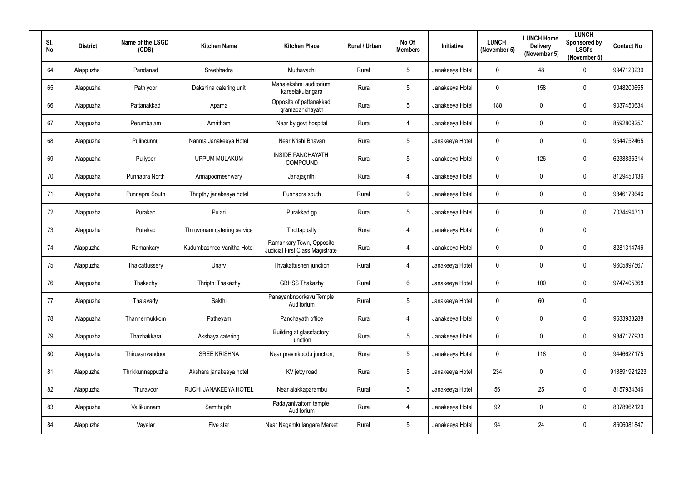| SI.<br>No. | <b>District</b> | Name of the LSGD<br>(CDS) | <b>Kitchen Name</b>         | <b>Kitchen Place</b>                                               | Rural / Urban | No Of<br><b>Members</b> | Initiative      | <b>LUNCH</b><br>(November 5) | <b>LUNCH Home</b><br><b>Delivery</b><br>(November 5) | <b>LUNCH</b><br>Sponsored by<br><b>LSGI's</b><br>(November 5) | <b>Contact No</b> |
|------------|-----------------|---------------------------|-----------------------------|--------------------------------------------------------------------|---------------|-------------------------|-----------------|------------------------------|------------------------------------------------------|---------------------------------------------------------------|-------------------|
| 64         | Alappuzha       | Pandanad                  | Sreebhadra                  | Muthavazhi                                                         | Rural         | $5\overline{)}$         | Janakeeya Hotel | $\mathbf 0$                  | 48                                                   | $\mathbf 0$                                                   | 9947120239        |
| 65         | Alappuzha       | Pathiyoor                 | Dakshina catering unit      | Mahalekshmi auditorium,<br>kareelakulangara                        | Rural         | $5\overline{)}$         | Janakeeya Hotel | $\mathbf 0$                  | 158                                                  | $\mathbf 0$                                                   | 9048200655        |
| 66         | Alappuzha       | Pattanakkad               | Aparna                      | Opposite of pattanakkad<br>gramapanchayath                         | Rural         | $5\phantom{.0}$         | Janakeeya Hotel | 188                          | $\mathbf 0$                                          | $\overline{0}$                                                | 9037450634        |
| 67         | Alappuzha       | Perumbalam                | Amritham                    | Near by govt hospital                                              | Rural         | $\overline{4}$          | Janakeeya Hotel | $\boldsymbol{0}$             | $\mathbf 0$                                          | $\mathbf 0$                                                   | 8592809257        |
| 68         | Alappuzha       | Pulincunnu                | Nanma Janakeeya Hotel       | Near Krishi Bhavan                                                 | Rural         | $5\phantom{.0}$         | Janakeeya Hotel | $\mathbf 0$                  | $\mathbf 0$                                          | $\overline{0}$                                                | 9544752465        |
| 69         | Alappuzha       | Puliyoor                  | <b>UPPUM MULAKUM</b>        | <b>INSIDE PANCHAYATH</b><br>COMPOUND                               | Rural         | $5\phantom{.0}$         | Janakeeya Hotel | $\mathbf 0$                  | 126                                                  | $\boldsymbol{0}$                                              | 6238836314        |
| 70         | Alappuzha       | Punnapra North            | Annapoorneshwary            | Janajagrithi                                                       | Rural         | $\overline{4}$          | Janakeeya Hotel | $\mathbf 0$                  | 0                                                    | $\overline{0}$                                                | 8129450136        |
| 71         | Alappuzha       | Punnapra South            | Thripthy janakeeya hotel    | Punnapra south                                                     | Rural         | $9\,$                   | Janakeeya Hotel | $\mathbf 0$                  | $\mathbf 0$                                          | $\mathbf 0$                                                   | 9846179646        |
| 72         | Alappuzha       | Purakad                   | Pulari                      | Purakkad gp                                                        | Rural         | $5\overline{)}$         | Janakeeya Hotel | $\boldsymbol{0}$             | $\mathbf 0$                                          | $\overline{0}$                                                | 7034494313        |
| 73         | Alappuzha       | Purakad                   | Thiruvonam catering service | Thottappally                                                       | Rural         | 4                       | Janakeeya Hotel | $\mathbf 0$                  | $\mathbf 0$                                          | $\mathbf 0$                                                   |                   |
| 74         | Alappuzha       | Ramankary                 | Kudumbashree Vanitha Hotel  | Ramankary Town, Opposite<br><b>Judicial First Class Magistrate</b> | Rural         | $\overline{4}$          | Janakeeya Hotel | $\boldsymbol{0}$             | $\mathbf 0$                                          | $\overline{0}$                                                | 8281314746        |
| 75         | Alappuzha       | Thaicattussery            | Unarv                       | Thyakattusheri junction                                            | Rural         | 4                       | Janakeeya Hotel | $\mathbf 0$                  | $\overline{0}$                                       | $\overline{0}$                                                | 9605897567        |
| 76         | Alappuzha       | Thakazhy                  | Thripthi Thakazhy           | <b>GBHSS Thakazhy</b>                                              | Rural         | 6                       | Janakeeya Hotel | $\mathbf 0$                  | 100                                                  | $\overline{0}$                                                | 9747405368        |
| 77         | Alappuzha       | Thalavady                 | Sakthi                      | Panayanbnoorkavu Temple<br>Auditorium                              | Rural         | $5\overline{)}$         | Janakeeya Hotel | $\mathbf 0$                  | 60                                                   | $\pmb{0}$                                                     |                   |
| 78         | Alappuzha       | Thannermukkom             | Patheyam                    | Panchayath office                                                  | Rural         | $\overline{4}$          | Janakeeya Hotel | $\pmb{0}$                    | $\mathbf 0$                                          | $\mathbf 0$                                                   | 9633933288        |
| 79         | Alappuzha       | Thazhakkara               | Akshaya catering            | Building at glassfactory<br>junction                               | Rural         | $5\overline{)}$         | Janakeeya Hotel | $\pmb{0}$                    | $\mathbf 0$                                          | $\mathbf 0$                                                   | 9847177930        |
| 80         | Alappuzha       | Thiruvanvandoor           | <b>SREE KRISHNA</b>         | Near pravinkoodu junction,                                         | Rural         | $5\overline{)}$         | Janakeeya Hotel | $\pmb{0}$                    | 118                                                  | $\boldsymbol{0}$                                              | 9446627175        |
| 81         | Alappuzha       | Thrikkunnappuzha          | Akshara janakeeya hotel     | KV jetty road                                                      | Rural         | $5\overline{)}$         | Janakeeya Hotel | 234                          | $\mathbf 0$                                          | $\mathbf 0$                                                   | 918891921223      |
| 82         | Alappuzha       | Thuravoor                 | RUCHI JANAKEEYA HOTEL       | Near alakkaparambu                                                 | Rural         | $5\overline{)}$         | Janakeeya Hotel | 56                           | 25                                                   | $\pmb{0}$                                                     | 8157934346        |
| 83         | Alappuzha       | Vallikunnam               | Samthripthi                 | Padayanivattom temple<br>Auditorium                                | Rural         | $\overline{4}$          | Janakeeya Hotel | 92                           | $\mathbf 0$                                          | $\pmb{0}$                                                     | 8078962129        |
| 84         | Alappuzha       | Vayalar                   | Five star                   | Near Nagamkulangara Market                                         | Rural         | $5\overline{)}$         | Janakeeya Hotel | 94                           | 24                                                   | $\pmb{0}$                                                     | 8606081847        |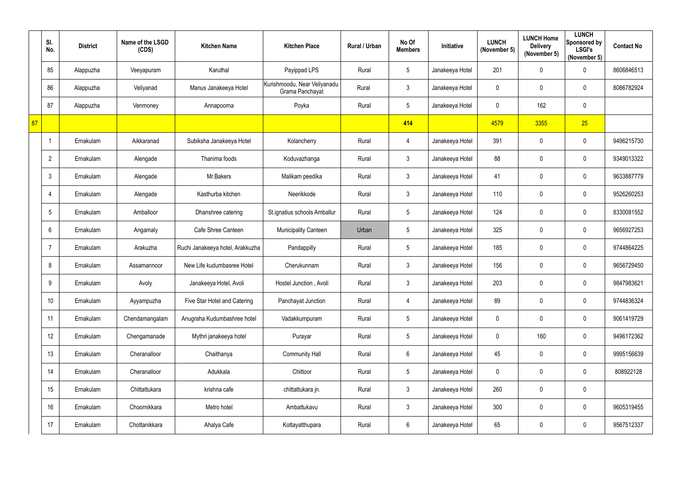|    | SI.<br>No.     | <b>District</b> | Name of the LSGD<br>(CDS) | <b>Kitchen Name</b>              | <b>Kitchen Place</b>                            | Rural / Urban | No Of<br><b>Members</b> | Initiative      | <b>LUNCH</b><br>(November 5) | <b>LUNCH Home</b><br><b>Delivery</b><br>(November 5) | <b>LUNCH</b><br>Sponsored by<br><b>LSGI's</b><br>(November 5) | <b>Contact No</b> |
|----|----------------|-----------------|---------------------------|----------------------------------|-------------------------------------------------|---------------|-------------------------|-----------------|------------------------------|------------------------------------------------------|---------------------------------------------------------------|-------------------|
|    | 85             | Alappuzha       | Veeyapuram                | Karuthal                         | Payippad LPS                                    | Rural         | $5\phantom{.0}$         | Janakeeya Hotel | 201                          | 0                                                    | $\mathbf 0$                                                   | 8606846513        |
|    | 86             | Alappuzha       | Veliyanad                 | Manus Janakeeya Hotel            | Kurishmoodu, Near Veliyanadu<br>Grama Panchayat | Rural         | $\mathfrak{Z}$          | Janakeeya Hotel | 0                            | 0                                                    | $\mathbf 0$                                                   | 8086782924        |
|    | 87             | Alappuzha       | Venmoney                  | Annapoorna                       | Poyka                                           | Rural         | $5\phantom{.0}$         | Janakeeya Hotel | $\mathbf 0$                  | 162                                                  | $\mathbf 0$                                                   |                   |
| 87 |                |                 |                           |                                  |                                                 |               | 414                     |                 | 4579                         | 3355                                                 | 25                                                            |                   |
|    |                | Ernakulam       | Aikkaranad                | Subiksha Janakeeya Hotel         | Kolancherry                                     | Rural         | 4                       | Janakeeya Hotel | 391                          | 0                                                    | $\mathbf 0$                                                   | 9496215730        |
|    | $\overline{2}$ | Ernakulam       | Alengade                  | Thanima foods                    | Koduvazhanga                                    | Rural         | $\mathfrak{Z}$          | Janakeeya Hotel | 88                           | $\pmb{0}$                                            | $\mathbf 0$                                                   | 9349013322        |
|    | $\mathbf{3}$   | Ernakulam       | Alengade                  | Mr.Bakers                        | Malikam peedika                                 | Rural         | $\mathfrak{Z}$          | Janakeeya Hotel | 41                           | 0                                                    | $\mathbf 0$                                                   | 9633887779        |
|    | 4              | Ernakulam       | Alengade                  | Kasthurba kitchen                | Neerikkode                                      | Rural         | $\mathfrak{Z}$          | Janakeeya Hotel | 110                          | 0                                                    | $\mathbf 0$                                                   | 9526260253        |
|    | 5              | Ernakulam       | Amballoor                 | Dhanshree catering               | St.ignatius schools Amballur                    | Rural         | $5\phantom{.0}$         | Janakeeya Hotel | 124                          | 0                                                    | $\mathbf 0$                                                   | 8330081552        |
|    | 6              | Ernakulam       | Angamaly                  | Cafe Shree Canteen               | <b>Municipality Canteen</b>                     | Urban         | $5\phantom{.0}$         | Janakeeya Hotel | 325                          | 0                                                    | $\mathbf 0$                                                   | 9656927253        |
|    | $\overline{7}$ | Ernakulam       | Arakuzha                  | Ruchi Janakeeya hotel, Arakkuzha | Pandappilly                                     | Rural         | $5\phantom{.0}$         | Janakeeya Hotel | 185                          | 0                                                    | $\mathbf 0$                                                   | 9744864225        |
|    | 8              | Ernakulam       | Assamannoor               | New Life kudumbasree Hotel       | Cherukunnam                                     | Rural         | $\mathfrak{Z}$          | Janakeeya Hotel | 156                          | 0                                                    | $\mathbf 0$                                                   | 9656729450        |
|    | 9              | Ernakulam       | Avoly                     | Janakeeya Hotel, Avoli           | Hostel Junction, Avoli                          | Rural         | 3                       | Janakeeya Hotel | 203                          | 0                                                    | 0                                                             | 9847983621        |
|    | 10             | Ernakulam       | Ayyampuzha                | Five Star Hotel and Catering     | Panchayat Junction                              | Rural         | $\overline{4}$          | Janakeeya Hotel | 89                           | 0                                                    | $\mathbf 0$                                                   | 9744836324        |
|    | 11             | Ernakulam       | Chendamangalam            | Anugraha Kudumbashree hotel      | Vadakkumpuram                                   | Rural         | $5\phantom{.0}$         | Janakeeya Hotel | $\pmb{0}$                    | $\pmb{0}$                                            | $\mathbf 0$                                                   | 9061419729        |
|    | 12             | Ernakulam       | Chengamanade              | Mythri janakeeya hotel           | Purayar                                         | Rural         | $5\phantom{.0}$         | Janakeeya Hotel | $\pmb{0}$                    | 160                                                  | $\overline{0}$                                                | 9496172362        |
|    | 13             | Ernakulam       | Cheranalloor              | Chaithanya                       | <b>Community Hall</b>                           | Rural         | $6\phantom{.0}$         | Janakeeya Hotel | 45                           | 0                                                    | $\mathbf 0$                                                   | 9995156639        |
|    | 14             | Ernakulam       | Cheranalloor              | Adukkala                         | Chittoor                                        | Rural         | $5\phantom{.0}$         | Janakeeya Hotel | $\mathbf 0$                  | $\pmb{0}$                                            | $\mathbf 0$                                                   | 808922128         |
|    | 15             | Ernakulam       | Chittattukara             | krishna cafe                     | chittattukara jn.                               | Rural         | $\mathfrak{Z}$          | Janakeeya Hotel | 260                          | $\pmb{0}$                                            | $\mathbf 0$                                                   |                   |
|    | 16             | Ernakulam       | Choornikkara              | Metro hotel                      | Ambattukavu                                     | Rural         | $\mathfrak{Z}$          | Janakeeya Hotel | 300                          | 0                                                    | $\mathbf 0$                                                   | 9605319455        |
|    | 17             | Ernakulam       | Chottanikkara             | Ahalya Cafe                      | Kottayatthupara                                 | Rural         | $6\phantom{.0}$         | Janakeeya Hotel | 65                           | 0                                                    | $\mathbf 0$                                                   | 9567512337        |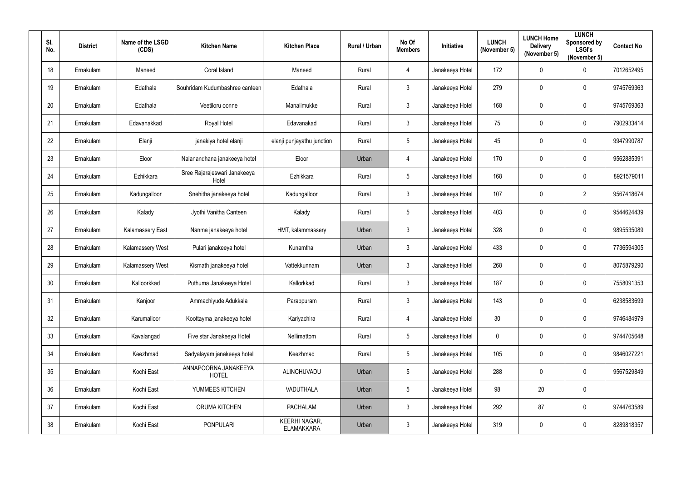| SI.<br>No.      | <b>District</b> | Name of the LSGD<br>(CDS) | <b>Kitchen Name</b>                   | <b>Kitchen Place</b>                      | Rural / Urban | No Of<br><b>Members</b> | Initiative      | <b>LUNCH</b><br>(November 5) | <b>LUNCH Home</b><br><b>Delivery</b><br>(November 5) | <b>LUNCH</b><br>Sponsored by<br><b>LSGI's</b><br>(November 5) | <b>Contact No</b> |
|-----------------|-----------------|---------------------------|---------------------------------------|-------------------------------------------|---------------|-------------------------|-----------------|------------------------------|------------------------------------------------------|---------------------------------------------------------------|-------------------|
| 18              | Ernakulam       | Maneed                    | Coral Island                          | Maneed                                    | Rural         | $\overline{4}$          | Janakeeya Hotel | 172                          | 0                                                    | $\mathbf 0$                                                   | 7012652495        |
| 19              | Ernakulam       | Edathala                  | Souhridam Kudumbashree canteen        | Edathala                                  | Rural         | $\mathbf{3}$            | Janakeeya Hotel | 279                          | 0                                                    | $\mathbf 0$                                                   | 9745769363        |
| 20              | Ernakulam       | Edathala                  | Veetiloru oonne                       | Manalimukke                               | Rural         | $\mathbf{3}$            | Janakeeya Hotel | 168                          | 0                                                    | $\overline{0}$                                                | 9745769363        |
| 21              | Ernakulam       | Edavanakkad               | Royal Hotel                           | Edavanakad                                | Rural         | $\mathbf{3}$            | Janakeeya Hotel | 75                           | 0                                                    | $\mathbf 0$                                                   | 7902933414        |
| 22              | Ernakulam       | Elanji                    | janakiya hotel elanji                 | elanji punjayathu junction                | Rural         | $5\phantom{.0}$         | Janakeeya Hotel | 45                           | 0                                                    | $\mathbf 0$                                                   | 9947990787        |
| 23              | Ernakulam       | Eloor                     | Nalanandhana janakeeya hotel          | Eloor                                     | Urban         | $\overline{4}$          | Janakeeya Hotel | 170                          | 0                                                    | $\mathbf 0$                                                   | 9562885391        |
| 24              | Ernakulam       | Ezhikkara                 | Sree Rajarajeswari Janakeeya<br>Hotel | Ezhikkara                                 | Rural         | $5\overline{)}$         | Janakeeya Hotel | 168                          | 0                                                    | $\mathbf 0$                                                   | 8921579011        |
| 25              | Ernakulam       | Kadungalloor              | Snehitha janakeeya hotel              | Kadungalloor                              | Rural         | $\mathbf{3}$            | Janakeeya Hotel | 107                          | 0                                                    | $\overline{2}$                                                | 9567418674        |
| 26              | Ernakulam       | Kalady                    | Jyothi Vanitha Canteen                | Kalady                                    | Rural         | $5\overline{)}$         | Janakeeya Hotel | 403                          | 0                                                    | $\overline{0}$                                                | 9544624439        |
| 27              | Ernakulam       | Kalamassery East          | Nanma janakeeya hotel                 | HMT, kalammassery                         | Urban         | $\mathbf{3}$            | Janakeeya Hotel | 328                          | 0                                                    | $\mathbf 0$                                                   | 9895535089        |
| 28              | Ernakulam       | Kalamassery West          | Pulari janakeeya hotel                | Kunamthai                                 | Urban         | $\mathbf{3}$            | Janakeeya Hotel | 433                          | 0                                                    | $\mathbf 0$                                                   | 7736594305        |
| 29              | Ernakulam       | <b>Kalamassery West</b>   | Kismath janakeeya hotel               | Vattekkunnam                              | Urban         | $\mathbf{3}$            | Janakeeya Hotel | 268                          | 0                                                    | $\overline{0}$                                                | 8075879290        |
| 30 <sub>2</sub> | Ernakulam       | Kalloorkkad               | Puthuma Janakeeya Hotel               | Kallorkkad                                | Rural         | $\mathbf{3}$            | Janakeeya Hotel | 187                          | 0                                                    | $\mathbf 0$                                                   | 7558091353        |
| 31              | Ernakulam       | Kanjoor                   | Ammachiyude Adukkala                  | Parappuram                                | Rural         | $\mathbf{3}$            | Janakeeya Hotel | 143                          | $\mathbf 0$                                          | $\overline{0}$                                                | 6238583699        |
| 32              | Ernakulam       | Karumalloor               | Koottayma janakeeya hotel             | Kariyachira                               | Rural         | $\overline{4}$          | Janakeeya Hotel | 30 <sub>2</sub>              | 0                                                    | $\mathbf 0$                                                   | 9746484979        |
| 33              | Ernakulam       | Kavalangad                | Five star Janakeeya Hotel             | Nellimattom                               | Rural         | $5\phantom{.0}$         | Janakeeya Hotel | $\pmb{0}$                    | $\mathbf 0$                                          | $\mathbf 0$                                                   | 9744705648        |
| 34              | Ernakulam       | Keezhmad                  | Sadyalayam janakeeya hotel            | Keezhmad                                  | Rural         | $5\phantom{.0}$         | Janakeeya Hotel | 105                          | $\mathbf 0$                                          | $\mathbf 0$                                                   | 9846027221        |
| 35              | Ernakulam       | Kochi East                | ANNAPOORNA JANAKEEYA<br><b>HOTEL</b>  | ALINCHUVADU                               | Urban         | $5\phantom{.0}$         | Janakeeya Hotel | 288                          | $\pmb{0}$                                            | $\mathbf 0$                                                   | 9567529849        |
| 36              | Ernakulam       | Kochi East                | YUMMEES KITCHEN                       | VADUTHALA                                 | Urban         | $5\phantom{.0}$         | Janakeeya Hotel | 98                           | 20                                                   | $\overline{0}$                                                |                   |
| 37              | Ernakulam       | Kochi East                | ORUMA KITCHEN                         | <b>PACHALAM</b>                           | Urban         | $\mathbf{3}$            | Janakeeya Hotel | 292                          | 87                                                   | $\overline{0}$                                                | 9744763589        |
| 38              | Ernakulam       | Kochi East                | <b>PONPULARI</b>                      | <b>KEERHI NAGAR,</b><br><b>ELAMAKKARA</b> | Urban         | $\mathbf{3}$            | Janakeeya Hotel | 319                          | $\mathbf 0$                                          | $\overline{0}$                                                | 8289818357        |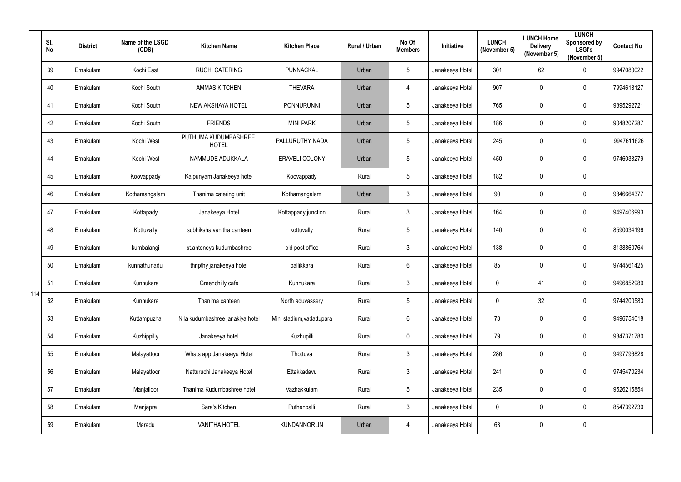|     | SI.<br>No. | <b>District</b> | Name of the LSGD<br>(CDS) | <b>Kitchen Name</b>                  | <b>Kitchen Place</b>      | Rural / Urban | No Of<br><b>Members</b> | <b>Initiative</b> | <b>LUNCH</b><br>(November 5) | <b>LUNCH Home</b><br><b>Delivery</b><br>(November 5) | <b>LUNCH</b><br>Sponsored by<br><b>LSGI's</b><br>(November 5) | <b>Contact No</b> |
|-----|------------|-----------------|---------------------------|--------------------------------------|---------------------------|---------------|-------------------------|-------------------|------------------------------|------------------------------------------------------|---------------------------------------------------------------|-------------------|
|     | 39         | Ernakulam       | Kochi East                | <b>RUCHI CATERING</b>                | PUNNACKAL                 | Urban         | $5\phantom{.0}$         | Janakeeya Hotel   | 301                          | 62                                                   | $\overline{0}$                                                | 9947080022        |
|     | 40         | Ernakulam       | Kochi South               | <b>AMMAS KITCHEN</b>                 | <b>THEVARA</b>            | Urban         | $\overline{4}$          | Janakeeya Hotel   | 907                          | 0                                                    | $\overline{0}$                                                | 7994618127        |
|     | 41         | Ernakulam       | Kochi South               | NEW AKSHAYA HOTEL                    | <b>PONNURUNNI</b>         | Urban         | 5                       | Janakeeya Hotel   | 765                          | 0                                                    | $\overline{0}$                                                | 9895292721        |
|     | 42         | Ernakulam       | Kochi South               | <b>FRIENDS</b>                       | <b>MINI PARK</b>          | Urban         | $5\phantom{.0}$         | Janakeeya Hotel   | 186                          | 0                                                    | $\overline{0}$                                                | 9048207287        |
|     | 43         | Ernakulam       | Kochi West                | PUTHUMA KUDUMBASHREE<br><b>HOTEL</b> | PALLURUTHY NADA           | Urban         | 5                       | Janakeeya Hotel   | 245                          | 0                                                    | $\overline{0}$                                                | 9947611626        |
|     | 44         | Ernakulam       | Kochi West                | NAMMUDE ADUKKALA                     | <b>ERAVELI COLONY</b>     | Urban         | $5\phantom{.0}$         | Janakeeya Hotel   | 450                          | $\pmb{0}$                                            | $\overline{0}$                                                | 9746033279        |
|     | 45         | Ernakulam       | Koovappady                | Kaipunyam Janakeeya hotel            | Koovappady                | Rural         | $5\phantom{.0}$         | Janakeeya Hotel   | 182                          | 0                                                    | $\overline{0}$                                                |                   |
|     | 46         | Ernakulam       | Kothamangalam             | Thanima catering unit                | Kothamangalam             | Urban         | $\mathfrak{Z}$          | Janakeeya Hotel   | 90                           | 0                                                    | $\overline{0}$                                                | 9846664377        |
|     | 47         | Ernakulam       | Kottapady                 | Janakeeya Hotel                      | Kottappady junction       | Rural         | $\mathfrak{Z}$          | Janakeeya Hotel   | 164                          | 0                                                    | $\overline{0}$                                                | 9497406993        |
|     | 48         | Ernakulam       | Kottuvally                | subhiksha vanitha canteen            | kottuvally                | Rural         | 5                       | Janakeeya Hotel   | 140                          | 0                                                    | $\overline{0}$                                                | 8590034196        |
|     | 49         | Ernakulam       | kumbalangi                | st.antoneys kudumbashree             | old post office           | Rural         | $\mathfrak{Z}$          | Janakeeya Hotel   | 138                          | 0                                                    | $\overline{0}$                                                | 8138860764        |
|     | 50         | Ernakulam       | kunnathunadu              | thripthy janakeeya hotel             | pallikkara                | Rural         | $6\phantom{.0}$         | Janakeeya Hotel   | 85                           | 0                                                    | $\overline{0}$                                                | 9744561425        |
|     | 51         | Ernakulam       | Kunnukara                 | Greenchilly cafe                     | Kunnukara                 | Rural         | 3                       | Janakeeya Hotel   | $\mathbf 0$                  | 41                                                   | $\mathbf 0$                                                   | 9496852989        |
| 114 | 52         | Ernakulam       | Kunnukara                 | Thanima canteen                      | North aduvassery          | Rural         | $5\phantom{.0}$         | Janakeeya Hotel   | $\mathbf 0$                  | 32                                                   | $\mathbf 0$                                                   | 9744200583        |
|     | 53         | Ernakulam       | Kuttampuzha               | Nila kudumbashree janakiya hotel     | Mini stadium, vadattupara | Rural         | $6\phantom{.0}$         | Janakeeya Hotel   | 73                           | 0                                                    | $\mathbf 0$                                                   | 9496754018        |
|     | 54         | Ernakulam       | Kuzhippilly               | Janakeeya hotel                      | Kuzhupilli                | Rural         | $\pmb{0}$               | Janakeeya Hotel   | 79                           | $\pmb{0}$                                            | $\mathbf 0$                                                   | 9847371780        |
|     | 55         | Ernakulam       | Malayattoor               | Whats app Janakeeya Hotel            | Thottuva                  | Rural         | $\mathfrak{Z}$          | Janakeeya Hotel   | 286                          | 0                                                    | $\mathbf 0$                                                   | 9497796828        |
|     | 56         | Ernakulam       | Malayattoor               | Natturuchi Janakeeya Hotel           | Ettakkadavu               | Rural         | $\mathfrak{S}$          | Janakeeya Hotel   | 241                          | $\pmb{0}$                                            | $\mathbf 0$                                                   | 9745470234        |
|     | 57         | Ernakulam       | Manjalloor                | Thanima Kudumbashree hotel           | Vazhakkulam               | Rural         | $5\phantom{.0}$         | Janakeeya Hotel   | 235                          | 0                                                    | $\mathbf 0$                                                   | 9526215854        |
|     | 58         | Ernakulam       | Manjapra                  | Sara's Kitchen                       | Puthenpalli               | Rural         | $\mathfrak{S}$          | Janakeeya Hotel   | $\mathbf 0$                  | 0                                                    | $\mathbf 0$                                                   | 8547392730        |
|     | 59         | Ernakulam       | Maradu                    | <b>VANITHA HOTEL</b>                 | <b>KUNDANNOR JN</b>       | Urban         | 4                       | Janakeeya Hotel   | 63                           | 0                                                    | $\overline{0}$                                                |                   |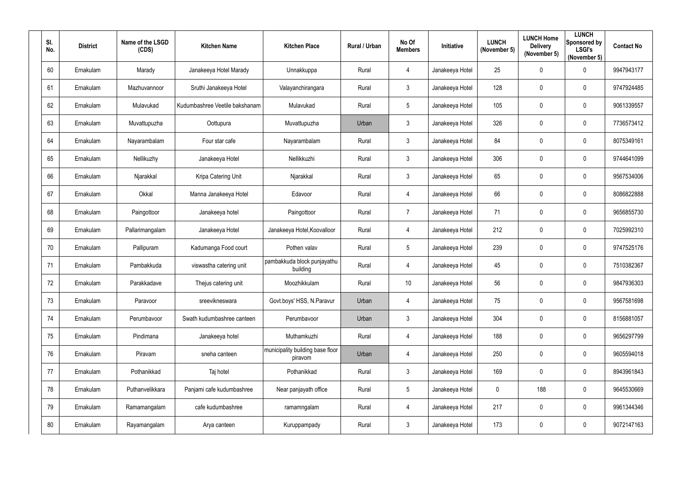| SI.<br>No. | <b>District</b> | Name of the LSGD<br>(CDS) | <b>Kitchen Name</b>            | <b>Kitchen Place</b>                        | Rural / Urban | No Of<br><b>Members</b> | Initiative      | <b>LUNCH</b><br>(November 5) | <b>LUNCH Home</b><br><b>Delivery</b><br>(November 5) | <b>LUNCH</b><br>Sponsored by<br><b>LSGI's</b><br>(November 5) | <b>Contact No</b> |
|------------|-----------------|---------------------------|--------------------------------|---------------------------------------------|---------------|-------------------------|-----------------|------------------------------|------------------------------------------------------|---------------------------------------------------------------|-------------------|
| 60         | Ernakulam       | Marady                    | Janakeeya Hotel Marady         | Unnakkuppa                                  | Rural         | $\overline{4}$          | Janakeeya Hotel | 25                           | $\mathbf 0$                                          | $\mathbf 0$                                                   | 9947943177        |
| 61         | Ernakulam       | Mazhuvannoor              | Sruthi Janakeeya Hotel         | Valayanchirangara                           | Rural         | 3                       | Janakeeya Hotel | 128                          | 0                                                    | $\overline{0}$                                                | 9747924485        |
| 62         | Ernakulam       | Mulavukad                 | Kudumbashree Veetile bakshanam | Mulavukad                                   | Rural         | $5\phantom{.0}$         | Janakeeya Hotel | 105                          | $\mathbf 0$                                          | $\boldsymbol{0}$                                              | 9061339557        |
| 63         | Ernakulam       | Muvattupuzha              | Oottupura                      | Muvattupuzha                                | Urban         | $\mathfrak{Z}$          | Janakeeya Hotel | 326                          | 0                                                    | $\mathbf 0$                                                   | 7736573412        |
| 64         | Ernakulam       | Nayarambalam              | Four star cafe                 | Nayarambalam                                | Rural         | 3                       | Janakeeya Hotel | 84                           | $\overline{0}$                                       | $\overline{0}$                                                | 8075349161        |
| 65         | Ernakulam       | Nellikuzhy                | Janakeeya Hotel                | Nellikkuzhi                                 | Rural         | $\mathbf{3}$            | Janakeeya Hotel | 306                          | $\overline{0}$                                       | $\boldsymbol{0}$                                              | 9744641099        |
| 66         | Ernakulam       | Njarakkal                 | Kripa Catering Unit            | Njarakkal                                   | Rural         | 3 <sup>1</sup>          | Janakeeya Hotel | 65                           | $\mathbf 0$                                          | $\mathbf 0$                                                   | 9567534006        |
| 67         | Ernakulam       | Okkal                     | Manna Janakeeya Hotel          | Edavoor                                     | Rural         | 4                       | Janakeeya Hotel | 66                           | $\mathbf 0$                                          | $\overline{0}$                                                | 8086822888        |
| 68         | Ernakulam       | Paingottoor               | Janakeeya hotel                | Paingottoor                                 | Rural         | $\overline{7}$          | Janakeeya Hotel | 71                           | $\overline{0}$                                       | $\boldsymbol{0}$                                              | 9656855730        |
| 69         | Ernakulam       | Pallarimangalam           | Janakeeya Hotel                | Janakeeya Hotel, Koovalloor                 | Rural         | 4                       | Janakeeya Hotel | 212                          | $\overline{0}$                                       | $\overline{0}$                                                | 7025992310        |
| 70         | Ernakulam       | Pallipuram                | Kadumanga Food court           | Pothen valav                                | Rural         | $5\phantom{.0}$         | Janakeeya Hotel | 239                          | $\overline{0}$                                       | $\boldsymbol{0}$                                              | 9747525176        |
| 71         | Ernakulam       | Pambakkuda                | viswastha catering unit        | pambakkuda block punjayathu<br>building     | Rural         | $\overline{4}$          | Janakeeya Hotel | 45                           | $\overline{0}$                                       | $\overline{0}$                                                | 7510382367        |
| 72         | Ernakulam       | Parakkadave               | Thejus catering unit           | Moozhikkulam                                | Rural         | 10                      | Janakeeya Hotel | 56                           | 0                                                    | 0                                                             | 9847936303        |
| 73         | Ernakulam       | Paravoor                  | sreevikneswara                 | Govt.boys' HSS, N.Paravur                   | Urban         | $\overline{4}$          | Janakeeya Hotel | 75                           | $\mathbf 0$                                          | $\mathbf 0$                                                   | 9567581698        |
| 74         | Ernakulam       | Perumbavoor               | Swath kudumbashree canteen     | Perumbavoor                                 | Urban         | $3\phantom{.0}$         | Janakeeya Hotel | 304                          | $\mathbf 0$                                          | $\mathbf 0$                                                   | 8156881057        |
| 75         | Ernakulam       | Pindimana                 | Janakeeya hotel                | Muthamkuzhi                                 | Rural         | $\overline{4}$          | Janakeeya Hotel | 188                          | $\overline{0}$                                       | $\mathbf 0$                                                   | 9656297799        |
| 76         | Ernakulam       | Piravam                   | sneha canteen                  | municipality building base floor<br>piravom | Urban         | $\overline{4}$          | Janakeeya Hotel | 250                          | $\mathbf 0$                                          | $\mathbf 0$                                                   | 9605594018        |
| 77         | Ernakulam       | Pothanikkad               | Taj hotel                      | Pothanikkad                                 | Rural         | 3 <sup>1</sup>          | Janakeeya Hotel | 169                          | $\mathbf 0$                                          | $\mathbf 0$                                                   | 8943961843        |
| 78         | Ernakulam       | Puthanvelikkara           | Panjami cafe kudumbashree      | Near panjayath office                       | Rural         | $5\overline{)}$         | Janakeeya Hotel | $\pmb{0}$                    | 188                                                  | $\mathbf 0$                                                   | 9645530669        |
| 79         | Ernakulam       | Ramamangalam              | cafe kudumbashree              | ramamngalam                                 | Rural         | $\overline{4}$          | Janakeeya Hotel | 217                          | $\mathbf 0$                                          | $\mathbf 0$                                                   | 9961344346        |
| 80         | Ernakulam       | Rayamangalam              | Arya canteen                   | Kuruppampady                                | Rural         | $\mathbf{3}$            | Janakeeya Hotel | 173                          | $\boldsymbol{0}$                                     | $\bm{0}$                                                      | 9072147163        |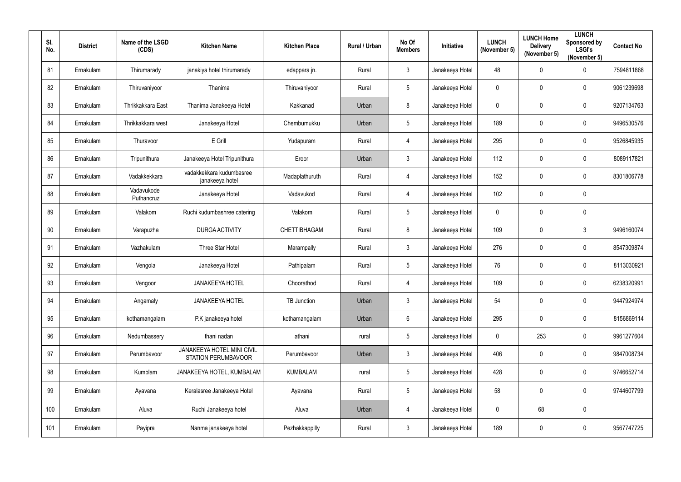| SI.<br>No. | <b>District</b> | Name of the LSGD<br>(CDS) | <b>Kitchen Name</b>                                      | <b>Kitchen Place</b> | Rural / Urban | No Of<br><b>Members</b> | Initiative      | <b>LUNCH</b><br>(November 5) | <b>LUNCH Home</b><br><b>Delivery</b><br>(November 5) | <b>LUNCH</b><br>Sponsored by<br><b>LSGI's</b><br>(November 5) | <b>Contact No</b> |
|------------|-----------------|---------------------------|----------------------------------------------------------|----------------------|---------------|-------------------------|-----------------|------------------------------|------------------------------------------------------|---------------------------------------------------------------|-------------------|
| 81         | Ernakulam       | Thirumarady               | janakiya hotel thirumarady                               | edappara jn.         | Rural         | $\mathbf{3}$            | Janakeeya Hotel | 48                           | $\mathbf 0$                                          | $\mathbf 0$                                                   | 7594811868        |
| 82         | Ernakulam       | Thiruvaniyoor             | Thanima                                                  | Thiruvaniyoor        | Rural         | 5 <sup>5</sup>          | Janakeeya Hotel | $\mathbf 0$                  | $\mathbf 0$                                          | $\overline{0}$                                                | 9061239698        |
| 83         | Ernakulam       | Thrikkakkara East         | Thanima Janakeeya Hotel                                  | Kakkanad             | Urban         | 8                       | Janakeeya Hotel | $\pmb{0}$                    | $\mathbf 0$                                          | $\boldsymbol{0}$                                              | 9207134763        |
| 84         | Ernakulam       | Thrikkakkara west         | Janakeeya Hotel                                          | Chembumukku          | Urban         | $5\phantom{.0}$         | Janakeeya Hotel | 189                          | $\mathbf 0$                                          | $\mathbf 0$                                                   | 9496530576        |
| 85         | Ernakulam       | Thuravoor                 | E Grill                                                  | Yudapuram            | Rural         | 4                       | Janakeeya Hotel | 295                          | $\boldsymbol{0}$                                     | $\overline{0}$                                                | 9526845935        |
| 86         | Ernakulam       | Tripunithura              | Janakeeya Hotel Tripunithura                             | Eroor                | Urban         | $\mathbf{3}$            | Janakeeya Hotel | 112                          | $\mathbf 0$                                          | $\boldsymbol{0}$                                              | 8089117821        |
| 87         | Ernakulam       | Vadakkekkara              | vadakkekkara kudumbasree<br>janakeeya hotel              | Madaplathuruth       | Rural         | 4                       | Janakeeya Hotel | 152                          | $\mathbf 0$                                          | $\mathbf 0$                                                   | 8301806778        |
| 88         | Ernakulam       | Vadavukode<br>Puthancruz  | Janakeeya Hotel                                          | Vadavukod            | Rural         | 4                       | Janakeeya Hotel | 102                          | $\mathbf 0$                                          | $\mathbf 0$                                                   |                   |
| 89         | Ernakulam       | Valakom                   | Ruchi kudumbashree catering                              | Valakom              | Rural         | $5\phantom{.0}$         | Janakeeya Hotel | $\boldsymbol{0}$             | $\overline{0}$                                       | $\mathbf 0$                                                   |                   |
| 90         | Ernakulam       | Varapuzha                 | <b>DURGA ACTIVITY</b>                                    | <b>CHETTIBHAGAM</b>  | Rural         | 8                       | Janakeeya Hotel | 109                          | $\mathbf 0$                                          | $\mathbf{3}$                                                  | 9496160074        |
| 91         | Ernakulam       | Vazhakulam                | Three Star Hotel                                         | Marampally           | Rural         | 3                       | Janakeeya Hotel | 276                          | $\overline{0}$                                       | $\boldsymbol{0}$                                              | 8547309874        |
| 92         | Ernakulam       | Vengola                   | Janakeeya Hotel                                          | Pathipalam           | Rural         | $5\overline{)}$         | Janakeeya Hotel | 76                           | $\overline{0}$                                       | $\overline{0}$                                                | 8113030921        |
| 93         | Ernakulam       | Vengoor                   | <b>JANAKEEYA HOTEL</b>                                   | Choorathod           | Rural         | 4                       | Janakeeya Hotel | 109                          | 0                                                    | $\overline{0}$                                                | 6238320991        |
| 94         | Ernakulam       | Angamaly                  | <b>JANAKEEYA HOTEL</b>                                   | TB Junction          | Urban         | $3\phantom{.0}$         | Janakeeya Hotel | 54                           | $\mathbf 0$                                          | $\pmb{0}$                                                     | 9447924974        |
| 95         | Ernakulam       | kothamangalam             | P.K janakeeya hotel                                      | kothamangalam        | Urban         | $6\overline{6}$         | Janakeeya Hotel | 295                          | $\mathbf 0$                                          | $\mathbf 0$                                                   | 8156869114        |
| 96         | Ernakulam       | Nedumbassery              | thani nadan                                              | athani               | rural         | 5 <sub>5</sub>          | Janakeeya Hotel | $\mathbf 0$                  | 253                                                  | $\mathbf 0$                                                   | 9961277604        |
| 97         | Ernakulam       | Perumbavoor               | JANAKEEYA HOTEL MINI CIVIL<br><b>STATION PERUMBAVOOR</b> | Perumbavoor          | Urban         | 3                       | Janakeeya Hotel | 406                          | $\mathbf 0$                                          | $\mathbf 0$                                                   | 9847008734        |
| 98         | Ernakulam       | Kumblam                   | JANAKEEYA HOTEL, KUMBALAM                                | <b>KUMBALAM</b>      | rural         | $5\overline{)}$         | Janakeeya Hotel | 428                          | $\pmb{0}$                                            | $\mathbf 0$                                                   | 9746652714        |
| 99         | Ernakulam       | Ayavana                   | Keralasree Janakeeya Hotel                               | Ayavana              | Rural         | $5\overline{)}$         | Janakeeya Hotel | 58                           | $\mathbf 0$                                          | $\mathbf 0$                                                   | 9744607799        |
| 100        | Ernakulam       | Aluva                     | Ruchi Janakeeya hotel                                    | Aluva                | Urban         | $\overline{4}$          | Janakeeya Hotel | $\mathbf 0$                  | 68                                                   | $\pmb{0}$                                                     |                   |
| 101        | Ernakulam       | Payipra                   | Nanma janakeeya hotel                                    | Pezhakkappilly       | Rural         | $\mathbf{3}$            | Janakeeya Hotel | 189                          | $\mathbf 0$                                          | $\pmb{0}$                                                     | 9567747725        |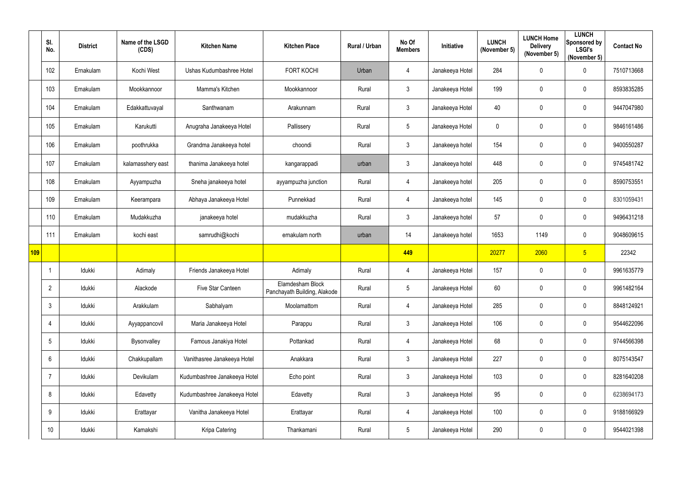|     | SI.<br>No.      | <b>District</b> | Name of the LSGD<br>(CDS) | <b>Kitchen Name</b>          | <b>Kitchen Place</b>                             | Rural / Urban | No Of<br><b>Members</b> | Initiative      | <b>LUNCH</b><br>(November 5) | <b>LUNCH Home</b><br><b>Delivery</b><br>(November 5) | <b>LUNCH</b><br>Sponsored by<br><b>LSGI's</b><br>(November 5) | <b>Contact No</b> |
|-----|-----------------|-----------------|---------------------------|------------------------------|--------------------------------------------------|---------------|-------------------------|-----------------|------------------------------|------------------------------------------------------|---------------------------------------------------------------|-------------------|
|     | 102             | Ernakulam       | Kochi West                | Ushas Kudumbashree Hotel     | <b>FORT KOCHI</b>                                | Urban         | 4                       | Janakeeya Hotel | 284                          | 0                                                    | $\overline{0}$                                                | 7510713668        |
|     | 103             | Ernakulam       | Mookkannoor               | Mamma's Kitchen              | Mookkannoor                                      | Rural         | $\mathfrak{Z}$          | Janakeeya Hotel | 199                          | 0                                                    | $\overline{0}$                                                | 8593835285        |
|     | 104             | Ernakulam       | Edakkattuvayal            | Santhwanam                   | Arakunnam                                        | Rural         | $\mathfrak{Z}$          | Janakeeya Hotel | 40                           | $\pmb{0}$                                            | $\overline{0}$                                                | 9447047980        |
|     | 105             | Ernakulam       | Karukutti                 | Anugraha Janakeeya Hotel     | Pallissery                                       | Rural         | $5\phantom{.0}$         | Janakeeya Hotel | $\mathbf 0$                  | 0                                                    | $\mathbf 0$                                                   | 9846161486        |
|     | 106             | Ernakulam       | poothrukka                | Grandma Janakeeya hotel      | choondi                                          | Rural         | $\mathfrak{Z}$          | Janakeeya hotel | 154                          | 0                                                    | $\overline{0}$                                                | 9400550287        |
|     | 107             | Ernakulam       | kalamasshery east         | thanima Janakeeya hotel      | kangarappadi                                     | urban         | $\mathfrak{Z}$          | Janakeeya hotel | 448                          | 0                                                    | $\overline{0}$                                                | 9745481742        |
|     | 108             | Ernakulam       | Ayyampuzha                | Sneha janakeeya hotel        | ayyampuzha junction                              | Rural         | $\overline{4}$          | Janakeeya hotel | 205                          | $\pmb{0}$                                            | $\overline{0}$                                                | 8590753551        |
|     | 109             | Ernakulam       | Keerampara                | Abhaya Janakeeya Hotel       | Punnekkad                                        | Rural         | $\overline{4}$          | Janakeeya hotel | 145                          | $\pmb{0}$                                            | $\overline{0}$                                                | 8301059431        |
|     | 110             | Ernakulam       | Mudakkuzha                | janakeeya hotel              | mudakkuzha                                       | Rural         | 3 <sup>1</sup>          | Janakeeya hotel | 57                           | 0                                                    | $\overline{0}$                                                | 9496431218        |
|     | 111             | Ernakulam       | kochi east                | samrudhi@kochi               | ernakulam north                                  | urban         | 14                      | Janakeeya hotel | 1653                         | 1149                                                 | $\overline{0}$                                                | 9048609615        |
| 109 |                 |                 |                           |                              |                                                  |               | 449                     |                 | 20277                        | 2060                                                 | 5 <sub>5</sub>                                                | 22342             |
|     |                 | Idukki          | Adimaly                   | Friends Janakeeya Hotel      | Adimaly                                          | Rural         | $\overline{4}$          | Janakeeya Hotel | 157                          | 0                                                    | $\mathbf 0$                                                   | 9961635779        |
|     | 2               | Idukki          | Alackode                  | Five Star Canteen            | Elamdesham Block<br>Panchayath Building, Alakode | Rural         | 5                       | Janakeeya Hotel | 60                           | $\mathbf 0$                                          | $\overline{0}$                                                | 9961482164        |
|     | $\mathbf{3}$    | Idukki          | Arakkulam                 | Sabhalyam                    | Moolamattom                                      | Rural         | 4                       | Janakeeya Hotel | 285                          | 0                                                    | $\mathbf 0$                                                   | 8848124921        |
|     | 4               | Idukki          | Ayyappancovil             | Maria Janakeeya Hotel        | Parappu                                          | Rural         | $\mathfrak{Z}$          | Janakeeya Hotel | 106                          | 0                                                    | $\mathbf 0$                                                   | 9544622096        |
|     | $5\phantom{.0}$ | Idukki          | Bysonvalley               | Famous Janakiya Hotel        | Pottankad                                        | Rural         | $\overline{4}$          | Janakeeya Hotel | 68                           | 0                                                    | $\mathbf 0$                                                   | 9744566398        |
|     | $6\phantom{.}$  | Idukki          | Chakkupallam              | Vanithasree Janakeeya Hotel  | Anakkara                                         | Rural         | $\mathfrak{Z}$          | Janakeeya Hotel | 227                          | 0                                                    | $\mathbf 0$                                                   | 8075143547        |
|     | 7               | Idukki          | Devikulam                 | Kudumbashree Janakeeya Hotel | Echo point                                       | Rural         | $\mathfrak{Z}$          | Janakeeya Hotel | 103                          | 0                                                    | $\mathbf 0$                                                   | 8281640208        |
|     | 8               | Idukki          | Edavetty                  | Kudumbashree Janakeeya Hotel | Edavetty                                         | Rural         | $\mathfrak{Z}$          | Janakeeya Hotel | 95                           | 0                                                    | $\mathbf 0$                                                   | 6238694173        |
|     | 9               | ldukki          | Erattayar                 | Vanitha Janakeeya Hotel      | Erattayar                                        | Rural         | $\overline{4}$          | Janakeeya Hotel | 100                          | 0                                                    | $\mathbf 0$                                                   | 9188166929        |
|     | 10 <sup>°</sup> | Idukki          | Kamakshi                  | Kripa Catering               | Thankamani                                       | Rural         | $5\phantom{.0}$         | Janakeeya Hotel | 290                          | 0                                                    | $\overline{0}$                                                | 9544021398        |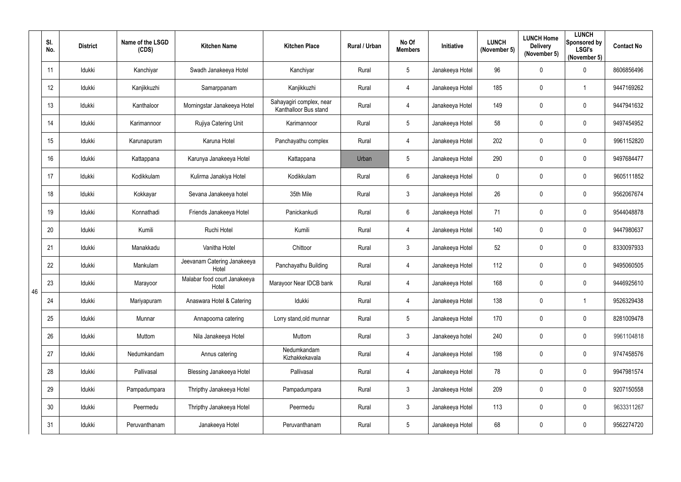|    | SI.<br>No.      | <b>District</b> | Name of the LSGD<br>(CDS) | <b>Kitchen Name</b>                   | <b>Kitchen Place</b>                              | Rural / Urban | No Of<br><b>Members</b> | Initiative      | <b>LUNCH</b><br>(November 5) | <b>LUNCH Home</b><br><b>Delivery</b><br>(November 5) | <b>LUNCH</b><br>Sponsored by<br><b>LSGI's</b><br>(November 5) | <b>Contact No</b> |
|----|-----------------|-----------------|---------------------------|---------------------------------------|---------------------------------------------------|---------------|-------------------------|-----------------|------------------------------|------------------------------------------------------|---------------------------------------------------------------|-------------------|
|    | 11              | Idukki          | Kanchiyar                 | Swadh Janakeeya Hotel                 | Kanchiyar                                         | Rural         | $5\phantom{.0}$         | Janakeeya Hotel | 96                           | 0                                                    | $\mathbf 0$                                                   | 8606856496        |
|    | 12              | Idukki          | Kanjikkuzhi               | Samarppanam                           | Kanjikkuzhi                                       | Rural         | 4                       | Janakeeya Hotel | 185                          | 0                                                    | -1                                                            | 9447169262        |
|    | 13              | Idukki          | Kanthaloor                | Morningstar Janakeeya Hotel           | Sahayagiri complex, near<br>Kanthalloor Bus stand | Rural         | 4                       | Janakeeya Hotel | 149                          | 0                                                    | $\mathbf 0$                                                   | 9447941632        |
|    | 14              | Idukki          | Karimannoor               | Rujiya Catering Unit                  | Karimannoor                                       | Rural         | $5\phantom{.0}$         | Janakeeya Hotel | 58                           | 0                                                    | $\overline{0}$                                                | 9497454952        |
|    | 15              | Idukki          | Karunapuram               | Karuna Hotel                          | Panchayathu complex                               | Rural         | 4                       | Janakeeya Hotel | 202                          | 0                                                    | $\overline{0}$                                                | 9961152820        |
|    | 16              | Idukki          | Kattappana                | Karunya Janakeeya Hotel               | Kattappana                                        | Urban         | $5\overline{)}$         | Janakeeya Hotel | 290                          | 0                                                    | $\mathbf 0$                                                   | 9497684477        |
|    | 17              | Idukki          | Kodikkulam                | Kulirma Janakiya Hotel                | Kodikkulam                                        | Rural         | $6\overline{6}$         | Janakeeya Hotel | $\mathbf 0$                  | 0                                                    | $\overline{0}$                                                | 9605111852        |
|    | 18              | Idukki          | Kokkayar                  | Sevana Janakeeya hotel                | 35th Mile                                         | Rural         | $\mathbf{3}$            | Janakeeya Hotel | 26                           | 0                                                    | $\mathbf 0$                                                   | 9562067674        |
|    | 19              | Idukki          | Konnathadi                | Friends Janakeeya Hotel               | Panickankudi                                      | Rural         | $6\phantom{.}$          | Janakeeya Hotel | 71                           | 0                                                    | $\mathbf 0$                                                   | 9544048878        |
|    | 20              | Idukki          | Kumili                    | Ruchi Hotel                           | Kumili                                            | Rural         | 4                       | Janakeeya Hotel | 140                          | 0                                                    | $\overline{0}$                                                | 9447980637        |
|    | 21              | Idukki          | Manakkadu                 | Vanitha Hotel                         | Chittoor                                          | Rural         | $3\overline{3}$         | Janakeeya Hotel | 52                           | 0                                                    | $\boldsymbol{0}$                                              | 8330097933        |
|    | 22              | Idukki          | Mankulam                  | Jeevanam Catering Janakeeya<br>Hotel  | Panchayathu Building                              | Rural         | 4                       | Janakeeya Hotel | 112                          | 0                                                    | $\overline{0}$                                                | 9495060505        |
| 46 | 23              | Idukki          | Marayoor                  | Malabar food court Janakeeya<br>Hotel | Marayoor Near IDCB bank                           | Rural         | 4                       | Janakeeya Hotel | 168                          | 0                                                    | 0                                                             | 9446925610        |
|    | 24              | Idukki          | Mariyapuram               | Anaswara Hotel & Catering             | Idukki                                            | Rural         | $\overline{4}$          | Janakeeya Hotel | 138                          | $\mathbf 0$                                          | $\overline{\mathbf{1}}$                                       | 9526329438        |
|    | 25              | Idukki          | Munnar                    | Annapoorna catering                   | Lorry stand, old munnar                           | Rural         | $5\overline{)}$         | Janakeeya Hotel | 170                          | 0                                                    | $\mathbf 0$                                                   | 8281009478        |
|    | 26              | Idukki          | Muttom                    | Nila Janakeeya Hotel                  | Muttom                                            | Rural         | $\mathfrak{Z}$          | Janakeeya hotel | 240                          | $\mathbf 0$                                          | $\mathbf 0$                                                   | 9961104818        |
|    | 27              | Idukki          | Nedumkandam               | Annus catering                        | Nedumkandam<br>Kizhakkekavala                     | Rural         | $\overline{4}$          | Janakeeya Hotel | 198                          | 0                                                    | $\pmb{0}$                                                     | 9747458576        |
|    | 28              | Idukki          | Pallivasal                | <b>Blessing Janakeeya Hotel</b>       | Pallivasal                                        | Rural         | $\overline{4}$          | Janakeeya Hotel | 78                           | 0                                                    | $\mathbf 0$                                                   | 9947981574        |
|    | 29              | Idukki          | Pampadumpara              | Thripthy Janakeeya Hotel              | Pampadumpara                                      | Rural         | $\mathfrak{Z}$          | Janakeeya Hotel | 209                          | $\mathbf 0$                                          | $\mathbf 0$                                                   | 9207150558        |
|    | 30 <sup>°</sup> | Idukki          | Peermedu                  | Thripthy Janakeeya Hotel              | Peermedu                                          | Rural         | $\mathfrak{Z}$          | Janakeeya Hotel | 113                          | 0                                                    | $\mathbf 0$                                                   | 9633311267        |
|    | 31              | Idukki          | Peruvanthanam             | Janakeeya Hotel                       | Peruvanthanam                                     | Rural         | 5                       | Janakeeya Hotel | 68                           | 0                                                    | $\bm{0}$                                                      | 9562274720        |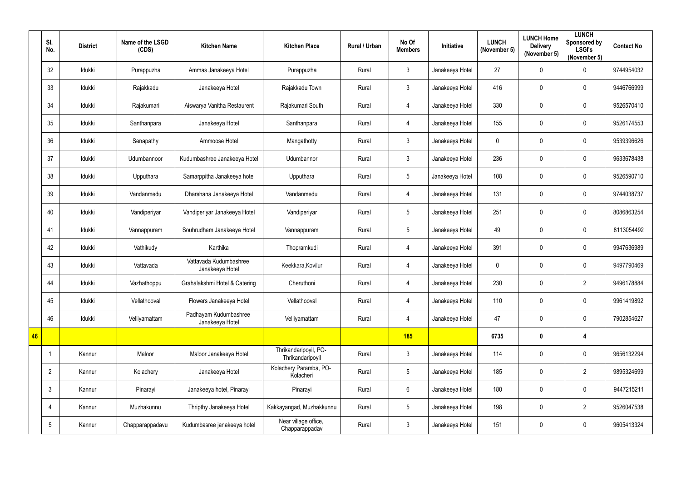|    | SI.<br>No.      | <b>District</b> | Name of the LSGD<br>(CDS) | <b>Kitchen Name</b>                       | <b>Kitchen Place</b>                      | Rural / Urban | No Of<br><b>Members</b> | Initiative      | <b>LUNCH</b><br>(November 5) | <b>LUNCH Home</b><br><b>Delivery</b><br>(November 5) | <b>LUNCH</b><br>Sponsored by<br><b>LSGI's</b><br>(November 5) | <b>Contact No</b> |
|----|-----------------|-----------------|---------------------------|-------------------------------------------|-------------------------------------------|---------------|-------------------------|-----------------|------------------------------|------------------------------------------------------|---------------------------------------------------------------|-------------------|
|    | 32              | Idukki          | Purappuzha                | Ammas Janakeeya Hotel                     | Purappuzha                                | Rural         | $\mathfrak{Z}$          | Janakeeya Hotel | 27                           | 0                                                    | $\mathbf 0$                                                   | 9744954032        |
|    | 33              | Idukki          | Rajakkadu                 | Janakeeya Hotel                           | Rajakkadu Town                            | Rural         | $\mathfrak{Z}$          | Janakeeya Hotel | 416                          | 0                                                    | $\mathbf 0$                                                   | 9446766999        |
|    | 34              | Idukki          | Rajakumari                | Aiswarya Vanitha Restaurent               | Rajakumari South                          | Rural         | $\overline{4}$          | Janakeeya Hotel | 330                          | 0                                                    | $\mathbf 0$                                                   | 9526570410        |
|    | 35              | Idukki          | Santhanpara               | Janakeeya Hotel                           | Santhanpara                               | Rural         | $\overline{4}$          | Janakeeya Hotel | 155                          | 0                                                    | $\mathbf 0$                                                   | 9526174553        |
|    | 36              | Idukki          | Senapathy                 | Ammoose Hotel                             | Mangathotty                               | Rural         | 3                       | Janakeeya Hotel | $\mathbf 0$                  | 0                                                    | $\mathbf 0$                                                   | 9539396626        |
|    | 37              | Idukki          | Udumbannoor               | Kudumbashree Janakeeya Hotel              | Udumbannor                                | Rural         | $\mathfrak{Z}$          | Janakeeya Hotel | 236                          | 0                                                    | $\mathbf 0$                                                   | 9633678438        |
|    | 38              | Idukki          | Upputhara                 | Samarppitha Janakeeya hotel               | Upputhara                                 | Rural         | 5                       | Janakeeya Hotel | 108                          | 0                                                    | $\mathbf 0$                                                   | 9526590710        |
|    | 39              | Idukki          | Vandanmedu                | Dharshana Janakeeya Hotel                 | Vandanmedu                                | Rural         | $\overline{4}$          | Janakeeya Hotel | 131                          | 0                                                    | $\mathbf 0$                                                   | 9744038737        |
|    | 40              | Idukki          | Vandiperiyar              | Vandiperiyar Janakeeya Hotel              | Vandiperiyar                              | Rural         | 5                       | Janakeeya Hotel | 251                          | 0                                                    | $\mathbf 0$                                                   | 8086863254        |
|    | 41              | Idukki          | Vannappuram               | Souhrudham Janakeeya Hotel                | Vannappuram                               | Rural         | 5                       | Janakeeya Hotel | 49                           | 0                                                    | $\mathbf 0$                                                   | 8113054492        |
|    | 42              | Idukki          | Vathikudy                 | Karthika                                  | Thopramkudi                               | Rural         | $\overline{4}$          | Janakeeya Hotel | 391                          | 0                                                    | $\mathbf 0$                                                   | 9947636989        |
|    | 43              | Idukki          | Vattavada                 | Vattavada Kudumbashree<br>Janakeeya Hotel | Keekkara, Kovilur                         | Rural         | $\overline{4}$          | Janakeeya Hotel | $\mathbf 0$                  | 0                                                    | $\mathbf 0$                                                   | 9497790469        |
|    | 44              | Idukki          | Vazhathoppu               | Grahalakshmi Hotel & Catering             | Cheruthoni                                | Rural         | 4                       | Janakeeya Hotel | 230                          | 0                                                    | $\overline{2}$                                                | 9496178884        |
|    | 45              | Idukki          | Vellathooval              | Flowers Janakeeya Hotel                   | Vellathooval                              | Rural         | $\overline{4}$          | Janakeeya Hotel | 110                          | 0                                                    | $\pmb{0}$                                                     | 9961419892        |
|    | 46              | Idukki          | Velliyamattam             | Padhayam Kudumbashree<br>Janakeeya Hotel  | Velliyamattam                             | Rural         | $\overline{4}$          | Janakeeya Hotel | 47                           | 0                                                    | $\mathbf 0$                                                   | 7902854627        |
| 46 |                 |                 |                           |                                           |                                           |               | <b>185</b>              |                 | 6735                         | $\bf{0}$                                             | $\overline{\mathbf{4}}$                                       |                   |
|    | $\mathbf{1}$    | Kannur          | Maloor                    | Maloor Janakeeya Hotel                    | Thrikandaripoyil, PO-<br>Thrikandaripoyil | Rural         | $\mathfrak{Z}$          | Janakeeya Hotel | 114                          | 0                                                    | $\mathbf 0$                                                   | 9656132294        |
|    | $\overline{2}$  | Kannur          | Kolachery                 | Janakeeya Hotel                           | Kolachery Paramba, PO-<br>Kolacheri       | Rural         | $5\overline{)}$         | Janakeeya Hotel | 185                          | 0                                                    | $\overline{2}$                                                | 9895324699        |
|    | $\mathbf{3}$    | Kannur          | Pinarayi                  | Janakeeya hotel, Pinarayi                 | Pinarayi                                  | Rural         | $6\,$                   | Janakeeya Hotel | 180                          | 0                                                    | $\overline{0}$                                                | 9447215211        |
|    | 4               | Kannur          | Muzhakunnu                | Thripthy Janakeeya Hotel                  | Kakkayangad, Muzhakkunnu                  | Rural         | 5                       | Janakeeya Hotel | 198                          | 0                                                    | $\overline{2}$                                                | 9526047538        |
|    | $5\phantom{.0}$ | Kannur          | Chapparappadavu           | Kudumbasree janakeeya hotel               | Near village office,<br>Chapparappadav    | Rural         | $\mathfrak{Z}$          | Janakeeya Hotel | 151                          | 0                                                    | $\pmb{0}$                                                     | 9605413324        |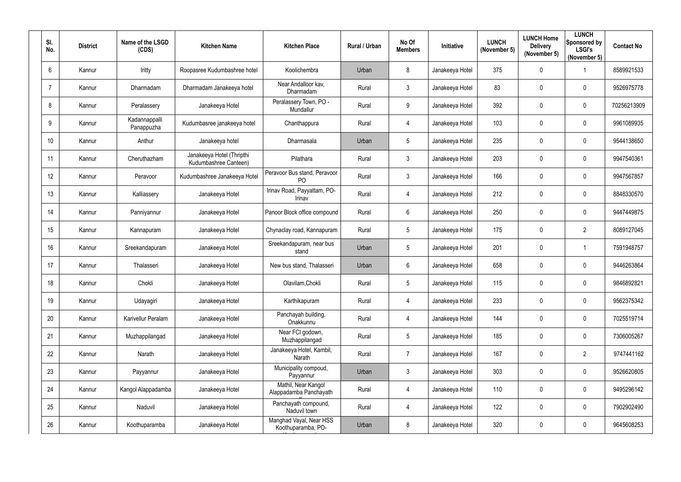| SI.<br>No. | <b>District</b> | Name of the LSGD<br>(CDS)   | <b>Kitchen Name</b>                                | <b>Kitchen Place</b>                          | Rural / Urban | No Of<br><b>Members</b> | Initiative      | <b>LUNCH</b><br>(November 5) | <b>LUNCH Home</b><br><b>Delivery</b><br>(November 5) | <b>LUNCH</b><br>Sponsored by<br><b>LSGI's</b><br>(November 5) | <b>Contact No</b> |
|------------|-----------------|-----------------------------|----------------------------------------------------|-----------------------------------------------|---------------|-------------------------|-----------------|------------------------------|------------------------------------------------------|---------------------------------------------------------------|-------------------|
| 6          | Kannur          | Iritty                      | Roopasree Kudumbashree hotel                       | Koolichembra                                  | Urban         | 8                       | Janakeeya Hotel | 375                          | $\mathbf 0$                                          |                                                               | 8589921533        |
|            | Kannur          | Dharmadam                   | Dharmadam Janakeeya hotel                          | Near Andalloor kav,<br>Dharmadam              | Rural         | 3                       | Janakeeya Hotel | 83                           | 0                                                    | $\mathbf 0$                                                   | 9526975778        |
| 8          | Kannur          | Peralassery                 | Janakeeya Hotel                                    | Peralassery Town, PO -<br>Mundallur           | Rural         | 9                       | Janakeeya Hotel | 392                          | $\mathbf 0$                                          | $\mathbf 0$                                                   | 70256213909       |
| 9          | Kannur          | Kadannappalli<br>Panappuzha | Kudumbasree janakeeya hotel                        | Chanthappura                                  | Rural         | $\overline{4}$          | Janakeeya Hotel | 103                          | 0                                                    | $\mathbf 0$                                                   | 9961089935        |
| 10         | Kannur          | Anthur                      | Janakeeya hotel                                    | Dharmasala                                    | Urban         | $5\overline{)}$         | Janakeeya Hotel | 235                          | 0                                                    | $\mathbf 0$                                                   | 9544138650        |
| 11         | Kannur          | Cheruthazham                | Janakeeya Hotel (Thripthi<br>Kudumbashree Canteen) | Pilathara                                     | Rural         | 3                       | Janakeeya Hotel | 203                          | $\mathbf 0$                                          | $\overline{0}$                                                | 9947540361        |
| 12         | Kannur          | Peravoor                    | Kudumbashree Janakeeya Hotel                       | Peravoor Bus stand, Peravoor<br><b>PO</b>     | Rural         | 3                       | Janakeeya Hotel | 166                          | 0                                                    | $\mathbf 0$                                                   | 9947567857        |
| 13         | Kannur          | Kalliassery                 | Janakeeya Hotel                                    | Irinav Road, Payyattam, PO-<br>Irinav         | Rural         | $\overline{4}$          | Janakeeya Hotel | 212                          | $\mathbf 0$                                          | $\mathbf 0$                                                   | 8848330570        |
| 14         | Kannur          | Panniyannur                 | Janakeeya Hotel                                    | Panoor Block office compound                  | Rural         | $6^{\circ}$             | Janakeeya Hotel | 250                          | $\mathbf 0$                                          | $\overline{0}$                                                | 9447449875        |
| 15         | Kannur          | Kannapuram                  | Janakeeya Hotel                                    | Chynaclay road, Kannapuram                    | Rural         | $5\overline{)}$         | Janakeeya Hotel | 175                          | $\mathbf 0$                                          | $\overline{2}$                                                | 8089127045        |
| 16         | Kannur          | Sreekandapuram              | Janakeeya Hotel                                    | Sreekandapuram, near bus<br>stand             | Urban         | $5\overline{)}$         | Janakeeya Hotel | 201                          | $\mathbf 0$                                          | -1                                                            | 7591948757        |
| 17         | Kannur          | Thalasseri                  | Janakeeya Hotel                                    | New bus stand, Thalasseri                     | Urban         | $6^{\circ}$             | Janakeeya Hotel | 658                          | 0                                                    | $\overline{0}$                                                | 9446263864        |
| 18         | Kannur          | Chokli                      | Janakeeya Hotel                                    | Olavilam, Chokli                              | Rural         | 5                       | Janakeeya Hotel | 115                          | 0                                                    | 0                                                             | 9846892821        |
| 19         | Kannur          | Udayagiri                   | Janakeeya Hotel                                    | Karthikapuram                                 | Rural         | $\overline{4}$          | Janakeeya Hotel | 233                          | $\mathbf 0$                                          | $\pmb{0}$                                                     | 9562375342        |
| 20         | Kannur          | Karivellur Peralam          | Janakeeya Hotel                                    | Panchayah building,<br>Onakkunnu              | Rural         | $\overline{4}$          | Janakeeya Hotel | 144                          | 0                                                    | $\mathbf 0$                                                   | 7025519714        |
| 21         | Kannur          | Muzhappilangad              | Janakeeya Hotel                                    | Near FCI godown,<br>Muzhappilangad            | Rural         | $5\phantom{.0}$         | Janakeeya Hotel | 185                          | $\mathbf 0$                                          | $\mathbf 0$                                                   | 7306005267        |
| 22         | Kannur          | Narath                      | Janakeeya Hotel                                    | Janakeeya Hotel, Kambil,<br>Narath            | Rural         | $\overline{7}$          | Janakeeya Hotel | 167                          | $\mathbf 0$                                          | $\overline{2}$                                                | 9747441162        |
| 23         | Kannur          | Payyannur                   | Janakeeya Hotel                                    | Municipality compoud,<br>Payyannur            | Urban         | $\mathbf{3}$            | Janakeeya Hotel | 303                          | $\mathbf 0$                                          | $\mathbf 0$                                                   | 9526620805        |
| 24         | Kannur          | Kangol Alappadamba          | Janakeeya Hotel                                    | Mathil, Near Kangol<br>Alappadamba Panchayath | Rural         | $\overline{4}$          | Janakeeya Hotel | 110                          | $\mathbf 0$                                          | $\pmb{0}$                                                     | 9495296142        |
| 25         | Kannur          | Naduvil                     | Janakeeya Hotel                                    | Panchayath compound,<br>Naduvil town          | Rural         | $\overline{4}$          | Janakeeya Hotel | 122                          | 0                                                    | $\mathbf 0$                                                   | 7902902490        |
| 26         | Kannur          | Koothuparamba               | Janakeeya Hotel                                    | Manghad Vayal, Near HSS<br>Koothuparamba, PO- | Urban         | 8                       | Janakeeya Hotel | 320                          | $\mathbf 0$                                          | $\bm{0}$                                                      | 9645608253        |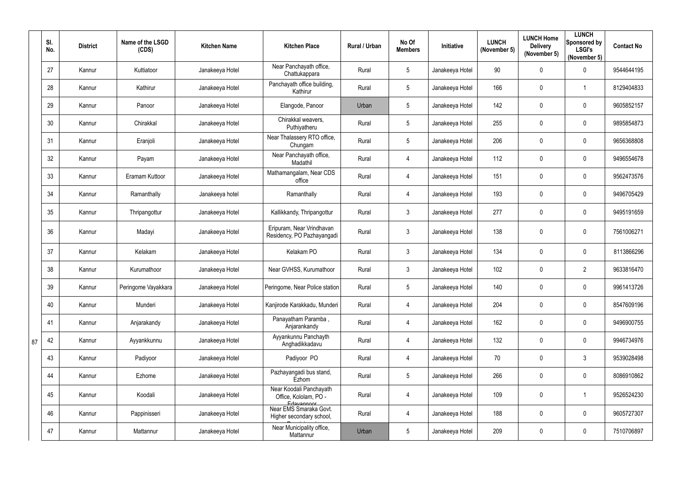|    | SI.<br>No. | <b>District</b> | Name of the LSGD<br>(CDS) | <b>Kitchen Name</b> | <b>Kitchen Place</b>                                           | Rural / Urban | No Of<br><b>Members</b> | Initiative      | <b>LUNCH</b><br>(November 5) | <b>LUNCH Home</b><br><b>Delivery</b><br>(November 5) | <b>LUNCH</b><br>Sponsored by<br><b>LSGI's</b><br>(November 5) | <b>Contact No</b> |
|----|------------|-----------------|---------------------------|---------------------|----------------------------------------------------------------|---------------|-------------------------|-----------------|------------------------------|------------------------------------------------------|---------------------------------------------------------------|-------------------|
|    | 27         | Kannur          | Kuttiatoor                | Janakeeya Hotel     | Near Panchayath office,<br>Chattukappara                       | Rural         | 5                       | Janakeeya Hotel | $90\,$                       | 0                                                    | $\mathbf 0$                                                   | 9544644195        |
|    | 28         | Kannur          | Kathirur                  | Janakeeya Hotel     | Panchayath office building,<br>Kathirur                        | Rural         | 5                       | Janakeeya Hotel | 166                          | $\mathbf 0$                                          |                                                               | 8129404833        |
|    | 29         | Kannur          | Panoor                    | Janakeeya Hotel     | Elangode, Panoor                                               | Urban         | 5                       | Janakeeya Hotel | 142                          | 0                                                    | $\overline{0}$                                                | 9605852157        |
|    | 30         | Kannur          | Chirakkal                 | Janakeeya Hotel     | Chirakkal weavers,<br>Puthiyatheru                             | Rural         | 5                       | Janakeeya Hotel | 255                          | 0                                                    | $\overline{0}$                                                | 9895854873        |
|    | 31         | Kannur          | Eranjoli                  | Janakeeya Hotel     | Near Thalassery RTO office,<br>Chungam                         | Rural         | 5                       | Janakeeya Hotel | 206                          | $\mathbf 0$                                          | $\mathbf 0$                                                   | 9656368808        |
|    | 32         | Kannur          | Payam                     | Janakeeya Hotel     | Near Panchayath office,<br>Madathil                            | Rural         | 4                       | Janakeeya Hotel | 112                          | 0                                                    | $\overline{0}$                                                | 9496554678        |
|    | 33         | Kannur          | Eramam Kuttoor            | Janakeeya Hotel     | Mathamangalam, Near CDS<br>office                              | Rural         | $\overline{4}$          | Janakeeya Hotel | 151                          | 0                                                    | $\mathbf 0$                                                   | 9562473576        |
|    | 34         | Kannur          | Ramanthally               | Janakeeya hotel     | Ramanthally                                                    | Rural         | 4                       | Janakeeya Hotel | 193                          | 0                                                    | $\mathbf 0$                                                   | 9496705429        |
|    | 35         | Kannur          | Thripangottur             | Janakeeya Hotel     | Kallikkandy, Thripangottur                                     | Rural         | $3\overline{3}$         | Janakeeya Hotel | 277                          | 0                                                    | $\mathbf 0$                                                   | 9495191659        |
|    | 36         | Kannur          | Madayi                    | Janakeeya Hotel     | Eripuram, Near Vrindhavan<br>Residency, PO Pazhayangadi        | Rural         | $\mathfrak{Z}$          | Janakeeya Hotel | 138                          | 0                                                    | $\mathbf 0$                                                   | 7561006271        |
|    | 37         | Kannur          | Kelakam                   | Janakeeya Hotel     | Kelakam PO                                                     | Rural         | $\mathbf{3}$            | Janakeeya Hotel | 134                          | 0                                                    | $\mathbf 0$                                                   | 8113866296        |
|    | 38         | Kannur          | Kurumathoor               | Janakeeya Hotel     | Near GVHSS, Kurumathoor                                        | Rural         | $\mathfrak{Z}$          | Janakeeya Hotel | 102                          | $\pmb{0}$                                            | $\overline{2}$                                                | 9633816470        |
|    | 39         | Kannur          | Peringome Vayakkara       | Janakeeya Hotel     | Peringome, Near Police station                                 | Rural         | 5                       | Janakeeya Hotel | 140                          | $\mathbf 0$                                          | $\mathbf 0$                                                   | 9961413726        |
|    | 40         | Kannur          | Munderi                   | Janakeeya Hotel     | Kanjirode Karakkadu, Munderi                                   | Rural         | 4                       | Janakeeya Hotel | 204                          | $\pmb{0}$                                            | $\overline{0}$                                                | 8547609196        |
|    | 41         | Kannur          | Anjarakandy               | Janakeeya Hotel     | Panayatham Paramba,<br>Anjarankandy                            | Rural         | $\overline{4}$          | Janakeeya Hotel | 162                          | $\pmb{0}$                                            | $\overline{0}$                                                | 9496900755        |
| 87 | 42         | Kannur          | Ayyankkunnu               | Janakeeya Hotel     | Ayyankunnu Panchayth<br>Anghadikkadavu                         | Rural         | 4                       | Janakeeya Hotel | 132                          | $\pmb{0}$                                            | $\overline{0}$                                                | 9946734976        |
|    | 43         | Kannur          | Padiyoor                  | Janakeeya Hotel     | Padiyoor PO                                                    | Rural         | $\overline{4}$          | Janakeeya Hotel | 70                           | $\pmb{0}$                                            | $\mathbf{3}$                                                  | 9539028498        |
|    | 44         | Kannur          | Ezhome                    | Janakeeya Hotel     | Pazhayangadi bus stand,<br>Ezhom                               | Rural         | 5                       | Janakeeya Hotel | 266                          | $\pmb{0}$                                            | $\overline{0}$                                                | 8086910862        |
|    | 45         | Kannur          | Koodali                   | Janakeeya Hotel     | Near Koodali Panchayath<br>Office, Kololam, PO -<br>Edayannoor | Rural         | 4                       | Janakeeya Hotel | 109                          | $\pmb{0}$                                            |                                                               | 9526524230        |
|    | 46         | Kannur          | Pappinisseri              | Janakeeya Hotel     | Near EMS Smaraka Govt.<br>Higher secondary school,             | Rural         | $\overline{4}$          | Janakeeya Hotel | 188                          | 0                                                    | $\overline{0}$                                                | 9605727307        |
|    | 47         | Kannur          | Mattannur                 | Janakeeya Hotel     | Near Municipality office,<br>Mattannur                         | Urban         | 5                       | Janakeeya Hotel | 209                          | 0                                                    | $\overline{0}$                                                | 7510706897        |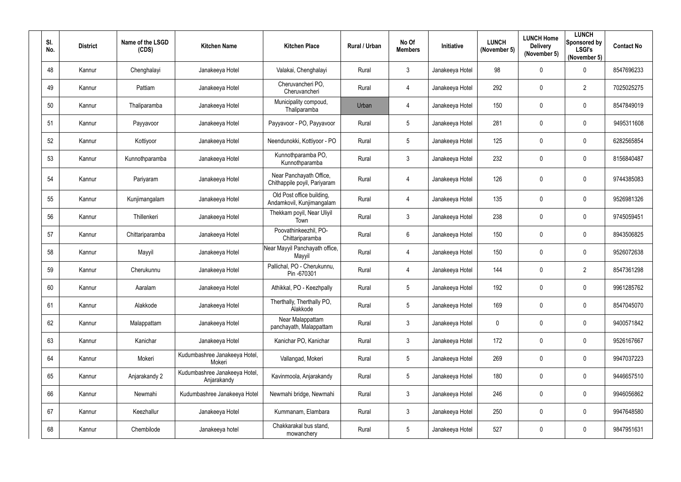| SI.<br>No. | <b>District</b> | Name of the LSGD<br>(CDS) | <b>Kitchen Name</b>                          | <b>Kitchen Place</b>                                    | Rural / Urban | No Of<br><b>Members</b> | Initiative      | <b>LUNCH</b><br>(November 5) | <b>LUNCH Home</b><br><b>Delivery</b><br>(November 5) | <b>LUNCH</b><br>Sponsored by<br><b>LSGI's</b><br>(November 5) | <b>Contact No</b> |
|------------|-----------------|---------------------------|----------------------------------------------|---------------------------------------------------------|---------------|-------------------------|-----------------|------------------------------|------------------------------------------------------|---------------------------------------------------------------|-------------------|
| 48         | Kannur          | Chenghalayi               | Janakeeya Hotel                              | Valakai, Chenghalayi                                    | Rural         | $\mathbf{3}$            | Janakeeya Hotel | 98                           | $\mathbf 0$                                          | $\mathbf 0$                                                   | 8547696233        |
| 49         | Kannur          | Pattiam                   | Janakeeya Hotel                              | Cheruvancheri PO,<br>Cheruvancheri                      | Rural         | $\overline{4}$          | Janakeeya Hotel | 292                          | $\mathbf 0$                                          | $\overline{2}$                                                | 7025025275        |
| 50         | Kannur          | Thaliparamba              | Janakeeya Hotel                              | Municipality compoud,<br>Thaliparamba                   | Urban         | 4                       | Janakeeya Hotel | 150                          | $\mathbf 0$                                          | $\mathbf 0$                                                   | 8547849019        |
| 51         | Kannur          | Payyavoor                 | Janakeeya Hotel                              | Payyavoor - PO, Payyavoor                               | Rural         | $5\overline{)}$         | Janakeeya Hotel | 281                          | $\mathbf 0$                                          | $\mathbf 0$                                                   | 9495311608        |
| 52         | Kannur          | Kottiyoor                 | Janakeeya Hotel                              | Neendunokki, Kottiyoor - PO                             | Rural         | $5\overline{)}$         | Janakeeya Hotel | 125                          | $\mathbf 0$                                          | $\overline{0}$                                                | 6282565854        |
| 53         | Kannur          | Kunnothparamba            | Janakeeya Hotel                              | Kunnothparamba PO,<br>Kunnothparamba                    | Rural         | $\mathbf{3}$            | Janakeeya Hotel | 232                          | $\mathbf 0$                                          | $\boldsymbol{0}$                                              | 8156840487        |
| 54         | Kannur          | Pariyaram                 | Janakeeya Hotel                              | Near Panchayath Office,<br>Chithappile poyil, Pariyaram | Rural         | $\overline{4}$          | Janakeeya Hotel | 126                          | 0                                                    | $\overline{0}$                                                | 9744385083        |
| 55         | Kannur          | Kunjimangalam             | Janakeeya Hotel                              | Old Post office building,<br>Andamkovil, Kunjimangalam  | Rural         | $\overline{4}$          | Janakeeya Hotel | 135                          | 0                                                    | $\mathbf 0$                                                   | 9526981326        |
| 56         | Kannur          | Thillenkeri               | Janakeeya Hotel                              | Thekkam poyil, Near Uliyil<br>Town                      | Rural         | $\mathbf{3}$            | Janakeeya Hotel | 238                          | $\mathbf 0$                                          | $\overline{0}$                                                | 9745059451        |
| 57         | Kannur          | Chittariparamba           | Janakeeya Hotel                              | Poovathinkeezhil, PO-<br>Chittariparamba                | Rural         | $6\overline{6}$         | Janakeeya Hotel | 150                          | $\mathbf 0$                                          | $\overline{0}$                                                | 8943506825        |
| 58         | Kannur          | Mayyil                    | Janakeeya Hotel                              | Near Mayyil Panchayath office,<br>Mayyil                | Rural         | $\overline{4}$          | Janakeeya Hotel | 150                          | $\mathbf 0$                                          | $\mathbf 0$                                                   | 9526072638        |
| 59         | Kannur          | Cherukunnu                | Janakeeya Hotel                              | Pallichal, PO - Cherukunnu,<br>Pin -670301              | Rural         | 4                       | Janakeeya Hotel | 144                          | $\mathbf 0$                                          | $\overline{2}$                                                | 8547361298        |
| 60         | Kannur          | Aaralam                   | Janakeeya Hotel                              | Athikkal, PO - Keezhpally                               | Rural         | $5\phantom{.0}$         | Janakeeya Hotel | 192                          | $\mathbf 0$                                          | $\mathbf 0$                                                   | 9961285762        |
| 61         | Kannur          | Alakkode                  | Janakeeya Hotel                              | Therthally, Therthally PO,<br>Alakkode                  | Rural         | $5\phantom{.0}$         | Janakeeya Hotel | 169                          | $\mathbf 0$                                          | $\mathbf 0$                                                   | 8547045070        |
| 62         | Kannur          | Malappattam               | Janakeeya Hotel                              | Near Malappattam<br>panchayath, Malappattam             | Rural         | $\mathbf{3}$            | Janakeeya Hotel | $\mathbf 0$                  | $\mathbf 0$                                          | $\mathbf 0$                                                   | 9400571842        |
| 63         | Kannur          | Kanichar                  | Janakeeya Hotel                              | Kanichar PO, Kanichar                                   | Rural         | $\mathbf{3}$            | Janakeeya Hotel | 172                          | $\mathbf 0$                                          | $\bm{0}$                                                      | 9526167667        |
| 64         | Kannur          | Mokeri                    | Kudumbashree Janakeeya Hotel,<br>Mokeri      | Vallangad, Mokeri                                       | Rural         | $5\phantom{.0}$         | Janakeeya Hotel | 269                          | $\pmb{0}$                                            | $\mathbf 0$                                                   | 9947037223        |
| 65         | Kannur          | Anjarakandy 2             | Kudumbashree Janakeeya Hotel,<br>Anjarakandy | Kavinmoola, Anjarakandy                                 | Rural         | $5\phantom{.0}$         | Janakeeya Hotel | 180                          | $\mathbf 0$                                          | $\mathbf 0$                                                   | 9446657510        |
| 66         | Kannur          | Newmahi                   | Kudumbashree Janakeeya Hotel                 | Newmahi bridge, Newmahi                                 | Rural         | $\mathfrak{Z}$          | Janakeeya Hotel | 246                          | $\mathbf 0$                                          | $\mathbf 0$                                                   | 9946056862        |
| 67         | Kannur          | Keezhallur                | Janakeeya Hotel                              | Kummanam, Elambara                                      | Rural         | $\mathfrak{Z}$          | Janakeeya Hotel | 250                          | $\pmb{0}$                                            | $\mathbf 0$                                                   | 9947648580        |
| 68         | Kannur          | Chembilode                | Janakeeya hotel                              | Chakkarakal bus stand,<br>mowanchery                    | Rural         | $5\phantom{.0}$         | Janakeeya Hotel | 527                          | $\mathbf 0$                                          | $\boldsymbol{0}$                                              | 9847951631        |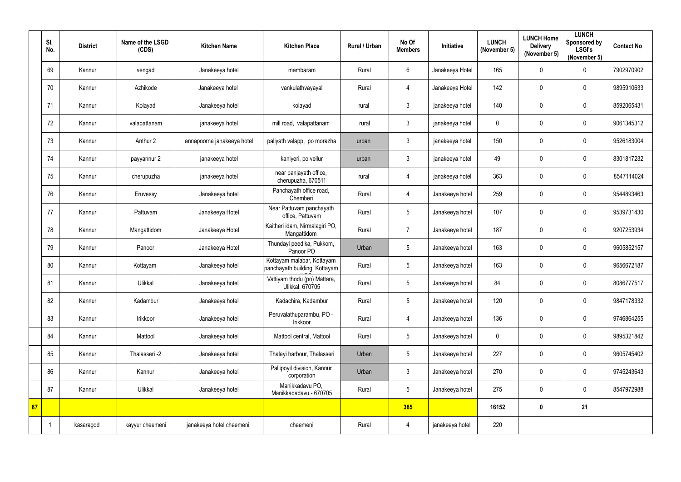|    | SI.<br>No. | <b>District</b> | Name of the LSGD<br>(CDS) | <b>Kitchen Name</b>        | <b>Kitchen Place</b>                                        | Rural / Urban | No Of<br><b>Members</b> | Initiative      | <b>LUNCH</b><br>(November 5) | <b>LUNCH Home</b><br><b>Delivery</b><br>(November 5) | <b>LUNCH</b><br><b>Sponsored by</b><br><b>LSGI's</b><br>(November 5) | <b>Contact No</b> |
|----|------------|-----------------|---------------------------|----------------------------|-------------------------------------------------------------|---------------|-------------------------|-----------------|------------------------------|------------------------------------------------------|----------------------------------------------------------------------|-------------------|
|    | 69         | Kannur          | vengad                    | Janakeeya hotel            | mambaram                                                    | Rural         | $6\phantom{.0}$         | Janakeeya Hotel | 165                          | 0                                                    | $\mathbf 0$                                                          | 7902970902        |
|    | 70         | Kannur          | Azhikode                  | Janakeeya hotel            | vankulathvayayal                                            | Rural         | $\overline{4}$          | Janakeeya Hotel | 142                          | 0                                                    | $\mathbf 0$                                                          | 9895910633        |
|    | 71         | Kannur          | Kolayad                   | Janakeeya hotel            | kolayad                                                     | rural         | $\mathfrak{Z}$          | janakeeya hotel | 140                          | 0                                                    | $\mathbf 0$                                                          | 8592065431        |
|    | 72         | Kannur          | valapattanam              | janakeeya hotel            | mill road, valapattanam                                     | rural         | $\mathfrak{Z}$          | janakeeya hotel | 0                            | $\pmb{0}$                                            | $\mathbf 0$                                                          | 9061345312        |
|    | 73         | Kannur          | Anthur 2                  | annapoorna janakeeya hotel | paliyath valapp, po morazha                                 | urban         | $\mathbf{3}$            | janakeeya hotel | 150                          | 0                                                    | $\mathbf 0$                                                          | 9526183004        |
|    | 74         | Kannur          | payyannur 2               | janakeeya hotel            | kaniyeri, po vellur                                         | urban         | $\mathfrak{Z}$          | janakeeya hotel | 49                           | 0                                                    | $\mathbf 0$                                                          | 8301817232        |
|    | 75         | Kannur          | cherupuzha                | janakeeya hotel            | near panjayath office,<br>cherupuzha, 670511                | rural         | $\overline{4}$          | janakeeya hotel | 363                          | 0                                                    | $\mathbf 0$                                                          | 8547114024        |
|    | 76         | Kannur          | Eruvessy                  | Janakeeya hotel            | Panchayath office road,<br>Chemberi                         | Rural         | $\overline{4}$          | Janakeeya hotel | 259                          | 0                                                    | $\mathbf 0$                                                          | 9544893463        |
|    | 77         | Kannur          | Pattuvam                  | Janakeeya Hotel            | Near Pattuvam panchayath<br>office, Pattuvam                | Rural         | $5\phantom{.0}$         | Janakeeya hotel | 107                          | $\pmb{0}$                                            | $\mathbf 0$                                                          | 9539731430        |
|    | 78         | Kannur          | Mangattidom               | Janakeeya Hotel            | Kaitheri idam, Nirmalagiri PO,<br>Mangattidom               | Rural         | $\overline{7}$          | Janakeeya hotel | 187                          | 0                                                    | $\mathbf 0$                                                          | 9207253934        |
|    | 79         | Kannur          | Panoor                    | Janakeeya Hotel            | Thundayi peedika, Pukkom,<br>Panoor PO                      | Urban         | 5                       | Janakeeya hotel | 163                          | 0                                                    | $\mathbf 0$                                                          | 9605852157        |
|    | 80         | Kannur          | Kottayam                  | Janakeeya hotel            | Kottayam malabar, Kottayam<br>panchayath building, Kottayam | Rural         | 5                       | Janakeeya hotel | 163                          | $\pmb{0}$                                            | $\mathbf 0$                                                          | 9656672187        |
|    | 81         | Kannur          | Ulikkal                   | Janakeeya hotel            | Vattiyam thodu (po) Mattara,<br>Ulikkal, 670705             | Rural         | 5                       | Janakeeya hotel | 84                           | $\mathbf 0$                                          | 0                                                                    | 8086777517        |
|    | 82         | Kannur          | Kadambur                  | Janakeeya hotel            | Kadachira, Kadambur                                         | Rural         | $5\phantom{.0}$         | Janakeeya hotel | 120                          | 0                                                    | $\mathbf 0$                                                          | 9847178332        |
|    | 83         | Kannur          | Irikkoor                  | Janakeeya hotel            | Peruvalathuparambu, PO -<br>Irikkoor                        | Rural         | $\overline{4}$          | Janakeeya hotel | 136                          | $\pmb{0}$                                            | $\mathbf 0$                                                          | 9746864255        |
|    | 84         | Kannur          | Mattool                   | Janakeeya hotel            | Mattool central, Mattool                                    | Rural         | $5\phantom{.0}$         | Janakeeya hotel | $\mathbf 0$                  | $\pmb{0}$                                            | $\mathbf 0$                                                          | 9895321842        |
|    | 85         | Kannur          | Thalasseri -2             | Janakeeya hotel            | Thalayi harbour, Thalasseri                                 | Urban         | 5                       | Janakeeya hotel | 227                          | $\pmb{0}$                                            | $\mathbf 0$                                                          | 9605745402        |
|    | 86         | Kannur          | Kannur                    | Janakeeya hotel            | Pallipoyil division, Kannur<br>corporation                  | Urban         | $\mathfrak{Z}$          | Janakeeya hotel | 270                          | 0                                                    | $\overline{0}$                                                       | 9745243643        |
|    | 87         | Kannur          | Ulikkal                   | Janakeeya hotel            | Manikkadavu PO,<br>Manikkadadavu - 670705                   | Rural         | $5\phantom{.0}$         | Janakeeya hotel | 275                          | $\pmb{0}$                                            | $\mathbf 0$                                                          | 8547972988        |
| 87 |            |                 |                           |                            |                                                             |               | 385                     |                 | 16152                        | $\boldsymbol{0}$                                     | 21                                                                   |                   |
|    |            | kasaragod       | kayyur cheemeni           | janakeeya hotel cheemeni   | cheemeni                                                    | Rural         | $\overline{4}$          | janakeeya hotel | 220                          |                                                      |                                                                      |                   |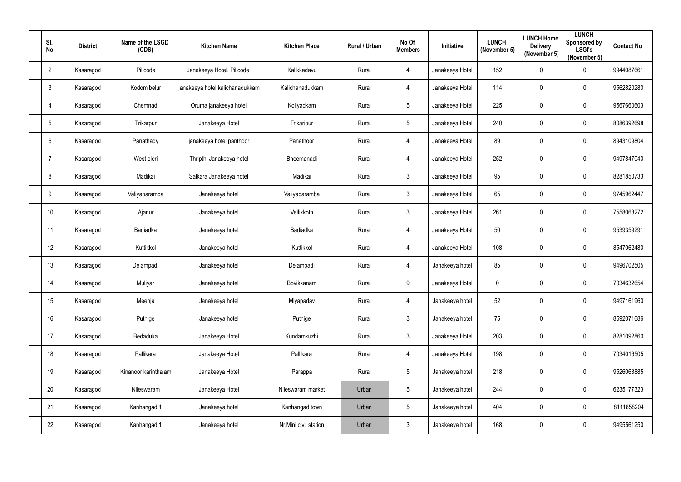| SI.<br>No.      | <b>District</b> | Name of the LSGD<br>(CDS) | <b>Kitchen Name</b>             | <b>Kitchen Place</b>  | Rural / Urban | No Of<br><b>Members</b> | Initiative      | <b>LUNCH</b><br>(November 5) | <b>LUNCH Home</b><br><b>Delivery</b><br>(November 5) | <b>LUNCH</b><br>Sponsored by<br><b>LSGI's</b><br>(November 5) | <b>Contact No</b> |
|-----------------|-----------------|---------------------------|---------------------------------|-----------------------|---------------|-------------------------|-----------------|------------------------------|------------------------------------------------------|---------------------------------------------------------------|-------------------|
| $\overline{2}$  | Kasaragod       | Pilicode                  | Janakeeya Hotel, Pilicode       | Kalikkadavu           | Rural         | $\overline{4}$          | Janakeeya Hotel | 152                          | 0                                                    | $\overline{0}$                                                | 9944087661        |
| $\mathbf{3}$    | Kasaragod       | Kodom belur               | janakeeya hotel kalichanadukkam | Kalichanadukkam       | Rural         | $\overline{4}$          | Janakeeya Hotel | 114                          | 0                                                    | $\overline{0}$                                                | 9562820280        |
| $\overline{4}$  | Kasaragod       | Chemnad                   | Oruma janakeeya hotel           | Koliyadkam            | Rural         | $5\phantom{.0}$         | Janakeeya Hotel | 225                          | 0                                                    | $\mathbf 0$                                                   | 9567660603        |
| $5\phantom{.0}$ | Kasaragod       | Trikarpur                 | Janakeeya Hotel                 | Trikaripur            | Rural         | $5\phantom{.0}$         | Janakeeya Hotel | 240                          | 0                                                    | $\mathbf 0$                                                   | 8086392698        |
| 6               | Kasaragod       | Panathady                 | janakeeya hotel panthoor        | Panathoor             | Rural         | $\overline{4}$          | Janakeeya Hotel | 89                           | 0                                                    | $\mathbf 0$                                                   | 8943109804        |
| 7               | Kasaragod       | West eleri                | Thripthi Janakeeya hotel        | Bheemanadi            | Rural         | $\overline{4}$          | Janakeeya Hotel | 252                          | 0                                                    | $\overline{0}$                                                | 9497847040        |
| 8               | Kasaragod       | Madikai                   | Salkara Janakeeya hotel         | Madikai               | Rural         | $\mathfrak{Z}$          | Janakeeya Hotel | 95                           | 0                                                    | $\mathbf 0$                                                   | 8281850733        |
| 9               | Kasaragod       | Valiyaparamba             | Janakeeya hotel                 | Valiyaparamba         | Rural         | $\mathbf{3}$            | Janakeeya Hotel | 65                           | 0                                                    | $\overline{0}$                                                | 9745962447        |
| 10              | Kasaragod       | Ajanur                    | Janakeeya hotel                 | Vellikkoth            | Rural         | $\mathfrak{Z}$          | Janakeeya Hotel | 261                          | 0                                                    | $\overline{0}$                                                | 7558068272        |
| 11              | Kasaragod       | Badiadka                  | Janakeeya hotel                 | Badiadka              | Rural         | $\overline{4}$          | Janakeeya Hotel | 50                           | 0                                                    | $\mathbf 0$                                                   | 9539359291        |
| 12              | Kasaragod       | Kuttikkol                 | Janakeeya hotel                 | Kuttikkol             | Rural         | $\overline{4}$          | Janakeeya Hotel | 108                          | 0                                                    | $\overline{0}$                                                | 8547062480        |
| 13              | Kasaragod       | Delampadi                 | Janakeeya hotel                 | Delampadi             | Rural         | $\overline{4}$          | Janakeeya hotel | 85                           | 0                                                    | $\mathbf 0$                                                   | 9496702505        |
| 14              | Kasaragod       | Muliyar                   | Janakeeya hotel                 | Bovikkanam            | Rural         | 9                       | Janakeeya Hotel | $\mathbf 0$                  | $\mathbf 0$                                          | $\mathbf 0$                                                   | 7034632654        |
| 15              | Kasaragod       | Meenja                    | Janakeeya hotel                 | Miyapadav             | Rural         | $\overline{4}$          | Janakeeya hotel | 52                           | 0                                                    | $\overline{0}$                                                | 9497161960        |
| 16              | Kasaragod       | Puthige                   | Janakeeya hotel                 | Puthige               | Rural         | $\mathfrak{Z}$          | Janakeeya hotel | 75                           | 0                                                    | $\overline{0}$                                                | 8592071686        |
| 17              | Kasaragod       | Bedaduka                  | Janakeeya Hotel                 | Kundamkuzhi           | Rural         | $\mathfrak{Z}$          | Janakeeya Hotel | 203                          | $\pmb{0}$                                            | $\overline{0}$                                                | 8281092860        |
| 18              | Kasaragod       | Pallikara                 | Janakeeya Hotel                 | Pallikara             | Rural         | $\overline{4}$          | Janakeeya Hotel | 198                          | $\pmb{0}$                                            | $\overline{0}$                                                | 7034016505        |
| 19              | Kasaragod       | Kinanoor karinthalam      | Janakeeya Hotel                 | Parappa               | Rural         | $5\phantom{.0}$         | Janakeeya hotel | 218                          | $\pmb{0}$                                            | $\overline{0}$                                                | 9526063885        |
| 20              | Kasaragod       | Nileswaram                | Janakeeya Hotel                 | Nileswaram market     | Urban         | $5\phantom{.0}$         | Janakeeya hotel | 244                          | $\pmb{0}$                                            | $\overline{0}$                                                | 6235177323        |
| 21              | Kasaragod       | Kanhangad 1               | Janakeeya hotel                 | Kanhangad town        | Urban         | $5\phantom{.0}$         | Janakeeya hotel | 404                          | $\pmb{0}$                                            | $\overline{0}$                                                | 8111858204        |
| 22              | Kasaragod       | Kanhangad 1               | Janakeeya hotel                 | Nr.Mini civil station | Urban         | $\mathfrak{Z}$          | Janakeeya hotel | 168                          | 0                                                    | $\overline{0}$                                                | 9495561250        |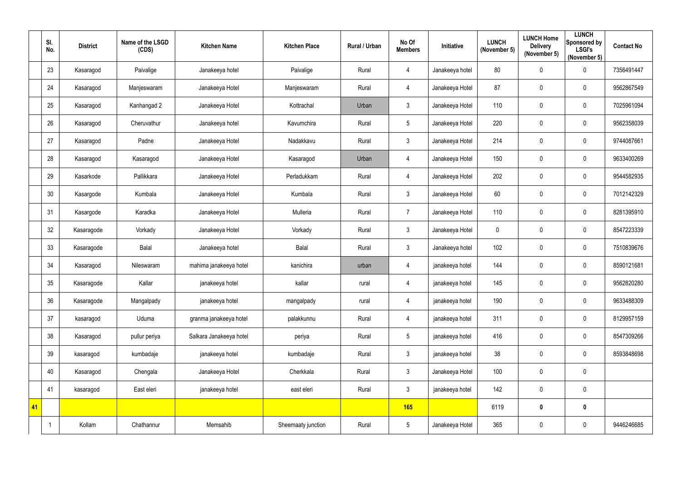|    | SI.<br>No. | <b>District</b> | Name of the LSGD<br>(CDS) | <b>Kitchen Name</b>     | <b>Kitchen Place</b> | Rural / Urban | No Of<br><b>Members</b> | Initiative      | <b>LUNCH</b><br>(November 5) | <b>LUNCH Home</b><br><b>Delivery</b><br>(November 5) | <b>LUNCH</b><br><b>Sponsored by</b><br><b>LSGI's</b><br>(November 5) | <b>Contact No</b> |
|----|------------|-----------------|---------------------------|-------------------------|----------------------|---------------|-------------------------|-----------------|------------------------------|------------------------------------------------------|----------------------------------------------------------------------|-------------------|
|    | 23         | Kasaragod       | Paivalige                 | Janakeeya hotel         | Paivalige            | Rural         | $\overline{4}$          | Janakeeya hotel | 80                           | $\pmb{0}$                                            | $\pmb{0}$                                                            | 7356491447        |
|    | 24         | Kasaragod       | Manjeswaram               | Janakeeya Hotel         | Manjeswaram          | Rural         | $\overline{4}$          | Janakeeya Hotel | 87                           | 0                                                    | $\mathbf 0$                                                          | 9562867549        |
|    | 25         | Kasaragod       | Kanhangad 2               | Janakeeya Hotel         | Kottrachal           | Urban         | $\mathfrak{Z}$          | Janakeeya Hotel | 110                          | 0                                                    | $\overline{0}$                                                       | 7025961094        |
|    | 26         | Kasaragod       | Cheruvathur               | Janakeeya hotel         | Kavumchira           | Rural         | $5\phantom{.0}$         | Janakeeya Hotel | 220                          | $\pmb{0}$                                            | $\mathbf 0$                                                          | 9562358039        |
|    | 27         | Kasaragod       | Padne                     | Janakeeya Hotel         | Nadakkavu            | Rural         | $\mathfrak{Z}$          | Janakeeya Hotel | 214                          | 0                                                    | $\overline{0}$                                                       | 9744087661        |
|    | 28         | Kasaragod       | Kasaragod                 | Janakeeya Hotel         | Kasaragod            | Urban         | $\overline{4}$          | Janakeeya Hotel | 150                          | $\pmb{0}$                                            | $\overline{0}$                                                       | 9633400269        |
|    | 29         | Kasarkode       | Pallikkara                | Janakeeya Hotel         | Perladukkam          | Rural         | $\overline{4}$          | Janakeeya Hotel | 202                          | $\pmb{0}$                                            | $\mathbf 0$                                                          | 9544582935        |
|    | 30         | Kasargode       | Kumbala                   | Janakeeya Hotel         | Kumbala              | Rural         | $\mathfrak{Z}$          | Janakeeya Hotel | 60                           | 0                                                    | $\overline{0}$                                                       | 7012142329        |
|    | 31         | Kasargode       | Karadka                   | Janakeeya Hotel         | Mulleria             | Rural         | $\overline{7}$          | Janakeeya Hotel | 110                          | $\pmb{0}$                                            | $\overline{0}$                                                       | 8281395910        |
|    | 32         | Kasaragode      | Vorkady                   | Janakeeya Hotel         | Vorkady              | Rural         | $\mathfrak{Z}$          | Janakeeya Hotel | $\pmb{0}$                    | 0                                                    | $\mathbf 0$                                                          | 8547223339        |
|    | 33         | Kasaragode      | <b>Balal</b>              | Janakeeya hotel         | Balal                | Rural         | $\mathfrak{Z}$          | Janakeeya hotel | 102                          | 0                                                    | $\overline{0}$                                                       | 7510839676        |
|    | 34         | Kasaragod       | Nileswaram                | mahima janakeeya hotel  | kanichira            | urban         | 4                       | janakeeya hotel | 144                          | $\pmb{0}$                                            | $\overline{0}$                                                       | 8590121681        |
|    | 35         | Kasaragode      | Kallar                    | janakeeya hotel         | kallar               | rural         | 4                       | janakeeya hotel | 145                          | $\mathbf 0$                                          | 0                                                                    | 9562820280        |
|    | 36         | Kasaragode      | Mangalpady                | janakeeya hotel         | mangalpady           | rural         | $\overline{4}$          | janakeeya hotel | 190                          | $\pmb{0}$                                            | $\mathbf 0$                                                          | 9633488309        |
|    | 37         | kasaragod       | Uduma                     | granma janakeeya hotel  | palakkunnu           | Rural         | $\overline{4}$          | janakeeya hotel | 311                          | $\pmb{0}$                                            | $\mathbf 0$                                                          | 8129957159        |
|    | 38         | Kasaragod       | pullur periya             | Salkara Janakeeya hotel | periya               | Rural         | $5\phantom{.0}$         | janakeeya hotel | 416                          | $\pmb{0}$                                            | $\mathbf 0$                                                          | 8547309266        |
|    | 39         | kasaragod       | kumbadaje                 | janakeeya hotel         | kumbadaje            | Rural         | $\mathfrak{Z}$          | janakeeya hotel | 38                           | $\pmb{0}$                                            | $\mathbf 0$                                                          | 8593848698        |
|    | 40         | Kasaragod       | Chengala                  | Janakeeya Hotel         | Cherkkala            | Rural         | $\mathfrak{Z}$          | Janakeeya Hotel | 100                          | $\pmb{0}$                                            | $\overline{0}$                                                       |                   |
|    | 41         | kasaragod       | East eleri                | janakeeya hotel         | east eleri           | Rural         | $\mathfrak{Z}$          | janakeeya hotel | 142                          | $\pmb{0}$                                            | $\overline{0}$                                                       |                   |
| 41 |            |                 |                           |                         |                      |               | 165                     |                 | 6119                         | $\boldsymbol{0}$                                     | $\boldsymbol{0}$                                                     |                   |
|    |            | Kollam          | Chathannur                | Memsahib                | Sheemaaty junction   | Rural         | $5\phantom{.0}$         | Janakeeya Hotel | 365                          | $\pmb{0}$                                            | $\mathbf 0$                                                          | 9446246685        |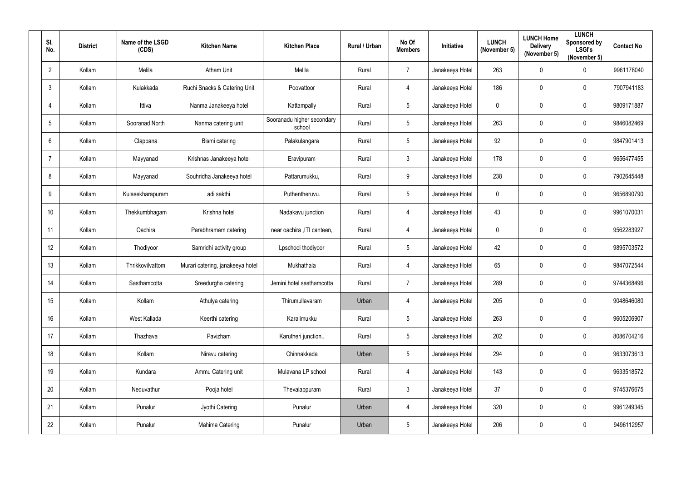| SI.<br>No.      | <b>District</b> | Name of the LSGD<br>(CDS) | <b>Kitchen Name</b>              | <b>Kitchen Place</b>                 | Rural / Urban | No Of<br><b>Members</b> | Initiative      | <b>LUNCH</b><br>(November 5) | <b>LUNCH Home</b><br><b>Delivery</b><br>(November 5) | <b>LUNCH</b><br>Sponsored by<br><b>LSGI's</b><br>(November 5) | <b>Contact No</b> |
|-----------------|-----------------|---------------------------|----------------------------------|--------------------------------------|---------------|-------------------------|-----------------|------------------------------|------------------------------------------------------|---------------------------------------------------------------|-------------------|
| $\overline{2}$  | Kollam          | Melila                    | <b>Atham Unit</b>                | Melila                               | Rural         | $\overline{7}$          | Janakeeya Hotel | 263                          | $\mathbf 0$                                          | $\mathbf 0$                                                   | 9961178040        |
| 3               | Kollam          | Kulakkada                 | Ruchi Snacks & Catering Unit     | Poovattoor                           | Rural         | $\overline{4}$          | Janakeeya Hotel | 186                          | $\mathbf 0$                                          | $\mathbf 0$                                                   | 7907941183        |
| 4               | Kollam          | Ittiva                    | Nanma Janakeeya hotel            | Kattampally                          | Rural         | $5\phantom{.0}$         | Janakeeya Hotel | $\overline{0}$               | $\mathbf 0$                                          | $\mathbf 0$                                                   | 9809171887        |
| $5\phantom{.0}$ | Kollam          | Sooranad North            | Nanma catering unit              | Sooranadu higher secondary<br>school | Rural         | $5\overline{)}$         | Janakeeya Hotel | 263                          | $\mathbf 0$                                          | $\mathbf 0$                                                   | 9846082469        |
| 6               | Kollam          | Clappana                  | Bismi catering                   | Palakulangara                        | Rural         | $5\overline{)}$         | Janakeeya Hotel | 92                           | $\mathbf 0$                                          | $\overline{0}$                                                | 9847901413        |
| -7              | Kollam          | Mayyanad                  | Krishnas Janakeeya hotel         | Eravipuram                           | Rural         | $\mathbf{3}$            | Janakeeya Hotel | 178                          | $\mathbf 0$                                          | $\boldsymbol{0}$                                              | 9656477455        |
| 8               | Kollam          | Mayyanad                  | Souhridha Janakeeya hotel        | Pattarumukku,                        | Rural         | 9                       | Janakeeya Hotel | 238                          | 0                                                    | $\overline{0}$                                                | 7902645448        |
| 9               | Kollam          | Kulasekharapuram          | adi sakthi                       | Puthentheruvu.                       | Rural         | $5\phantom{.0}$         | Janakeeya Hotel | $\mathbf 0$                  | $\mathbf 0$                                          | $\mathbf 0$                                                   | 9656890790        |
| 10              | Kollam          | Thekkumbhagam             | Krishna hotel                    | Nadakavu junction                    | Rural         | $\overline{4}$          | Janakeeya Hotel | 43                           | $\mathbf 0$                                          | $\overline{0}$                                                | 9961070031        |
| 11              | Kollam          | Oachira                   | Parabhramam catering             | near oachira , ITI canteen,          | Rural         | $\overline{4}$          | Janakeeya Hotel | $\mathbf 0$                  | $\mathbf 0$                                          | $\mathbf 0$                                                   | 9562283927        |
| 12              | Kollam          | Thodiyoor                 | Samridhi activity group          | Lpschool thodiyoor                   | Rural         | $5\overline{)}$         | Janakeeya Hotel | 42                           | $\mathbf 0$                                          | $\overline{0}$                                                | 9895703572        |
| 13              | Kollam          | Thrikkovilvattom          | Murari catering, janakeeya hotel | Mukhathala                           | Rural         | $\overline{4}$          | Janakeeya Hotel | 65                           | $\mathbf 0$                                          | $\overline{0}$                                                | 9847072544        |
| 14              | Kollam          | Sasthamcotta              | Sreedurgha catering              | Jemini hotel sasthamcotta            | Rural         | $\overline{7}$          | Janakeeya Hotel | 289                          | 0                                                    | 0                                                             | 9744368496        |
| 15              | Kollam          | Kollam                    | Athulya catering                 | Thirumullavaram                      | Urban         | $\overline{4}$          | Janakeeya Hotel | 205                          | $\mathbf 0$                                          | $\boldsymbol{0}$                                              | 9048646080        |
| 16              | Kollam          | West Kallada              | Keerthi catering                 | Karalimukku                          | Rural         | $5\phantom{.0}$         | Janakeeya Hotel | 263                          | $\mathbf 0$                                          | $\pmb{0}$                                                     | 9605206907        |
| 17              | Kollam          | Thazhava                  | Pavizham                         | Karutheri junction                   | Rural         | $5\phantom{.0}$         | Janakeeya Hotel | 202                          | $\mathbf 0$                                          | $\mathbf 0$                                                   | 8086704216        |
| 18              | Kollam          | Kollam                    | Niravu catering                  | Chinnakkada                          | Urban         | $5\phantom{.0}$         | Janakeeya Hotel | 294                          | $\mathbf 0$                                          | $\boldsymbol{0}$                                              | 9633073613        |
| 19              | Kollam          | Kundara                   | Ammu Catering unit               | Mulavana LP school                   | Rural         | $\overline{4}$          | Janakeeya Hotel | 143                          | $\mathbf 0$                                          | $\mathbf 0$                                                   | 9633518572        |
| 20              | Kollam          | Neduvathur                | Pooja hotel                      | Thevalappuram                        | Rural         | $3\overline{3}$         | Janakeeya Hotel | 37                           | $\mathbf 0$                                          | $\mathbf 0$                                                   | 9745376675        |
| 21              | Kollam          | Punalur                   | Jyothi Catering                  | Punalur                              | Urban         | $\overline{4}$          | Janakeeya Hotel | 320                          | $\mathbf 0$                                          | $\pmb{0}$                                                     | 9961249345        |
| 22              | Kollam          | Punalur                   | Mahima Catering                  | Punalur                              | Urban         | $5\phantom{.0}$         | Janakeeya Hotel | 206                          | $\mathbf 0$                                          | $\bm{0}$                                                      | 9496112957        |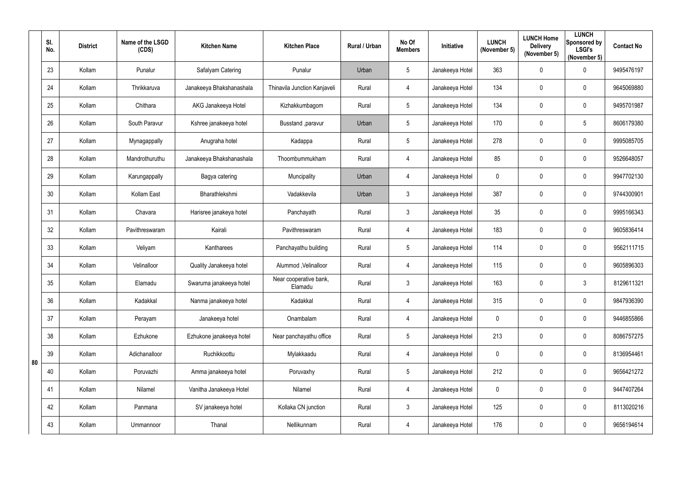|    | SI.<br>No. | <b>District</b> | Name of the LSGD<br>(CDS) | <b>Kitchen Name</b>      | <b>Kitchen Place</b>              | Rural / Urban | No Of<br><b>Members</b> | Initiative      | <b>LUNCH</b><br>(November 5) | <b>LUNCH Home</b><br><b>Delivery</b><br>(November 5) | <b>LUNCH</b><br>Sponsored by<br><b>LSGI's</b><br>(November 5) | <b>Contact No</b> |
|----|------------|-----------------|---------------------------|--------------------------|-----------------------------------|---------------|-------------------------|-----------------|------------------------------|------------------------------------------------------|---------------------------------------------------------------|-------------------|
|    | 23         | Kollam          | Punalur                   | Safalyam Catering        | Punalur                           | Urban         | 5                       | Janakeeya Hotel | 363                          | 0                                                    | $\mathbf 0$                                                   | 9495476197        |
|    | 24         | Kollam          | Thrikkaruva               | Janakeeya Bhakshanashala | Thinavila Junction Kanjaveli      | Rural         | $\overline{4}$          | Janakeeya Hotel | 134                          | 0                                                    | $\mathbf 0$                                                   | 9645069880        |
|    | 25         | Kollam          | Chithara                  | AKG Janakeeya Hotel      | Kizhakkumbagom                    | Rural         | 5                       | Janakeeya Hotel | 134                          | 0                                                    | $\mathbf 0$                                                   | 9495701987        |
|    | 26         | Kollam          | South Paravur             | Kshree janakeeya hotel   | Busstand , paravur                | Urban         | 5                       | Janakeeya Hotel | 170                          | 0                                                    | $\overline{5}$                                                | 8606179380        |
|    | 27         | Kollam          | Mynagappally              | Anugraha hotel           | Kadappa                           | Rural         | 5                       | Janakeeya Hotel | 278                          | 0                                                    | $\mathbf 0$                                                   | 9995085705        |
|    | 28         | Kollam          | Mandrothuruthu            | Janakeeya Bhakshanashala | Thoombummukham                    | Rural         | $\overline{4}$          | Janakeeya Hotel | 85                           | 0                                                    | $\mathbf 0$                                                   | 9526648057        |
|    | 29         | Kollam          | Karungappally             | Bagya catering           | Muncipality                       | Urban         | $\overline{4}$          | Janakeeya Hotel | $\mathbf 0$                  | 0                                                    | $\mathbf 0$                                                   | 9947702130        |
|    | 30         | Kollam          | Kollam East               | Bharathlekshmi           | Vadakkevila                       | Urban         | $\mathfrak{Z}$          | Janakeeya Hotel | 387                          | 0                                                    | $\mathbf 0$                                                   | 9744300901        |
|    | 31         | Kollam          | Chavara                   | Harisree janakeya hotel  | Panchayath                        | Rural         | 3                       | Janakeeya Hotel | 35                           | 0                                                    | $\mathbf 0$                                                   | 9995166343        |
|    | 32         | Kollam          | Pavithreswaram            | Kairali                  | Pavithreswaram                    | Rural         | $\overline{4}$          | Janakeeya Hotel | 183                          | 0                                                    | $\mathbf 0$                                                   | 9605836414        |
|    | 33         | Kollam          | Veliyam                   | Kantharees               | Panchayathu building              | Rural         | 5                       | Janakeeya Hotel | 114                          | 0                                                    | $\mathbf 0$                                                   | 9562111715        |
|    | 34         | Kollam          | Velinalloor               | Quality Janakeeya hotel  | Alummod, Velinalloor              | Rural         | $\overline{4}$          | Janakeeya Hotel | 115                          | 0                                                    | $\mathbf 0$                                                   | 9605896303        |
|    | 35         | Kollam          | Elamadu                   | Swaruma janakeeya hotel  | Near cooperative bank,<br>Elamadu | Rural         | 3                       | Janakeeya Hotel | 163                          | 0                                                    | $\mathbf{3}$                                                  | 8129611321        |
|    | 36         | Kollam          | Kadakkal                  | Nanma janakeeya hotel    | Kadakkal                          | Rural         | $\overline{4}$          | Janakeeya Hotel | 315                          | 0                                                    | $\pmb{0}$                                                     | 9847936390        |
|    | 37         | Kollam          | Perayam                   | Janakeeya hotel          | Onambalam                         | Rural         | $\overline{4}$          | Janakeeya Hotel | $\mathbf 0$                  | 0                                                    | $\mathbf 0$                                                   | 9446855866        |
|    | 38         | Kollam          | Ezhukone                  | Ezhukone janakeeya hotel | Near panchayathu office           | Rural         | 5                       | Janakeeya Hotel | 213                          | 0                                                    | $\pmb{0}$                                                     | 8086757275        |
|    | 39         | Kollam          | Adichanalloor             | Ruchikkoottu             | Mylakkaadu                        | Rural         | $\overline{4}$          | Janakeeya Hotel | $\mathbf 0$                  | 0                                                    | $\pmb{0}$                                                     | 8136954461        |
| 80 | 40         | Kollam          | Poruvazhi                 | Amma janakeeya hotel     | Poruvaxhy                         | Rural         | $5\overline{)}$         | Janakeeya Hotel | 212                          | 0                                                    | $\mathbf 0$                                                   | 9656421272        |
|    | 41         | Kollam          | Nilamel                   | Vanitha Janakeeya Hotel  | Nilamel                           | Rural         | $\overline{4}$          | Janakeeya Hotel | $\mathbf 0$                  | 0                                                    | $\pmb{0}$                                                     | 9447407264        |
|    | 42         | Kollam          | Panmana                   | SV janakeeya hotel       | Kollaka CN junction               | Rural         | $\mathfrak{Z}$          | Janakeeya Hotel | 125                          | 0                                                    | $\mathbf 0$                                                   | 8113020216        |
|    | 43         | Kollam          | Ummannoor                 | Thanal                   | Nellikunnam                       | Rural         | $\overline{4}$          | Janakeeya Hotel | 176                          | 0                                                    | $\overline{0}$                                                | 9656194614        |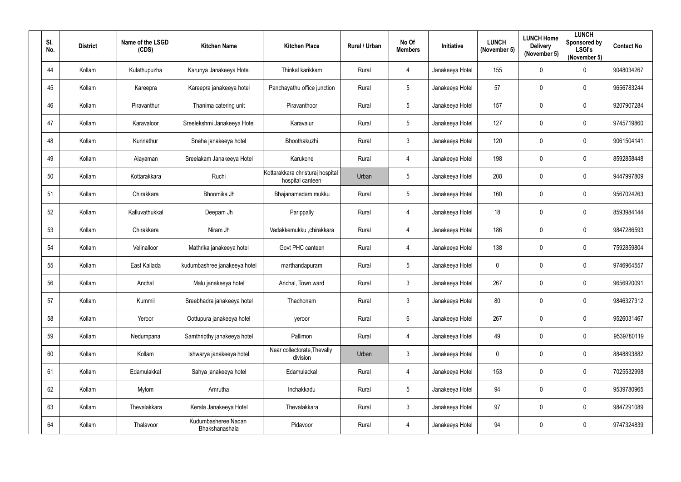| SI.<br>No. | <b>District</b> | Name of the LSGD<br>(CDS) | <b>Kitchen Name</b>                   | <b>Kitchen Place</b>                                 | Rural / Urban | No Of<br><b>Members</b> | <b>Initiative</b> | <b>LUNCH</b><br>(November 5) | <b>LUNCH Home</b><br><b>Delivery</b><br>(November 5) | <b>LUNCH</b><br>Sponsored by<br><b>LSGI's</b><br>(November 5) | <b>Contact No</b> |
|------------|-----------------|---------------------------|---------------------------------------|------------------------------------------------------|---------------|-------------------------|-------------------|------------------------------|------------------------------------------------------|---------------------------------------------------------------|-------------------|
| 44         | Kollam          | Kulathupuzha              | Karunya Janakeeya Hotel               | Thinkal karikkam                                     | Rural         | $\overline{4}$          | Janakeeya Hotel   | 155                          | $\mathbf 0$                                          | $\mathbf 0$                                                   | 9048034267        |
| 45         | Kollam          | Kareepra                  | Kareepra janakeeya hotel              | Panchayathu office junction                          | Rural         | $5\overline{)}$         | Janakeeya Hotel   | 57                           | $\mathbf 0$                                          | $\overline{0}$                                                | 9656783244        |
| 46         | Kollam          | Piravanthur               | Thanima catering unit                 | Piravanthoor                                         | Rural         | $5\phantom{.0}$         | Janakeeya Hotel   | 157                          | $\mathbf 0$                                          | $\overline{0}$                                                | 9207907284        |
| 47         | Kollam          | Karavaloor                | Sreelekshmi Janakeeya Hotel           | Karavalur                                            | Rural         | $5\overline{)}$         | Janakeeya Hotel   | 127                          | $\overline{0}$                                       | $\mathbf 0$                                                   | 9745719860        |
| 48         | Kollam          | Kunnathur                 | Sneha janakeeya hotel                 | Bhoothakuzhi                                         | Rural         | 3                       | Janakeeya Hotel   | 120                          | 0                                                    | $\overline{0}$                                                | 9061504141        |
| 49         | Kollam          | Alayaman                  | Sreelakam Janakeeya Hotel             | Karukone                                             | Rural         | 4                       | Janakeeya Hotel   | 198                          | $\overline{0}$                                       | $\boldsymbol{0}$                                              | 8592858448        |
| 50         | Kollam          | Kottarakkara              | Ruchi                                 | Kottarakkara christuraj hospital<br>hospital canteen | Urban         | $5\phantom{.0}$         | Janakeeya Hotel   | 208                          | 0                                                    | $\overline{0}$                                                | 9447997809        |
| 51         | Kollam          | Chirakkara                | Bhoomika Jh                           | Bhajanamadam mukku                                   | Rural         | $5\phantom{.0}$         | Janakeeya Hotel   | 160                          | $\mathbf 0$                                          | $\overline{0}$                                                | 9567024263        |
| 52         | Kollam          | Kalluvathukkal            | Deepam Jh                             | Parippally                                           | Rural         | 4                       | Janakeeya Hotel   | 18                           | $\mathbf 0$                                          | $\overline{0}$                                                | 8593984144        |
| 53         | Kollam          | Chirakkara                | Niram Jh                              | Vadakkemukku ,chirakkara                             | Rural         | 4                       | Janakeeya Hotel   | 186                          | $\mathbf 0$                                          | $\mathbf 0$                                                   | 9847286593        |
| 54         | Kollam          | Velinalloor               | Mathrika janakeeya hotel              | Govt PHC canteen                                     | Rural         | 4                       | Janakeeya Hotel   | 138                          | $\mathbf 0$                                          | $\overline{0}$                                                | 7592859804        |
| 55         | Kollam          | East Kallada              | kudumbashree janakeeya hotel          | marthandapuram                                       | Rural         | $5\overline{)}$         | Janakeeya Hotel   | $\mathbf 0$                  | $\overline{0}$                                       | $\overline{0}$                                                | 9746964557        |
| 56         | Kollam          | Anchal                    | Malu janakeeya hotel                  | Anchal, Town ward                                    | Rural         | $\mathbf{3}$            | Janakeeya Hotel   | 267                          | $\mathbf 0$                                          | $\overline{0}$                                                | 9656920091        |
| 57         | Kollam          | Kummil                    | Sreebhadra janakeeya hotel            | Thachonam                                            | Rural         | 3 <sup>1</sup>          | Janakeeya Hotel   | 80                           | $\mathbf 0$                                          | $\mathbf 0$                                                   | 9846327312        |
| 58         | Kollam          | Yeroor                    | Oottupura janakeeya hotel             | yeroor                                               | Rural         | $6\overline{6}$         | Janakeeya Hotel   | 267                          | $\mathbf 0$                                          | $\pmb{0}$                                                     | 9526031467        |
| 59         | Kollam          | Nedumpana                 | Samthripthy janakeeya hotel           | Pallimon                                             | Rural         | $\overline{4}$          | Janakeeya Hotel   | 49                           | $\mathbf 0$                                          | $\mathbf 0$                                                   | 9539780119        |
| 60         | Kollam          | Kollam                    | Ishwarya janakeeya hotel              | Near collectorate, Thevally<br>division              | Urban         | 3 <sup>1</sup>          | Janakeeya Hotel   | $\pmb{0}$                    | $\mathbf 0$                                          | $\boldsymbol{0}$                                              | 8848893882        |
| 61         | Kollam          | Edamulakkal               | Sahya janakeeya hotel                 | Edamulackal                                          | Rural         | $\overline{4}$          | Janakeeya Hotel   | 153                          | $\mathbf 0$                                          | $\mathbf 0$                                                   | 7025532998        |
| 62         | Kollam          | Mylom                     | Amrutha                               | Inchakkadu                                           | Rural         | $5\overline{)}$         | Janakeeya Hotel   | 94                           | $\mathbf 0$                                          | $\pmb{0}$                                                     | 9539780965        |
| 63         | Kollam          | Thevalakkara              | Kerala Janakeeya Hotel                | Thevalakkara                                         | Rural         | $3\phantom{.0}$         | Janakeeya Hotel   | 97                           | $\mathbf 0$                                          | $\pmb{0}$                                                     | 9847291089        |
| 64         | Kollam          | Thalavoor                 | Kudumbasheree Nadan<br>Bhakshanashala | Pidavoor                                             | Rural         | $\overline{4}$          | Janakeeya Hotel   | 94                           | $\mathbf 0$                                          | $\bm{0}$                                                      | 9747324839        |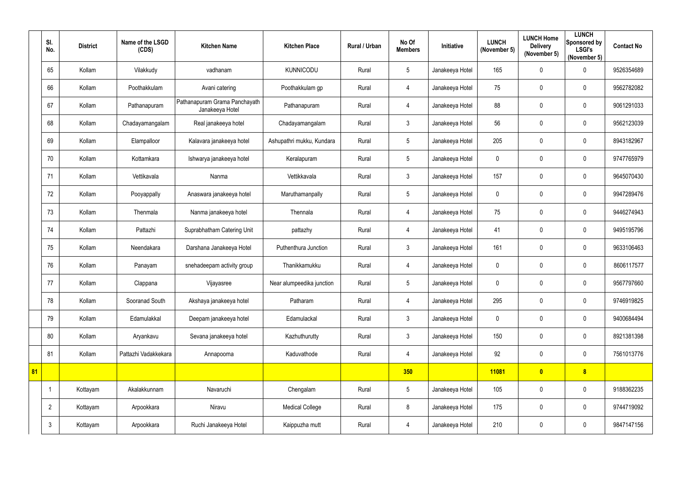|    | SI.<br>No.     | <b>District</b> | Name of the LSGD<br>(CDS) | <b>Kitchen Name</b>                              | <b>Kitchen Place</b>      | Rural / Urban | No Of<br><b>Members</b> | Initiative      | <b>LUNCH</b><br>(November 5) | <b>LUNCH Home</b><br><b>Delivery</b><br>(November 5) | <b>LUNCH</b><br>Sponsored by<br><b>LSGI's</b><br>(November 5) | <b>Contact No</b> |
|----|----------------|-----------------|---------------------------|--------------------------------------------------|---------------------------|---------------|-------------------------|-----------------|------------------------------|------------------------------------------------------|---------------------------------------------------------------|-------------------|
|    | 65             | Kollam          | Vilakkudy                 | vadhanam                                         | <b>KUNNICODU</b>          | Rural         | $5\phantom{.0}$         | Janakeeya Hotel | 165                          | $\mathbf 0$                                          | $\mathbf 0$                                                   | 9526354689        |
|    | 66             | Kollam          | Poothakkulam              | Avani catering                                   | Poothakkulam gp           | Rural         | 4                       | Janakeeya Hotel | 75                           | 0                                                    | $\mathbf 0$                                                   | 9562782082        |
|    | 67             | Kollam          | Pathanapuram              | Pathanapuram Grama Panchayath<br>Janakeeya Hotel | Pathanapuram              | Rural         | 4                       | Janakeeya Hotel | 88                           | $\mathbf 0$                                          | $\mathbf 0$                                                   | 9061291033        |
|    | 68             | Kollam          | Chadayamangalam           | Real janakeeya hotel                             | Chadayamangalam           | Rural         | $\mathfrak{Z}$          | Janakeeya Hotel | 56                           | 0                                                    | $\mathbf 0$                                                   | 9562123039        |
|    | 69             | Kollam          | Elampalloor               | Kalavara janakeeya hotel                         | Ashupathri mukku, Kundara | Rural         | $5\overline{)}$         | Janakeeya Hotel | 205                          | $\mathbf 0$                                          | $\mathbf 0$                                                   | 8943182967        |
|    | 70             | Kollam          | Kottamkara                | Ishwarya janakeeya hotel                         | Keralapuram               | Rural         | $5\phantom{.0}$         | Janakeeya Hotel | $\mathbf 0$                  | $\pmb{0}$                                            | $\overline{0}$                                                | 9747765979        |
|    | 71             | Kollam          | Vettikavala               | Nanma                                            | Vettikkavala              | Rural         | $\mathfrak{Z}$          | Janakeeya Hotel | 157                          | 0                                                    | $\mathbf 0$                                                   | 9645070430        |
|    | 72             | Kollam          | Pooyappally               | Anaswara janakeeya hotel                         | Maruthamanpally           | Rural         | $5\phantom{.0}$         | Janakeeya Hotel | $\mathbf 0$                  | 0                                                    | $\mathbf 0$                                                   | 9947289476        |
|    | 73             | Kollam          | Thenmala                  | Nanma janakeeya hotel                            | Thennala                  | Rural         | 4                       | Janakeeya Hotel | 75                           | 0                                                    | $\mathbf 0$                                                   | 9446274943        |
|    | 74             | Kollam          | Pattazhi                  | Suprabhatham Catering Unit                       | pattazhy                  | Rural         | 4                       | Janakeeya Hotel | 41                           | $\mathbf 0$                                          | $\mathbf 0$                                                   | 9495195796        |
|    | 75             | Kollam          | Neendakara                | Darshana Janakeeya Hotel                         | Puthenthura Junction      | Rural         | $\mathfrak{Z}$          | Janakeeya Hotel | 161                          | 0                                                    | $\mathbf 0$                                                   | 9633106463        |
|    | 76             | Kollam          | Panayam                   | snehadeepam activity group                       | Thanikkamukku             | Rural         | 4                       | Janakeeya Hotel | 0                            | 0                                                    | $\mathbf 0$                                                   | 8606117577        |
|    | 77             | Kollam          | Clappana                  | Vijayasree                                       | Near alumpeedika junction | Rural         | $5\phantom{.0}$         | Janakeeya Hotel | 0                            | 0                                                    | $\mathbf 0$                                                   | 9567797660        |
|    | 78             | Kollam          | Sooranad South            | Akshaya janakeeya hotel                          | Patharam                  | Rural         | $\overline{4}$          | Janakeeya Hotel | 295                          | $\pmb{0}$                                            | $\overline{0}$                                                | 9746919825        |
|    | 79             | Kollam          | Edamulakkal               | Deepam janakeeya hotel                           | Edamulackal               | Rural         | $\mathfrak{Z}$          | Janakeeya Hotel | $\mathbf 0$                  | $\pmb{0}$                                            | $\overline{0}$                                                | 9400684494        |
|    | 80             | Kollam          | Aryankavu                 | Sevana janakeeya hotel                           | Kazhuthurutty             | Rural         | $\mathfrak{Z}$          | Janakeeya Hotel | 150                          | $\pmb{0}$                                            | $\overline{0}$                                                | 8921381398        |
|    | 81             | Kollam          | Pattazhi Vadakkekara      | Annapoorna                                       | Kaduvathode               | Rural         | $\overline{4}$          | Janakeeya Hotel | 92                           | $\pmb{0}$                                            | $\overline{0}$                                                | 7561013776        |
| 81 |                |                 |                           |                                                  |                           |               | 350                     |                 | 11081                        | $\bullet$                                            | 8 <sup>1</sup>                                                |                   |
|    | -1             | Kottayam        | Akalakkunnam              | Navaruchi                                        | Chengalam                 | Rural         | $5\phantom{.0}$         | Janakeeya Hotel | 105                          | $\pmb{0}$                                            | $\overline{0}$                                                | 9188362235        |
|    | $\overline{2}$ | Kottayam        | Arpookkara                | Niravu                                           | <b>Medical College</b>    | Rural         | $8\,$                   | Janakeeya Hotel | 175                          | $\pmb{0}$                                            | $\overline{0}$                                                | 9744719092        |
|    | $\mathfrak{Z}$ | Kottayam        | Arpookkara                | Ruchi Janakeeya Hotel                            | Kaippuzha mutt            | Rural         | $\overline{4}$          | Janakeeya Hotel | 210                          | $\pmb{0}$                                            | $\overline{0}$                                                | 9847147156        |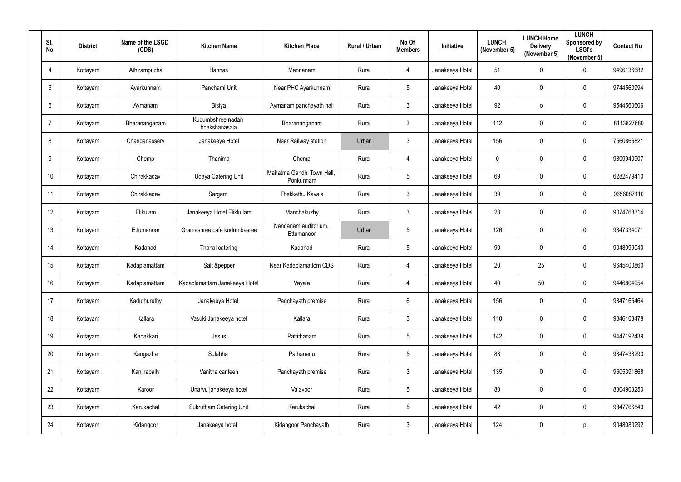| SI.<br>No.      | <b>District</b> | Name of the LSGD<br>(CDS) | <b>Kitchen Name</b>                | <b>Kitchen Place</b>                   | Rural / Urban | No Of<br><b>Members</b> | Initiative      | <b>LUNCH</b><br>(November 5) | <b>LUNCH Home</b><br><b>Delivery</b><br>(November 5) | <b>LUNCH</b><br>Sponsored by<br><b>LSGI's</b><br>(November 5) | <b>Contact No</b> |
|-----------------|-----------------|---------------------------|------------------------------------|----------------------------------------|---------------|-------------------------|-----------------|------------------------------|------------------------------------------------------|---------------------------------------------------------------|-------------------|
| 4               | Kottayam        | Athirampuzha              | Hannas                             | Mannanam                               | Rural         | $\overline{4}$          | Janakeeya Hotel | 51                           | 0                                                    | $\mathbf 0$                                                   | 9496136682        |
| $5\phantom{.0}$ | Kottayam        | Ayarkunnam                | Panchami Unit                      | Near PHC Ayarkunnam                    | Rural         | $5\overline{)}$         | Janakeeya Hotel | 40                           | 0                                                    | $\mathbf 0$                                                   | 9744560994        |
| $6\phantom{.}6$ | Kottayam        | Aymanam                   | Bisiya                             | Aymanam panchayath hall                | Rural         | $\mathbf{3}$            | Janakeeya Hotel | 92                           | $\mathsf{o}\,$                                       | $\overline{0}$                                                | 9544560606        |
| $\overline{7}$  | Kottayam        | Bharananganam             | Kudumbshree nadan<br>bhakshanasala | Bharananganam                          | Rural         | $\mathbf{3}$            | Janakeeya Hotel | 112                          | 0                                                    | $\mathbf 0$                                                   | 8113827680        |
| 8               | Kottayam        | Changanassery             | Janakeeya Hotel                    | Near Railway station                   | Urban         | $\mathbf{3}$            | Janakeeya Hotel | 156                          | 0                                                    | $\mathbf 0$                                                   | 7560866821        |
| 9               | Kottayam        | Chemp                     | Thanima                            | Chemp                                  | Rural         | $\overline{4}$          | Janakeeya Hotel | $\bm{0}$                     | 0                                                    | $\mathbf 0$                                                   | 9809940907        |
| 10 <sup>°</sup> | Kottayam        | Chirakkadav               | Udaya Catering Unit                | Mahatma Gandhi Town Hall,<br>Ponkunnam | Rural         | $5\overline{)}$         | Janakeeya Hotel | 69                           | 0                                                    | $\mathbf 0$                                                   | 6282479410        |
| 11              | Kottayam        | Chirakkadav               | Sargam                             | Thekkethu Kavala                       | Rural         | $\mathbf{3}$            | Janakeeya Hotel | 39                           | 0                                                    | $\mathbf 0$                                                   | 9656087110        |
| 12              | Kottayam        | Elikulam                  | Janakeeya Hotel Elikkulam          | Manchakuzhy                            | Rural         | $\mathbf{3}$            | Janakeeya Hotel | 28                           | 0                                                    | $\overline{0}$                                                | 9074768314        |
| 13              | Kottayam        | Ettumanoor                | Gramashree cafe kudumbasree        | Nandanam auditorium,<br>Ettumanoor     | Urban         | $5\phantom{.0}$         | Janakeeya Hotel | 126                          | 0                                                    | $\mathbf 0$                                                   | 9847334071        |
| 14              | Kottayam        | Kadanad                   | Thanal catering                    | Kadanad                                | Rural         | $5\overline{)}$         | Janakeeya Hotel | 90                           | 0                                                    | $\mathbf 0$                                                   | 9048099040        |
| 15              | Kottayam        | Kadaplamattam             | Salt &pepper                       | Near Kadaplamattom CDS                 | Rural         | $\overline{4}$          | Janakeeya Hotel | 20                           | 25                                                   | $\overline{0}$                                                | 9645400860        |
| 16 <sup>°</sup> | Kottayam        | Kadaplamattam             | Kadaplamattam Janakeeya Hotel      | Vayala                                 | Rural         | 4                       | Janakeeya Hotel | 40                           | 50                                                   | $\mathbf 0$                                                   | 9446804954        |
| 17              | Kottayam        | Kaduthuruthy              | Janakeeya Hotel                    | Panchayath premise                     | Rural         | $6\overline{6}$         | Janakeeya Hotel | 156                          | $\mathbf 0$                                          | $\overline{0}$                                                | 9847166464        |
| 18              | Kottayam        | Kallara                   | Vasuki Janakeeya hotel             | Kallara                                | Rural         | $3\phantom{.0}$         | Janakeeya Hotel | 110                          | 0                                                    | $\mathbf 0$                                                   | 9846103478        |
| 19              | Kottayam        | Kanakkari                 | Jesus                              | Pattithanam                            | Rural         | $5\phantom{.0}$         | Janakeeya Hotel | 142                          | $\pmb{0}$                                            | $\mathbf 0$                                                   | 9447192439        |
| 20              | Kottayam        | Kangazha                  | Sulabha                            | Pathanadu                              | Rural         | $5\phantom{.0}$         | Janakeeya Hotel | 88                           | $\mathbf 0$                                          | $\mathbf 0$                                                   | 9847438293        |
| 21              | Kottayam        | Kanjirapally              | Vanitha canteen                    | Panchayath premise                     | Rural         | $\mathbf{3}$            | Janakeeya Hotel | 135                          | $\pmb{0}$                                            | $\mathbf 0$                                                   | 9605391868        |
| 22              | Kottayam        | Karoor                    | Unarvu janakeeya hotel             | Valavoor                               | Rural         | $5\phantom{.0}$         | Janakeeya Hotel | 80                           | $\mathbf 0$                                          | $\overline{0}$                                                | 8304903250        |
| 23              | Kottayam        | Karukachal                | <b>Sukrutham Catering Unit</b>     | Karukachal                             | Rural         | $5\phantom{.0}$         | Janakeeya Hotel | 42                           | 0                                                    | $\overline{0}$                                                | 9847766843        |
| 24              | Kottayam        | Kidangoor                 | Janakeeya hotel                    | Kidangoor Panchayath                   | Rural         | $\mathfrak{Z}$          | Janakeeya Hotel | 124                          | 0                                                    | p                                                             | 9048080292        |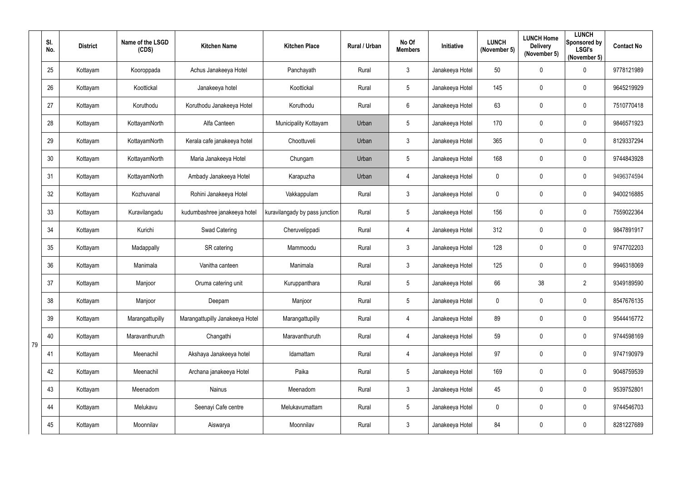|    | SI.<br>No. | <b>District</b> | Name of the LSGD<br>(CDS) | <b>Kitchen Name</b>             | <b>Kitchen Place</b>           | Rural / Urban | No Of<br><b>Members</b> | Initiative      | <b>LUNCH</b><br>(November 5) | <b>LUNCH Home</b><br><b>Delivery</b><br>(November 5) | <b>LUNCH</b><br>Sponsored by<br><b>LSGI's</b><br>(November 5) | <b>Contact No</b> |
|----|------------|-----------------|---------------------------|---------------------------------|--------------------------------|---------------|-------------------------|-----------------|------------------------------|------------------------------------------------------|---------------------------------------------------------------|-------------------|
|    | 25         | Kottayam        | Kooroppada                | Achus Janakeeya Hotel           | Panchayath                     | Rural         | $\mathfrak{Z}$          | Janakeeya Hotel | 50                           | 0                                                    | $\mathbf 0$                                                   | 9778121989        |
|    | 26         | Kottayam        | Koottickal                | Janakeeya hotel                 | Koottickal                     | Rural         | 5                       | Janakeeya Hotel | 145                          | 0                                                    | $\mathbf 0$                                                   | 9645219929        |
|    | 27         | Kottayam        | Koruthodu                 | Koruthodu Janakeeya Hotel       | Koruthodu                      | Rural         | $6\phantom{.}$          | Janakeeya Hotel | 63                           | 0                                                    | $\mathbf 0$                                                   | 7510770418        |
|    | 28         | Kottayam        | KottayamNorth             | Alfa Canteen                    | Municipality Kottayam          | Urban         | 5                       | Janakeeya Hotel | 170                          | 0                                                    | $\mathbf 0$                                                   | 9846571923        |
|    | 29         | Kottayam        | KottayamNorth             | Kerala cafe janakeeya hotel     | Choottuveli                    | Urban         | $\mathfrak{Z}$          | Janakeeya Hotel | 365                          | 0                                                    | $\mathbf 0$                                                   | 8129337294        |
|    | 30         | Kottayam        | KottayamNorth             | Maria Janakeeya Hotel           | Chungam                        | Urban         | 5                       | Janakeeya Hotel | 168                          | 0                                                    | $\mathbf 0$                                                   | 9744843928        |
|    | 31         | Kottayam        | KottayamNorth             | Ambady Janakeeya Hotel          | Karapuzha                      | Urban         | $\overline{4}$          | Janakeeya Hotel | $\mathbf 0$                  | 0                                                    | $\mathbf 0$                                                   | 9496374594        |
|    | 32         | Kottayam        | Kozhuvanal                | Rohini Janakeeya Hotel          | Vakkappulam                    | Rural         | $\mathfrak{Z}$          | Janakeeya Hotel | $\mathbf 0$                  | 0                                                    | $\mathbf 0$                                                   | 9400216885        |
|    | 33         | Kottayam        | Kuravilangadu             | kudumbashree janakeeya hotel    | kuravilangady by pass junction | Rural         | 5                       | Janakeeya Hotel | 156                          | 0                                                    | $\mathbf 0$                                                   | 7559022364        |
|    | 34         | Kottayam        | Kurichi                   | Swad Catering                   | Cheruvelippadi                 | Rural         | $\overline{4}$          | Janakeeya Hotel | 312                          | 0                                                    | $\mathbf 0$                                                   | 9847891917        |
|    | 35         | Kottayam        | Madappally                | SR catering                     | Mammoodu                       | Rural         | 3                       | Janakeeya Hotel | 128                          | 0                                                    | $\boldsymbol{0}$                                              | 9747702203        |
|    | 36         | Kottayam        | Manimala                  | Vanitha canteen                 | Manimala                       | Rural         | $\mathfrak{Z}$          | Janakeeya Hotel | 125                          | 0                                                    | $\mathbf 0$                                                   | 9946318069        |
|    | 37         | Kottayam        | Manjoor                   | Oruma catering unit             | Kuruppanthara                  | Rural         | 5                       | Janakeeya Hotel | 66                           | 38                                                   | $\overline{2}$                                                | 9349189590        |
|    | 38         | Kottayam        | Manjoor                   | Deepam                          | Manjoor                        | Rural         | $5\overline{)}$         | Janakeeya Hotel | $\mathbf 0$                  | 0                                                    | $\pmb{0}$                                                     | 8547676135        |
|    | 39         | Kottayam        | Marangattupilly           | Marangattupilly Janakeeya Hotel | Marangattupilly                | Rural         | $\overline{4}$          | Janakeeya Hotel | 89                           | 0                                                    | $\mathbf 0$                                                   | 9544416772        |
| 79 | 40         | Kottayam        | Maravanthuruth            | Changathi                       | Maravanthuruth                 | Rural         | $\overline{4}$          | Janakeeya Hotel | 59                           | 0                                                    | $\pmb{0}$                                                     | 9744598169        |
|    | 41         | Kottayam        | Meenachil                 | Akshaya Janakeeya hotel         | Idamattam                      | Rural         | $\overline{4}$          | Janakeeya Hotel | 97                           | 0                                                    | $\pmb{0}$                                                     | 9747190979        |
|    | 42         | Kottayam        | Meenachil                 | Archana janakeeya Hotel         | Paika                          | Rural         | $5\overline{)}$         | Janakeeya Hotel | 169                          | 0                                                    | $\mathbf 0$                                                   | 9048759539        |
|    | 43         | Kottayam        | Meenadom                  | Nainus                          | Meenadom                       | Rural         | $\mathfrak{Z}$          | Janakeeya Hotel | 45                           | $\pmb{0}$                                            | $\pmb{0}$                                                     | 9539752801        |
|    | 44         | Kottayam        | Melukavu                  | Seenayi Cafe centre             | Melukavumattam                 | Rural         | $5\overline{)}$         | Janakeeya Hotel | $\mathbf 0$                  | 0                                                    | $\mathbf 0$                                                   | 9744546703        |
|    | 45         | Kottayam        | Moonnilav                 | Aiswarya                        | Moonnilav                      | Rural         | 3 <sup>1</sup>          | Janakeeya Hotel | 84                           | 0                                                    | $\overline{0}$                                                | 8281227689        |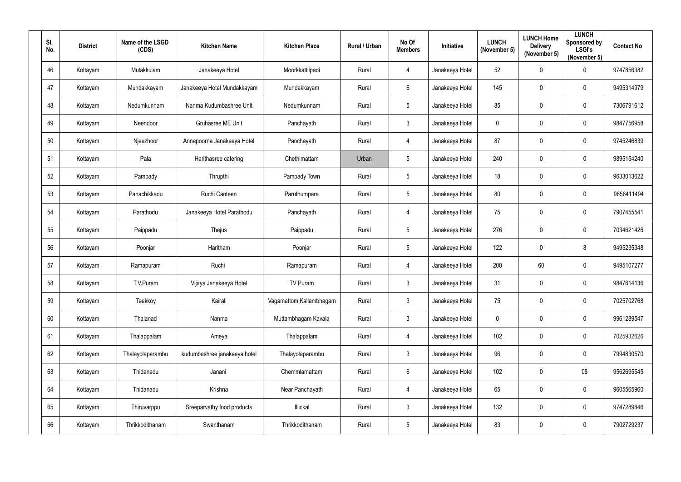| SI.<br>No. | <b>District</b> | Name of the LSGD<br>(CDS) | <b>Kitchen Name</b>          | <b>Kitchen Place</b>     | Rural / Urban | No Of<br><b>Members</b> | Initiative      | <b>LUNCH</b><br>(November 5) | <b>LUNCH Home</b><br><b>Delivery</b><br>(November 5) | <b>LUNCH</b><br>Sponsored by<br><b>LSGI's</b><br>(November 5) | <b>Contact No</b> |
|------------|-----------------|---------------------------|------------------------------|--------------------------|---------------|-------------------------|-----------------|------------------------------|------------------------------------------------------|---------------------------------------------------------------|-------------------|
| 46         | Kottayam        | Mulakkulam                | Janakeeya Hotel              | Moorkkattilpadi          | Rural         | $\overline{4}$          | Janakeeya Hotel | 52                           | $\mathbf 0$                                          | $\mathbf 0$                                                   | 9747856382        |
| 47         | Kottayam        | Mundakkayam               | Janakeeya Hotel Mundakkayam  | Mundakkayam              | Rural         | $6\overline{6}$         | Janakeeya Hotel | 145                          | $\mathbf 0$                                          | $\mathbf 0$                                                   | 9495314979        |
| 48         | Kottayam        | Nedumkunnam               | Nanma Kudumbashree Unit      | Nedumkunnam              | Rural         | $5\phantom{.0}$         | Janakeeya Hotel | 85                           | $\mathbf 0$                                          | $\mathbf 0$                                                   | 7306791612        |
| 49         | Kottayam        | Neendoor                  | <b>Gruhasree ME Unit</b>     | Panchayath               | Rural         | $\mathbf{3}$            | Janakeeya Hotel | $\boldsymbol{0}$             | 0                                                    | $\mathbf 0$                                                   | 9847756958        |
| 50         | Kottayam        | Njeezhoor                 | Annapoorna Janakeeya Hotel   | Panchayath               | Rural         | $\overline{4}$          | Janakeeya Hotel | 87                           | $\mathbf 0$                                          | $\overline{0}$                                                | 9745246839        |
| 51         | Kottayam        | Pala                      | Harithasree catering         | Chethimattam             | Urban         | $5\overline{)}$         | Janakeeya Hotel | 240                          | $\mathbf 0$                                          | $\mathbf 0$                                                   | 9895154240        |
| 52         | Kottayam        | Pampady                   | Thrupthi                     | Pampady Town             | Rural         | $5\overline{)}$         | Janakeeya Hotel | 18                           | 0                                                    | $\mathbf 0$                                                   | 9633013622        |
| 53         | Kottayam        | Panachikkadu              | Ruchi Canteen                | Paruthumpara             | Rural         | $5\overline{)}$         | Janakeeya Hotel | 80                           | $\mathbf 0$                                          | $\mathbf 0$                                                   | 9656411494        |
| 54         | Kottayam        | Parathodu                 | Janakeeya Hotel Parathodu    | Panchayath               | Rural         | $\overline{4}$          | Janakeeya Hotel | 75                           | $\mathbf 0$                                          | $\boldsymbol{0}$                                              | 7907455541        |
| 55         | Kottayam        | Paippadu                  | Thejus                       | Paippadu                 | Rural         | $5\overline{)}$         | Janakeeya Hotel | 276                          | $\overline{0}$                                       | $\mathbf 0$                                                   | 7034621426        |
| 56         | Kottayam        | Poonjar                   | Haritham                     | Poonjar                  | Rural         | $5\overline{)}$         | Janakeeya Hotel | 122                          | $\mathbf 0$                                          | 8                                                             | 9495235348        |
| 57         | Kottayam        | Ramapuram                 | Ruchi                        | Ramapuram                | Rural         | $\overline{4}$          | Janakeeya Hotel | 200                          | 60                                                   | $\mathbf 0$                                                   | 9495107277        |
| 58         | Kottayam        | T.V.Puram                 | Vijaya Janakeeya Hotel       | TV Puram                 | Rural         | $\mathbf{3}$            | Janakeeya Hotel | 31                           | 0                                                    | $\mathbf 0$                                                   | 9847614136        |
| 59         | Kottayam        | Teekkoy                   | Kairali                      | Vagamattom, Kallambhagam | Rural         | $\mathbf{3}$            | Janakeeya Hotel | 75                           | $\mathbf 0$                                          | $\mathbf 0$                                                   | 7025702768        |
| 60         | Kottayam        | Thalanad                  | Nanma                        | Muttambhagam Kavala      | Rural         | $\mathbf{3}$            | Janakeeya Hotel | $\boldsymbol{0}$             | $\mathbf 0$                                          | $\mathbf 0$                                                   | 9961289547        |
| 61         | Kottayam        | Thalappalam               | Ameya                        | Thalappalam              | Rural         | $\overline{4}$          | Janakeeya Hotel | 102                          | $\mathbf 0$                                          | $\mathbf 0$                                                   | 7025932626        |
| 62         | Kottayam        | Thalayolaparambu          | kudumbashree janakeeya hotel | Thalayolaparambu         | Rural         | $\mathbf{3}$            | Janakeeya Hotel | 96                           | $\mathbf 0$                                          | $\boldsymbol{0}$                                              | 7994830570        |
| 63         | Kottayam        | Thidanadu                 | Janani                       | Chemmlamattam            | Rural         | $6\overline{6}$         | Janakeeya Hotel | 102                          | $\mathbf 0$                                          | 0\$                                                           | 9562695545        |
| 64         | Kottayam        | Thidanadu                 | Krishna                      | Near Panchayath          | Rural         | $\overline{4}$          | Janakeeya Hotel | 65                           | $\mathbf 0$                                          | $\pmb{0}$                                                     | 9605565960        |
| 65         | Kottayam        | Thiruvarppu               | Sreeparvathy food products   | Illickal                 | Rural         | $\mathbf{3}$            | Janakeeya Hotel | 132                          | $\mathbf 0$                                          | $\mathbf 0$                                                   | 9747289846        |
| 66         | Kottayam        | Thrikkodithanam           | Swanthanam                   | Thrikkodithanam          | Rural         | $5\phantom{.0}$         | Janakeeya Hotel | 83                           | $\mathbf 0$                                          | $\bm{0}$                                                      | 7902729237        |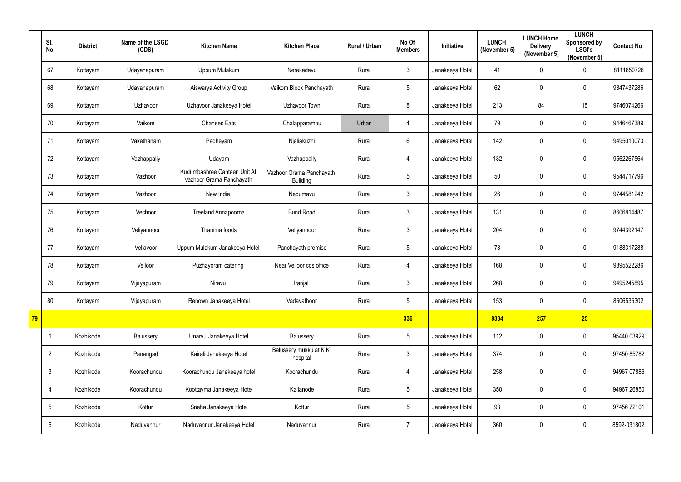|    | SI.<br>No.     | <b>District</b> | Name of the LSGD<br>(CDS) | <b>Kitchen Name</b>                                      | <b>Kitchen Place</b>                        | Rural / Urban | No Of<br><b>Members</b> | Initiative      | <b>LUNCH</b><br>(November 5) | <b>LUNCH Home</b><br><b>Delivery</b><br>(November 5) | <b>LUNCH</b><br>Sponsored by<br><b>LSGI's</b><br>(November 5) | <b>Contact No</b> |
|----|----------------|-----------------|---------------------------|----------------------------------------------------------|---------------------------------------------|---------------|-------------------------|-----------------|------------------------------|------------------------------------------------------|---------------------------------------------------------------|-------------------|
|    | 67             | Kottayam        | Udayanapuram              | Uppum Mulakum                                            | Nerekadavu                                  | Rural         | 3                       | Janakeeya Hotel | 41                           | 0                                                    | $\mathbf 0$                                                   | 8111850728        |
|    | 68             | Kottayam        | Udayanapuram              | Aiswarya Activity Group                                  | Vaikom Block Panchayath                     | Rural         | 5                       | Janakeeya Hotel | 62                           | 0                                                    | $\mathbf 0$                                                   | 9847437286        |
|    | 69             | Kottayam        | Uzhavoor                  | Uzhavoor Janakeeya Hotel                                 | Uzhavoor Town                               | Rural         | 8                       | Janakeeya Hotel | 213                          | 84                                                   | 15                                                            | 9746074266        |
|    | 70             | Kottayam        | Vaikom                    | <b>Chanees Eats</b>                                      | Chalapparambu                               | Urban         | $\overline{4}$          | Janakeeya Hotel | 79                           | 0                                                    | $\mathbf 0$                                                   | 9446467389        |
|    | 71             | Kottayam        | Vakathanam                | Padheyam                                                 | Njaliakuzhi                                 | Rural         | $6\overline{6}$         | Janakeeya Hotel | 142                          | 0                                                    | $\mathbf 0$                                                   | 9495010073        |
|    | 72             | Kottayam        | Vazhappally               | Udayam                                                   | Vazhappally                                 | Rural         | $\overline{4}$          | Janakeeya Hotel | 132                          | 0                                                    | $\mathbf 0$                                                   | 9562267564        |
|    | 73             | Kottayam        | Vazhoor                   | Kudumbashree Canteen Unit At<br>Vazhoor Grama Panchayath | Vazhoor Grama Panchayath<br><b>Building</b> | Rural         | 5                       | Janakeeya Hotel | 50                           | 0                                                    | $\mathbf 0$                                                   | 9544717796        |
|    | 74             | Kottayam        | Vazhoor                   | New India                                                | Nedumavu                                    | Rural         | $\mathfrak{Z}$          | Janakeeya Hotel | 26                           | 0                                                    | $\mathbf 0$                                                   | 9744581242        |
|    | 75             | Kottayam        | Vechoor                   | <b>Treeland Annapoorna</b>                               | <b>Bund Road</b>                            | Rural         | $\mathfrak{Z}$          | Janakeeya Hotel | 131                          | 0                                                    | $\mathbf 0$                                                   | 8606814487        |
|    | 76             | Kottayam        | Veliyannoor               | Thanima foods                                            | Veliyannoor                                 | Rural         | 3                       | Janakeeya Hotel | 204                          | 0                                                    | $\mathbf 0$                                                   | 9744392147        |
|    | 77             | Kottayam        | Vellavoor                 | Uppum Mulakum Janakeeya Hotel                            | Panchayath premise                          | Rural         | 5                       | Janakeeya Hotel | 78                           | 0                                                    | $\mathbf 0$                                                   | 9188317288        |
|    | 78             | Kottayam        | Velloor                   | Puzhayoram catering                                      | Near Velloor cds office                     | Rural         | $\overline{4}$          | Janakeeya Hotel | 168                          | 0                                                    | $\mathbf 0$                                                   | 9895522286        |
|    | 79             | Kottayam        | Vijayapuram               | Niravu                                                   | Iranjal                                     | Rural         | 3                       | Janakeeya Hotel | 268                          |                                                      | $\mathbf 0$                                                   | 9495245895        |
|    | 80             | Kottayam        | Vijayapuram               | Renown Janakeeya Hotel                                   | Vadavathoor                                 | Rural         | $5\overline{)}$         | Janakeeya Hotel | 153                          | 0                                                    | $\overline{0}$                                                | 8606536302        |
| 79 |                |                 |                           |                                                          |                                             |               | 336                     |                 | 8334                         | 257                                                  | 25                                                            |                   |
|    | $\mathbf 1$    | Kozhikode       | Balussery                 | Unarvu Janakeeya Hotel                                   | Balussery                                   | Rural         | 5                       | Janakeeya Hotel | 112                          | 0                                                    | $\mathbf 0$                                                   | 95440 03929       |
|    | $\overline{2}$ | Kozhikode       | Panangad                  | Kairali Janakeeya Hotel                                  | Balussery mukku at KK<br>hospital           | Rural         | $\mathfrak{Z}$          | Janakeeya Hotel | 374                          | 0                                                    | $\mathbf 0$                                                   | 97450 85782       |
|    | $\mathfrak{Z}$ | Kozhikode       | Koorachundu               | Koorachundu Janakeeya hotel                              | Koorachundu                                 | Rural         | $\overline{4}$          | Janakeeya Hotel | 258                          | 0                                                    | $\mathbf 0$                                                   | 94967 07886       |
|    | 4              | Kozhikode       | Koorachundu               | Koottayma Janakeeya Hotel                                | Kallanode                                   | Rural         | 5                       | Janakeeya Hotel | 350                          | 0                                                    | $\mathbf 0$                                                   | 94967 26850       |
|    | 5              | Kozhikode       | Kottur                    | Sneha Janakeeya Hotel                                    | Kottur                                      | Rural         | $5\overline{)}$         | Janakeeya Hotel | 93                           | 0                                                    | $\mathbf 0$                                                   | 97456 72101       |
|    | 6              | Kozhikode       | Naduvannur                | Naduvannur Janakeeya Hotel                               | Naduvannur                                  | Rural         | $\overline{7}$          | Janakeeya Hotel | 360                          | 0                                                    | $\mathbf 0$                                                   | 8592-031802       |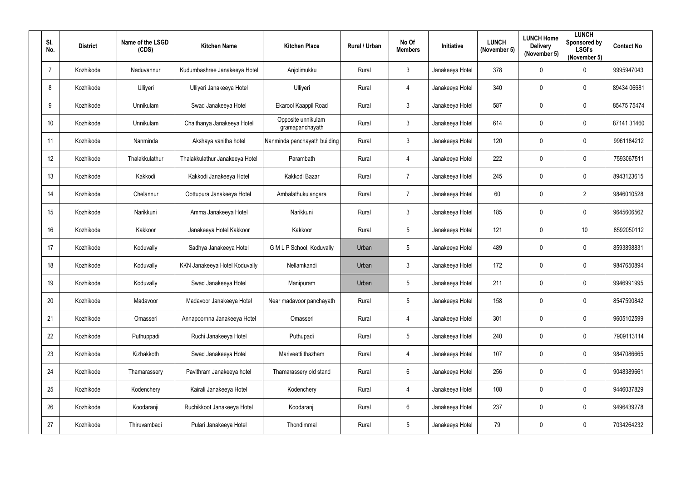| SI. | No.            | <b>District</b> | Name of the LSGD<br>(CDS) | <b>Kitchen Name</b>            | <b>Kitchen Place</b>                  | Rural / Urban | No Of<br><b>Members</b> | <b>Initiative</b> | <b>LUNCH</b><br>(November 5) | <b>LUNCH Home</b><br><b>Delivery</b><br>(November 5) | <b>LUNCH</b><br>Sponsored by<br><b>LSGI's</b><br>(November 5) | <b>Contact No</b> |
|-----|----------------|-----------------|---------------------------|--------------------------------|---------------------------------------|---------------|-------------------------|-------------------|------------------------------|------------------------------------------------------|---------------------------------------------------------------|-------------------|
|     | $\overline{7}$ | Kozhikode       | Naduvannur                | Kudumbashree Janakeeya Hotel   | Anjolimukku                           | Rural         | $\mathbf{3}$            | Janakeeya Hotel   | 378                          | $\mathbf 0$                                          | $\mathbf 0$                                                   | 9995947043        |
|     | 8              | Kozhikode       | Ulliyeri                  | Ulliyeri Janakeeya Hotel       | Ulliyeri                              | Rural         | 4                       | Janakeeya Hotel   | 340                          | $\mathbf 0$                                          | $\overline{0}$                                                | 89434 06681       |
|     | 9              | Kozhikode       | Unnikulam                 | Swad Janakeeya Hotel           | Ekarool Kaappil Road                  | Rural         | $\mathfrak{Z}$          | Janakeeya Hotel   | 587                          | $\mathbf 0$                                          | $\boldsymbol{0}$                                              | 85475 75474       |
|     | 10             | Kozhikode       | Unnikulam                 | Chaithanya Janakeeya Hotel     | Opposite unnikulam<br>gramapanchayath | Rural         | $\mathbf{3}$            | Janakeeya Hotel   | 614                          | $\overline{0}$                                       | $\overline{0}$                                                | 87141 31460       |
|     | 11             | Kozhikode       | Nanminda                  | Akshaya vanitha hotel          | Nanminda panchayath building          | Rural         | $\mathbf{3}$            | Janakeeya Hotel   | 120                          | 0                                                    | $\overline{0}$                                                | 9961184212        |
|     | 12             | Kozhikode       | Thalakkulathur            | Thalakkulathur Janakeeya Hotel | Parambath                             | Rural         | 4                       | Janakeeya Hotel   | 222                          | $\overline{0}$                                       | $\boldsymbol{0}$                                              | 7593067511        |
|     | 13             | Kozhikode       | Kakkodi                   | Kakkodi Janakeeya Hotel        | Kakkodi Bazar                         | Rural         | $\overline{7}$          | Janakeeya Hotel   | 245                          | 0                                                    | $\overline{0}$                                                | 8943123615        |
|     | 14             | Kozhikode       | Chelannur                 | Oottupura Janakeeya Hotel      | Ambalathukulangara                    | Rural         | $\overline{7}$          | Janakeeya Hotel   | 60                           | $\mathbf 0$                                          | $\overline{2}$                                                | 9846010528        |
|     | 15             | Kozhikode       | Narikkuni                 | Amma Janakeeya Hotel           | Narikkuni                             | Rural         | $\mathbf{3}$            | Janakeeya Hotel   | 185                          | $\mathbf 0$                                          | $\overline{0}$                                                | 9645606562        |
|     | 16             | Kozhikode       | Kakkoor                   | Janakeeya Hotel Kakkoor        | Kakkoor                               | Rural         | $5\phantom{.0}$         | Janakeeya Hotel   | 121                          | $\mathbf 0$                                          | 10 <sup>°</sup>                                               | 8592050112        |
|     | 17             | Kozhikode       | Koduvally                 | Sadhya Janakeeya Hotel         | G M L P School, Koduvally             | Urban         | $5\overline{)}$         | Janakeeya Hotel   | 489                          | $\overline{0}$                                       | $\overline{0}$                                                | 8593898831        |
|     | 18             | Kozhikode       | Koduvally                 | KKN Janakeeya Hotel Koduvally  | Nellamkandi                           | Urban         | $\mathbf{3}$            | Janakeeya Hotel   | 172                          | $\overline{0}$                                       | $\overline{0}$                                                | 9847650894        |
|     | 19             | Kozhikode       | Koduvally                 | Swad Janakeeya Hotel           | Manipuram                             | Urban         | 5                       | Janakeeya Hotel   | 211                          | $\mathbf 0$                                          | $\mathbf 0$                                                   | 9946991995        |
|     | 20             | Kozhikode       | Madavoor                  | Madavoor Janakeeya Hotel       | Near madavoor panchayath              | Rural         | $5\overline{)}$         | Janakeeya Hotel   | 158                          | $\mathbf 0$                                          | $\mathbf 0$                                                   | 8547590842        |
|     | 21             | Kozhikode       | Omasseri                  | Annapoornna Janakeeya Hotel    | Omasseri                              | Rural         | $\overline{4}$          | Janakeeya Hotel   | 301                          | $\mathbf 0$                                          | $\mathbf 0$                                                   | 9605102599        |
|     | 22             | Kozhikode       | Puthuppadi                | Ruchi Janakeeya Hotel          | Puthupadi                             | Rural         | $5\phantom{.0}$         | Janakeeya Hotel   | 240                          | $\mathbf 0$                                          | $\mathbf 0$                                                   | 7909113114        |
|     | 23             | Kozhikode       | Kizhakkoth                | Swad Janakeeya Hotel           | Mariveettilthazham                    | Rural         | $\overline{4}$          | Janakeeya Hotel   | 107                          | $\mathbf 0$                                          | $\mathbf 0$                                                   | 9847086665        |
|     | 24             | Kozhikode       | Thamarassery              | Pavithram Janakeeya hotel      | Thamarassery old stand                | Rural         | $6\overline{6}$         | Janakeeya Hotel   | 256                          | $\mathbf 0$                                          | $\mathbf 0$                                                   | 9048389661        |
|     | 25             | Kozhikode       | Kodenchery                | Kairali Janakeeya Hotel        | Kodenchery                            | Rural         | $\overline{4}$          | Janakeeya Hotel   | 108                          | $\mathbf 0$                                          | $\mathbf 0$                                                   | 9446037829        |
|     | 26             | Kozhikode       | Koodaranji                | Ruchikkoot Janakeeya Hotel     | Koodaranji                            | Rural         | $6\overline{6}$         | Janakeeya Hotel   | 237                          | $\mathbf 0$                                          | $\mathbf 0$                                                   | 9496439278        |
|     | 27             | Kozhikode       | Thiruvambadi              | Pulari Janakeeya Hotel         | Thondimmal                            | Rural         | $5\overline{)}$         | Janakeeya Hotel   | 79                           | $\mathbf 0$                                          | $\bm{0}$                                                      | 7034264232        |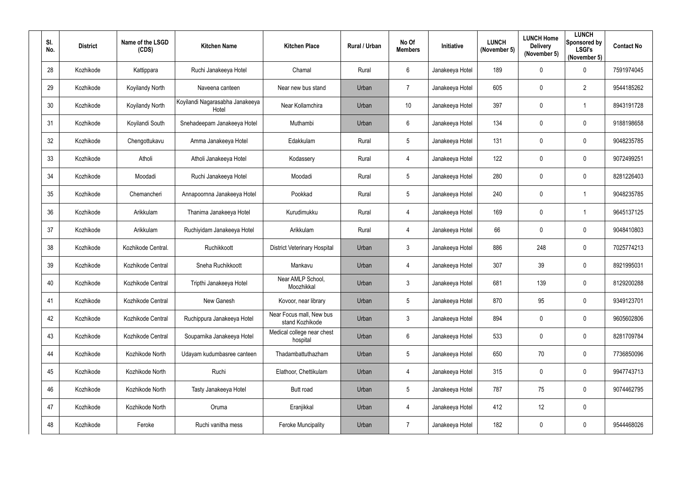| SI.<br>No. | <b>District</b> | Name of the LSGD<br>(CDS) | <b>Kitchen Name</b>                      | <b>Kitchen Place</b>                        | Rural / Urban | No Of<br><b>Members</b> | Initiative      | <b>LUNCH</b><br>(November 5) | <b>LUNCH Home</b><br><b>Delivery</b><br>(November 5) | <b>LUNCH</b><br>Sponsored by<br><b>LSGI's</b><br>(November 5) | <b>Contact No</b> |
|------------|-----------------|---------------------------|------------------------------------------|---------------------------------------------|---------------|-------------------------|-----------------|------------------------------|------------------------------------------------------|---------------------------------------------------------------|-------------------|
| 28         | Kozhikode       | Kattippara                | Ruchi Janakeeya Hotel                    | Chamal                                      | Rural         | $6\overline{6}$         | Janakeeya Hotel | 189                          | $\mathbf 0$                                          | $\overline{0}$                                                | 7591974045        |
| 29         | Kozhikode       | Koyilandy North           | Naveena canteen                          | Near new bus stand                          | Urban         | $\overline{7}$          | Janakeeya Hotel | 605                          | $\mathbf 0$                                          | $\overline{2}$                                                | 9544185262        |
| 30         | Kozhikode       | Koyilandy North           | Koyilandi Nagarasabha Janakeeya<br>Hotel | Near Kollamchira                            | Urban         | 10                      | Janakeeya Hotel | 397                          | $\overline{0}$                                       | $\overline{1}$                                                | 8943191728        |
| 31         | Kozhikode       | Koyilandi South           | Snehadeepam Janakeeya Hotel              | Muthambi                                    | Urban         | $6^{\circ}$             | Janakeeya Hotel | 134                          | $\overline{0}$                                       | $\boldsymbol{0}$                                              | 9188198658        |
| 32         | Kozhikode       | Chengottukavu             | Amma Janakeeya Hotel                     | Edakkulam                                   | Rural         | $5\overline{)}$         | Janakeeya Hotel | 131                          | 0                                                    | $\overline{0}$                                                | 9048235785        |
| 33         | Kozhikode       | Atholi                    | Atholi Janakeeya Hotel                   | Kodassery                                   | Rural         | $\overline{4}$          | Janakeeya Hotel | 122                          | $\mathbf 0$                                          | $\boldsymbol{0}$                                              | 9072499251        |
| 34         | Kozhikode       | Moodadi                   | Ruchi Janakeeya Hotel                    | Moodadi                                     | Rural         | $5\overline{)}$         | Janakeeya Hotel | 280                          | 0                                                    | $\overline{0}$                                                | 8281226403        |
| 35         | Kozhikode       | Chemancheri               | Annapoornna Janakeeya Hotel              | Pookkad                                     | Rural         | $5\phantom{.0}$         | Janakeeya Hotel | 240                          | $\mathbf 0$                                          | $\overline{\mathbf{1}}$                                       | 9048235785        |
| 36         | Kozhikode       | Arikkulam                 | Thanima Janakeeya Hotel                  | Kurudimukku                                 | Rural         | 4                       | Janakeeya Hotel | 169                          | $\overline{0}$                                       | -1                                                            | 9645137125        |
| 37         | Kozhikode       | Arikkulam                 | Ruchiyidam Janakeeya Hotel               | Arikkulam                                   | Rural         | $\overline{4}$          | Janakeeya Hotel | 66                           | $\overline{0}$                                       | $\overline{0}$                                                | 9048410803        |
| 38         | Kozhikode       | Kozhikode Central.        | Ruchikkoott                              | <b>District Veterinary Hospital</b>         | Urban         | $\mathbf{3}$            | Janakeeya Hotel | 886                          | 248                                                  | $\boldsymbol{0}$                                              | 7025774213        |
| 39         | Kozhikode       | Kozhikode Central         | Sneha Ruchikkoott                        | Mankavu                                     | Urban         | 4                       | Janakeeya Hotel | 307                          | 39                                                   | $\overline{0}$                                                | 8921995031        |
| 40         | Kozhikode       | Kozhikode Central         | Tripthi Janakeeya Hotel                  | Near AMLP School,<br>Moozhikkal             | Urban         | 3                       | Janakeeya Hotel | 681                          | 139                                                  | $\mathbf 0$                                                   | 8129200288        |
| 41         | Kozhikode       | Kozhikode Central         | New Ganesh                               | Kovoor, near library                        | Urban         | $5\overline{)}$         | Janakeeya Hotel | 870                          | 95                                                   | $\mathbf 0$                                                   | 9349123701        |
| 42         | Kozhikode       | Kozhikode Central         | Ruchippura Janakeeya Hotel               | Near Focus mall, New bus<br>stand Kozhikode | Urban         | $3\overline{3}$         | Janakeeya Hotel | 894                          | $\mathbf 0$                                          | $\mathbf 0$                                                   | 9605602806        |
| 43         | Kozhikode       | Kozhikode Central         | Souparnika Janakeeya Hotel               | Medical college near chest<br>hospital      | Urban         | $6\,$                   | Janakeeya Hotel | 533                          | $\mathbf 0$                                          | $\mathbf 0$                                                   | 8281709784        |
| 44         | Kozhikode       | Kozhikode North           | Udayam kudumbasree canteen               | Thadambattuthazham                          | Urban         | $5\overline{)}$         | Janakeeya Hotel | 650                          | 70                                                   | $\boldsymbol{0}$                                              | 7736850096        |
| 45         | Kozhikode       | Kozhikode North           | Ruchi                                    | Elathoor, Chettikulam                       | Urban         | $\overline{4}$          | Janakeeya Hotel | 315                          | $\mathbf 0$                                          | $\mathbf 0$                                                   | 9947743713        |
| 46         | Kozhikode       | Kozhikode North           | Tasty Janakeeya Hotel                    | Butt road                                   | Urban         | $5\overline{)}$         | Janakeeya Hotel | 787                          | 75                                                   | $\mathbf 0$                                                   | 9074462795        |
| 47         | Kozhikode       | Kozhikode North           | Oruma                                    | Eranjikkal                                  | Urban         | $\overline{4}$          | Janakeeya Hotel | 412                          | 12                                                   | $\mathbf 0$                                                   |                   |
| 48         | Kozhikode       | Feroke                    | Ruchi vanitha mess                       | <b>Feroke Muncipality</b>                   | Urban         | $\overline{7}$          | Janakeeya Hotel | 182                          | $\mathbf 0$                                          | $\bm{0}$                                                      | 9544468026        |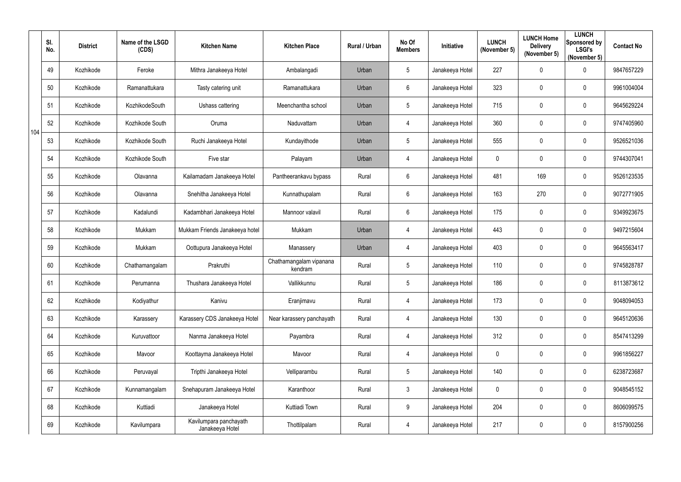|     | SI.<br>No. | <b>District</b> | Name of the LSGD<br>(CDS) | <b>Kitchen Name</b>                       | <b>Kitchen Place</b>               | Rural / Urban | No Of<br><b>Members</b> | Initiative      | <b>LUNCH</b><br>(November 5) | <b>LUNCH Home</b><br><b>Delivery</b><br>(November 5) | <b>LUNCH</b><br>Sponsored by<br><b>LSGI's</b><br>(November 5) | <b>Contact No</b> |
|-----|------------|-----------------|---------------------------|-------------------------------------------|------------------------------------|---------------|-------------------------|-----------------|------------------------------|------------------------------------------------------|---------------------------------------------------------------|-------------------|
|     | 49         | Kozhikode       | Feroke                    | Mithra Janakeeya Hotel                    | Ambalangadi                        | Urban         | 5                       | Janakeeya Hotel | 227                          | 0                                                    | $\overline{0}$                                                | 9847657229        |
|     | 50         | Kozhikode       | Ramanattukara             | Tasty catering unit                       | Ramanattukara                      | Urban         | $6\phantom{.0}$         | Janakeeya Hotel | 323                          | 0                                                    | $\overline{0}$                                                | 9961004004        |
|     | 51         | Kozhikode       | KozhikodeSouth            | Ushass cattering                          | Meenchantha school                 | Urban         | 5                       | Janakeeya Hotel | 715                          | 0                                                    | $\overline{0}$                                                | 9645629224        |
| 104 | 52         | Kozhikode       | Kozhikode South           | Oruma                                     | Naduvattam                         | Urban         | $\overline{4}$          | Janakeeya Hotel | 360                          | 0                                                    | $\overline{0}$                                                | 9747405960        |
|     | 53         | Kozhikode       | Kozhikode South           | Ruchi Janakeeya Hotel                     | Kundayithode                       | Urban         | 5                       | Janakeeya Hotel | 555                          | 0                                                    | $\overline{0}$                                                | 9526521036        |
|     | 54         | Kozhikode       | Kozhikode South           | Five star                                 | Palayam                            | Urban         | $\overline{4}$          | Janakeeya Hotel | $\mathbf 0$                  | 0                                                    | $\overline{0}$                                                | 9744307041        |
|     | 55         | Kozhikode       | Olavanna                  | Kailamadam Janakeeya Hotel                | Pantheerankavu bypass              | Rural         | $6\phantom{.}$          | Janakeeya Hotel | 481                          | 169                                                  | $\overline{0}$                                                | 9526123535        |
|     | 56         | Kozhikode       | Olavanna                  | Snehitha Janakeeya Hotel                  | Kunnathupalam                      | Rural         | $6\phantom{.}$          | Janakeeya Hotel | 163                          | 270                                                  | $\mathbf 0$                                                   | 9072771905        |
|     | 57         | Kozhikode       | Kadalundi                 | Kadambhari Janakeeya Hotel                | Mannoor valavil                    | Rural         | 6                       | Janakeeya Hotel | 175                          | 0                                                    | $\overline{0}$                                                | 9349923675        |
|     | 58         | Kozhikode       | Mukkam                    | Mukkam Friends Janakeeya hotel            | Mukkam                             | Urban         | $\overline{4}$          | Janakeeya Hotel | 443                          | 0                                                    | $\overline{0}$                                                | 9497215604        |
|     | 59         | Kozhikode       | Mukkam                    | Oottupura Janakeeya Hotel                 | Manassery                          | Urban         | 4                       | Janakeeya Hotel | 403                          | 0                                                    | $\overline{0}$                                                | 9645563417        |
|     | 60         | Kozhikode       | Chathamangalam            | Prakruthi                                 | Chathamangalam vipanana<br>kendram | Rural         | $5\phantom{.0}$         | Janakeeya Hotel | 110                          | 0                                                    | $\overline{0}$                                                | 9745828787        |
|     | 61         | Kozhikode       | Perumanna                 | Thushara Janakeeya Hotel                  | Vallikkunnu                        | Rural         | 5                       | Janakeeya Hotel | 186                          |                                                      | $\mathbf 0$                                                   | 8113873612        |
|     | 62         | Kozhikode       | Kodiyathur                | Kanivu                                    | Eranjimavu                         | Rural         | $\overline{4}$          | Janakeeya Hotel | 173                          | 0                                                    | $\mathbf 0$                                                   | 9048094053        |
|     | 63         | Kozhikode       | Karassery                 | Karassery CDS Janakeeya Hotel             | Near karassery panchayath          | Rural         | $\overline{4}$          | Janakeeya Hotel | 130                          | $\pmb{0}$                                            | $\mathbf 0$                                                   | 9645120636        |
|     | 64         | Kozhikode       | Kuruvattoor               | Nanma Janakeeya Hotel                     | Payambra                           | Rural         | $\overline{4}$          | Janakeeya Hotel | 312                          | $\pmb{0}$                                            | $\mathbf 0$                                                   | 8547413299        |
|     | 65         | Kozhikode       | Mavoor                    | Koottayma Janakeeya Hotel                 | Mavoor                             | Rural         | $\overline{4}$          | Janakeeya Hotel | $\mathbf 0$                  | 0                                                    | $\mathbf 0$                                                   | 9961856227        |
|     | 66         | Kozhikode       | Peruvayal                 | Tripthi Janakeeya Hotel                   | Velliparambu                       | Rural         | $5\phantom{.0}$         | Janakeeya Hotel | 140                          | $\pmb{0}$                                            | $\overline{0}$                                                | 6238723687        |
|     | 67         | Kozhikode       | Kunnamangalam             | Snehapuram Janakeeya Hotel                | Karanthoor                         | Rural         | $\mathfrak{Z}$          | Janakeeya Hotel | $\mathbf 0$                  | 0                                                    | $\mathbf 0$                                                   | 9048545152        |
|     | 68         | Kozhikode       | Kuttiadi                  | Janakeeya Hotel                           | Kuttiadi Town                      | Rural         | 9                       | Janakeeya Hotel | 204                          | 0                                                    | $\mathbf 0$                                                   | 8606099575        |
|     | 69         | Kozhikode       | Kavilumpara               | Kavilumpara panchayath<br>Janakeeya Hotel | Thottilpalam                       | Rural         | $\overline{4}$          | Janakeeya Hotel | 217                          | 0                                                    | $\overline{0}$                                                | 8157900256        |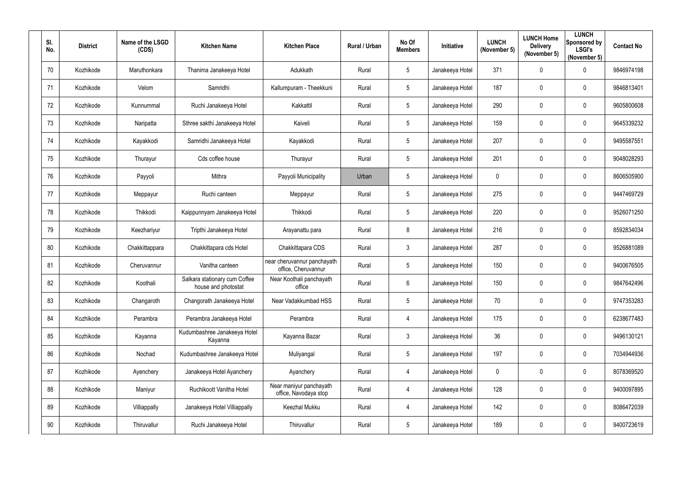| SI.<br>No.      | <b>District</b> | Name of the LSGD<br>(CDS) | <b>Kitchen Name</b>                                  | <b>Kitchen Place</b>                               | Rural / Urban | No Of<br><b>Members</b> | Initiative      | <b>LUNCH</b><br>(November 5) | <b>LUNCH Home</b><br><b>Delivery</b><br>(November 5) | <b>LUNCH</b><br>Sponsored by<br><b>LSGI's</b><br>(November 5) | <b>Contact No</b> |
|-----------------|-----------------|---------------------------|------------------------------------------------------|----------------------------------------------------|---------------|-------------------------|-----------------|------------------------------|------------------------------------------------------|---------------------------------------------------------------|-------------------|
| 70              | Kozhikode       | Maruthonkara              | Thanima Janakeeya Hotel                              | Adukkath                                           | Rural         | $5\phantom{.0}$         | Janakeeya Hotel | 371                          | $\overline{0}$                                       | $\mathbf 0$                                                   | 9846974198        |
| 71              | Kozhikode       | Velom                     | Samridhi                                             | Kallumpuram - Theekkuni                            | Rural         | 5 <sup>5</sup>          | Janakeeya Hotel | 187                          | 0                                                    | $\overline{0}$                                                | 9846813401        |
| 72              | Kozhikode       | Kunnummal                 | Ruchi Janakeeya Hotel                                | Kakkattil                                          | Rural         | $5\phantom{.0}$         | Janakeeya Hotel | 290                          | $\boldsymbol{0}$                                     | $\boldsymbol{0}$                                              | 9605800608        |
| 73              | Kozhikode       | Naripatta                 | Sthree sakthi Janakeeya Hotel                        | Kaiveli                                            | Rural         | $5\phantom{.0}$         | Janakeeya Hotel | 159                          | $\boldsymbol{0}$                                     | $\mathbf 0$                                                   | 9645339232        |
| 74              | Kozhikode       | Kayakkodi                 | Samridhi Janakeeya Hotel                             | Kayakkodi                                          | Rural         | $5\phantom{.0}$         | Janakeeya Hotel | 207                          | $\mathbf 0$                                          | $\overline{0}$                                                | 9495587551        |
| 75              | Kozhikode       | Thurayur                  | Cds coffee house                                     | Thurayur                                           | Rural         | $5\phantom{.0}$         | Janakeeya Hotel | 201                          | $\overline{0}$                                       | $\boldsymbol{0}$                                              | 9048028293        |
| 76              | Kozhikode       | Payyoli                   | Mithra                                               | Payyoli Municipality                               | Urban         | $5\phantom{.0}$         | Janakeeya Hotel | $\boldsymbol{0}$             | $\mathbf 0$                                          | $\overline{0}$                                                | 8606505900        |
| 77              | Kozhikode       | Meppayur                  | Ruchi canteen                                        | Meppayur                                           | Rural         | $5\phantom{.0}$         | Janakeeya Hotel | 275                          | $\mathbf 0$                                          | $\overline{0}$                                                | 9447469729        |
| 78              | Kozhikode       | Thikkodi                  | Kaippunnyam Janakeeya Hotel                          | Thikkodi                                           | Rural         | $5\phantom{.0}$         | Janakeeya Hotel | 220                          | $\overline{0}$                                       | $\overline{0}$                                                | 9526071250        |
| 79              | Kozhikode       | Keezhariyur               | Tripthi Janakeeya Hotel                              | Arayanattu para                                    | Rural         | 8                       | Janakeeya Hotel | 216                          | $\mathbf 0$                                          | $\mathbf 0$                                                   | 8592834034        |
| 80              | Kozhikode       | Chakkittappara            | Chakkittapara cds Hotel                              | Chakkittapara CDS                                  | Rural         | $\mathbf{3}$            | Janakeeya Hotel | 287                          | $\boldsymbol{0}$                                     | $\overline{0}$                                                | 9526881089        |
| 81              | Kozhikode       | Cheruvannur               | Vanitha canteen                                      | near cheruvannur panchayath<br>office, Cheruvannur | Rural         | 5 <sub>5</sub>          | Janakeeya Hotel | 150                          | $\overline{0}$                                       | $\overline{0}$                                                | 9400676505        |
| 82              | Kozhikode       | Koothali                  | Salkara stationary cum Coffee<br>house and photostat | Near Koothali panchayath<br>office                 | Rural         | $6\phantom{.}$          | Janakeeya Hotel | 150                          | $\mathbf 0$                                          | $\overline{0}$                                                | 9847642496        |
| 83              | Kozhikode       | Changaroth                | Changorath Janakeeya Hotel                           | Near Vadakkumbad HSS                               | Rural         | $5\phantom{.0}$         | Janakeeya Hotel | 70                           | $\mathbf 0$                                          | $\mathbf 0$                                                   | 9747353283        |
| 84              | Kozhikode       | Perambra                  | Perambra Janakeeya Hotel                             | Perambra                                           | Rural         | $\overline{4}$          | Janakeeya Hotel | 175                          | $\overline{0}$                                       | $\mathbf 0$                                                   | 6238677483        |
| 85              | Kozhikode       | Kayanna                   | Kudumbashree Janakeeya Hotel<br>Kayanna              | Kayanna Bazar                                      | Rural         | 3 <sup>1</sup>          | Janakeeya Hotel | 36                           | $\mathbf 0$                                          | $\mathbf 0$                                                   | 9496130121        |
| 86              | Kozhikode       | Nochad                    | Kudumbashree Janakeeya Hotel                         | Muliyangal                                         | Rural         | $5\phantom{.0}$         | Janakeeya Hotel | 197                          | $\mathbf 0$                                          | $\mathbf 0$                                                   | 7034944936        |
| 87              | Kozhikode       | Ayenchery                 | Janakeeya Hotel Ayanchery                            | Ayanchery                                          | Rural         | $\overline{4}$          | Janakeeya Hotel | $\mathbf 0$                  | $\mathbf 0$                                          | $\mathbf 0$                                                   | 8078369520        |
| 88              | Kozhikode       | Maniyur                   | Ruchikoott Vanitha Hotel                             | Near maniyur panchayath<br>office, Navodaya stop   | Rural         | $\overline{4}$          | Janakeeya Hotel | 128                          | $\mathbf 0$                                          | $\mathbf 0$                                                   | 9400097895        |
| 89              | Kozhikode       | Villiappally              | Janakeeya Hotel Villiappally                         | Keezhal Mukku                                      | Rural         | $\overline{4}$          | Janakeeya Hotel | 142                          | $\mathbf 0$                                          | $\mathbf 0$                                                   | 8086472039        |
| 90 <sup>°</sup> | Kozhikode       | Thiruvallur               | Ruchi Janakeeya Hotel                                | Thiruvallur                                        | Rural         | $5\phantom{.0}$         | Janakeeya Hotel | 189                          | $\boldsymbol{0}$                                     | $\bm{0}$                                                      | 9400723619        |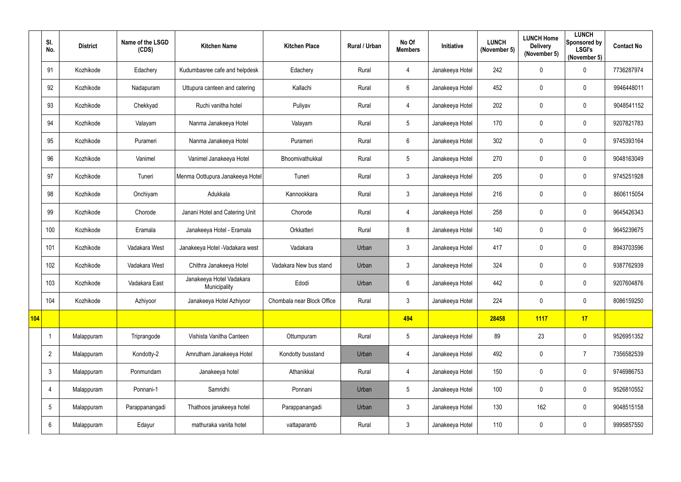|     | SI.<br>No.      | <b>District</b> | Name of the LSGD<br>(CDS) | <b>Kitchen Name</b>                      | <b>Kitchen Place</b>       | Rural / Urban | No Of<br><b>Members</b> | Initiative      | <b>LUNCH</b><br>(November 5) | <b>LUNCH Home</b><br><b>Delivery</b><br>(November 5) | <b>LUNCH</b><br>Sponsored by<br><b>LSGI's</b><br>(November 5) | <b>Contact No</b> |
|-----|-----------------|-----------------|---------------------------|------------------------------------------|----------------------------|---------------|-------------------------|-----------------|------------------------------|------------------------------------------------------|---------------------------------------------------------------|-------------------|
|     | 91              | Kozhikode       | Edachery                  | Kudumbasree cafe and helpdesk            | Edachery                   | Rural         | 4                       | Janakeeya Hotel | 242                          | 0                                                    | $\mathbf 0$                                                   | 7736287974        |
|     | 92              | Kozhikode       | Nadapuram                 | Uttupura canteen and catering            | Kallachi                   | Rural         | 6                       | Janakeeya Hotel | 452                          | 0                                                    | $\mathbf 0$                                                   | 9946448011        |
|     | 93              | Kozhikode       | Chekkyad                  | Ruchi vanitha hotel                      | Puliyav                    | Rural         | 4                       | Janakeeya Hotel | 202                          | 0                                                    | $\mathbf 0$                                                   | 9048541152        |
|     | 94              | Kozhikode       | Valayam                   | Nanma Janakeeya Hotel                    | Valayam                    | Rural         | $5\phantom{.0}$         | Janakeeya Hotel | 170                          | 0                                                    | $\mathbf 0$                                                   | 9207821783        |
|     | 95              | Kozhikode       | Purameri                  | Nanma Janakeeya Hotel                    | Purameri                   | Rural         | 6                       | Janakeeya Hotel | 302                          | 0                                                    | $\mathbf 0$                                                   | 9745393164        |
|     | 96              | Kozhikode       | Vanimel                   | Vanimel Janakeeya Hotel                  | Bhoomivathukkal            | Rural         | $\sqrt{5}$              | Janakeeya Hotel | 270                          | $\pmb{0}$                                            | $\mathbf 0$                                                   | 9048163049        |
|     | 97              | Kozhikode       | Tuneri                    | Menma Oottupura Janakeeya Hotel          | Tuneri                     | Rural         | $\mathfrak{Z}$          | Janakeeya Hotel | 205                          | 0                                                    | $\mathbf 0$                                                   | 9745251928        |
|     | 98              | Kozhikode       | Onchiyam                  | Adukkala                                 | Kannookkara                | Rural         | $\mathfrak{Z}$          | Janakeeya Hotel | 216                          | 0                                                    | $\mathbf 0$                                                   | 8606115054        |
|     | 99              | Kozhikode       | Chorode                   | Janani Hotel and Catering Unit           | Chorode                    | Rural         | 4                       | Janakeeya Hotel | 258                          | 0                                                    | $\mathbf 0$                                                   | 9645426343        |
|     | 100             | Kozhikode       | Eramala                   | Janakeeya Hotel - Eramala                | Orkkatteri                 | Rural         | 8                       | Janakeeya Hotel | 140                          | 0                                                    | $\mathbf 0$                                                   | 9645239675        |
|     | 101             | Kozhikode       | Vadakara West             | Janakeeya Hotel - Vadakara west          | Vadakara                   | Urban         | $\mathfrak{Z}$          | Janakeeya Hotel | 417                          | 0                                                    | $\mathbf 0$                                                   | 8943703596        |
|     | 102             | Kozhikode       | Vadakara West             | Chithra Janakeeya Hotel                  | Vadakara New bus stand     | Urban         | $\mathfrak{Z}$          | Janakeeya Hotel | 324                          | $\pmb{0}$                                            | $\mathbf 0$                                                   | 9387762939        |
|     | 103             | Kozhikode       | Vadakara East             | Janakeeya Hotel Vadakara<br>Municipality | Edodi                      | Urban         | 6                       | Janakeeya Hotel | 442                          | 0                                                    | $\mathbf 0$                                                   | 9207604876        |
|     | 104             | Kozhikode       | Azhiyoor                  | Janakeeya Hotel Azhiyoor                 | Chombala near Block Office | Rural         | $\mathfrak{S}$          | Janakeeya Hotel | 224                          | 0                                                    | $\overline{0}$                                                | 8086159250        |
| 104 |                 |                 |                           |                                          |                            |               | 494                     |                 | 28458                        | <b>1117</b>                                          | $\overline{17}$                                               |                   |
|     |                 | Malappuram      | Triprangode               | Vishista Vanitha Canteen                 | Ottumpuram                 | Rural         | $5\phantom{.0}$         | Janakeeya Hotel | 89                           | 23                                                   | $\overline{0}$                                                | 9526951352        |
|     | $\overline{2}$  | Malappuram      | Kondotty-2                | Amrutham Janakeeya Hotel                 | Kondotty busstand          | Urban         | 4                       | Janakeeya Hotel | 492                          | $\pmb{0}$                                            | $\overline{7}$                                                | 7356582539        |
|     | $\mathbf{3}$    | Malappuram      | Ponmundam                 | Janakeeya hotel                          | Athanikkal                 | Rural         | $\overline{4}$          | Janakeeya Hotel | 150                          | $\pmb{0}$                                            | $\overline{0}$                                                | 9746986753        |
|     | 4               | Malappuram      | Ponnani-1                 | Samridhi                                 | Ponnani                    | Urban         | $5\phantom{.0}$         | Janakeeya Hotel | 100                          | $\pmb{0}$                                            | $\overline{0}$                                                | 9526810552        |
|     | $5\phantom{.0}$ | Malappuram      | Parappanangadi            | Thathoos janakeeya hotel                 | Parappanangadi             | Urban         | $\mathfrak{Z}$          | Janakeeya Hotel | 130                          | 162                                                  | $\overline{0}$                                                | 9048515158        |
|     | $6\phantom{.}6$ | Malappuram      | Edayur                    | mathuraka vanita hotel                   | vattaparamb                | Rural         | $\mathfrak{Z}$          | Janakeeya Hotel | 110                          | 0                                                    | $\overline{0}$                                                | 9995857550        |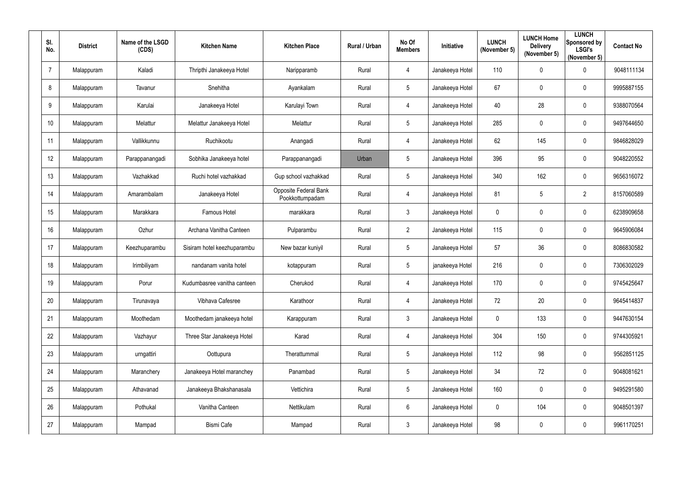| SI.<br>No.     | <b>District</b> | Name of the LSGD<br>(CDS) | <b>Kitchen Name</b>         | <b>Kitchen Place</b>                            | Rural / Urban | No Of<br><b>Members</b> | Initiative      | <b>LUNCH</b><br>(November 5) | <b>LUNCH Home</b><br><b>Delivery</b><br>(November 5) | <b>LUNCH</b><br>Sponsored by<br><b>LSGI's</b><br>(November 5) | <b>Contact No</b> |
|----------------|-----------------|---------------------------|-----------------------------|-------------------------------------------------|---------------|-------------------------|-----------------|------------------------------|------------------------------------------------------|---------------------------------------------------------------|-------------------|
| $\overline{7}$ | Malappuram      | Kaladi                    | Thripthi Janakeeya Hotel    | Naripparamb                                     | Rural         | $\overline{4}$          | Janakeeya Hotel | 110                          | $\mathbf 0$                                          | $\mathbf 0$                                                   | 9048111134        |
| 8              | Malappuram      | Tavanur                   | Snehitha                    | Ayankalam                                       | Rural         | $5\overline{)}$         | Janakeeya Hotel | 67                           | $\mathbf 0$                                          | $\overline{0}$                                                | 9995887155        |
| 9              | Malappuram      | Karulai                   | Janakeeya Hotel             | Karulayi Town                                   | Rural         | $\overline{4}$          | Janakeeya Hotel | 40                           | 28                                                   | $\overline{0}$                                                | 9388070564        |
| 10             | Malappuram      | Melattur                  | Melattur Janakeeya Hotel    | Melattur                                        | Rural         | $5\overline{)}$         | Janakeeya Hotel | 285                          | $\mathbf 0$                                          | $\mathbf 0$                                                   | 9497644650        |
| 11             | Malappuram      | Vallikkunnu               | Ruchikootu                  | Anangadi                                        | Rural         | $\overline{4}$          | Janakeeya Hotel | 62                           | 145                                                  | $\overline{0}$                                                | 9846828029        |
| 12             | Malappuram      | Parappanangadi            | Sobhika Janakeeya hotel     | Parappanangadi                                  | Urban         | $5\phantom{.0}$         | Janakeeya Hotel | 396                          | 95                                                   | $\boldsymbol{0}$                                              | 9048220552        |
| 13             | Malappuram      | Vazhakkad                 | Ruchi hotel vazhakkad       | Gup school vazhakkad                            | Rural         | $5\overline{)}$         | Janakeeya Hotel | 340                          | 162                                                  | $\overline{0}$                                                | 9656316072        |
| 14             | Malappuram      | Amarambalam               | Janakeeya Hotel             | <b>Opposite Federal Bank</b><br>Pookkottumpadam | Rural         | $\overline{4}$          | Janakeeya Hotel | 81                           | 5                                                    | $\overline{2}$                                                | 8157060589        |
| 15             | Malappuram      | Marakkara                 | Famous Hotel                | marakkara                                       | Rural         | $\mathbf{3}$            | Janakeeya Hotel | $\boldsymbol{0}$             | $\mathbf 0$                                          | $\overline{0}$                                                | 6238909658        |
| 16             | Malappuram      | Ozhur                     | Archana Vanitha Canteen     | Pulparambu                                      | Rural         | $\overline{2}$          | Janakeeya Hotel | 115                          | $\mathbf 0$                                          | $\overline{0}$                                                | 9645906084        |
| 17             | Malappuram      | Keezhuparambu             | Sisiram hotel keezhuparambu | New bazar kuniyil                               | Rural         | $5\overline{)}$         | Janakeeya Hotel | 57                           | 36                                                   | $\overline{0}$                                                | 8086830582        |
| 18             | Malappuram      | Irimbiliyam               | nandanam vanita hotel       | kotappuram                                      | Rural         | $5\overline{)}$         | janakeeya Hotel | 216                          | $\mathbf 0$                                          | $\overline{0}$                                                | 7306302029        |
| 19             | Malappuram      | Porur                     | Kudumbasree vanitha canteen | Cherukod                                        | Rural         | 4                       | Janakeeya Hotel | 170                          | $\mathbf 0$                                          | $\overline{0}$                                                | 9745425647        |
| 20             | Malappuram      | Tirunavaya                | Vibhava Cafesree            | Karathoor                                       | Rural         | $\overline{4}$          | Janakeeya Hotel | 72                           | 20                                                   | $\pmb{0}$                                                     | 9645414837        |
| 21             | Malappuram      | Moothedam                 | Moothedam janakeeya hotel   | Karappuram                                      | Rural         | $\mathbf{3}$            | Janakeeya Hotel | $\pmb{0}$                    | 133                                                  | $\pmb{0}$                                                     | 9447630154        |
| 22             | Malappuram      | Vazhayur                  | Three Star Janakeeya Hotel  | Karad                                           | Rural         | $\overline{4}$          | Janakeeya Hotel | 304                          | 150                                                  | $\pmb{0}$                                                     | 9744305921        |
| 23             | Malappuram      | urngattiri                | Oottupura                   | Therattummal                                    | Rural         | $5\phantom{.0}$         | Janakeeya Hotel | 112                          | 98                                                   | $\boldsymbol{0}$                                              | 9562851125        |
| 24             | Malappuram      | Maranchery                | Janakeeya Hotel maranchey   | Panambad                                        | Rural         | $5\phantom{.0}$         | Janakeeya Hotel | 34                           | 72                                                   | $\mathbf 0$                                                   | 9048081621        |
| 25             | Malappuram      | Athavanad                 | Janakeeya Bhakshanasala     | Vettichira                                      | Rural         | $5\phantom{.0}$         | Janakeeya Hotel | 160                          | $\mathbf 0$                                          | $\pmb{0}$                                                     | 9495291580        |
| 26             | Malappuram      | Pothukal                  | Vanitha Canteen             | Nettikulam                                      | Rural         | $6\overline{6}$         | Janakeeya Hotel | $\pmb{0}$                    | 104                                                  | $\pmb{0}$                                                     | 9048501397        |
| 27             | Malappuram      | Mampad                    | <b>Bismi Cafe</b>           | Mampad                                          | Rural         | 3 <sup>1</sup>          | Janakeeya Hotel | 98                           | $\mathbf 0$                                          | $\pmb{0}$                                                     | 9961170251        |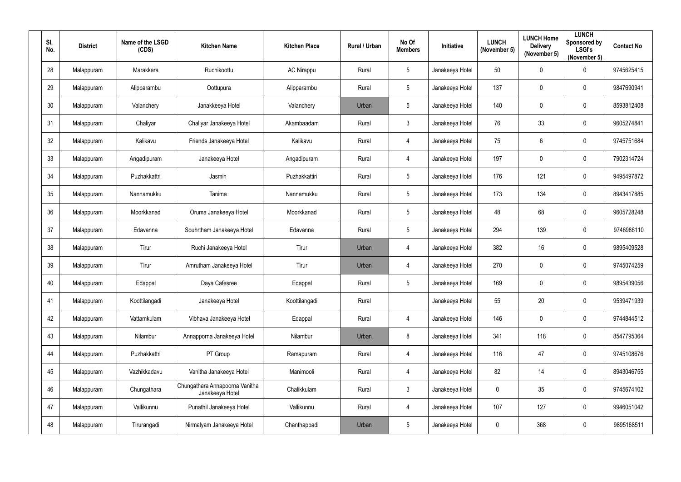| SI.<br>No.      | <b>District</b> | Name of the LSGD<br>(CDS) | <b>Kitchen Name</b>                               | <b>Kitchen Place</b> | Rural / Urban | No Of<br><b>Members</b> | Initiative      | <b>LUNCH</b><br>(November 5) | <b>LUNCH Home</b><br><b>Delivery</b><br>(November 5) | <b>LUNCH</b><br>Sponsored by<br><b>LSGI's</b><br>(November 5) | <b>Contact No</b> |
|-----------------|-----------------|---------------------------|---------------------------------------------------|----------------------|---------------|-------------------------|-----------------|------------------------------|------------------------------------------------------|---------------------------------------------------------------|-------------------|
| 28              | Malappuram      | Marakkara                 | Ruchikoottu                                       | <b>AC Nirappu</b>    | Rural         | $5\phantom{.0}$         | Janakeeya Hotel | 50                           | $\mathbf 0$                                          | $\mathbf 0$                                                   | 9745625415        |
| 29              | Malappuram      | Alipparambu               | Oottupura                                         | Alipparambu          | Rural         | $5\overline{)}$         | Janakeeya Hotel | 137                          | 0                                                    | $\overline{0}$                                                | 9847690941        |
| 30 <sub>2</sub> | Malappuram      | Valanchery                | Janakkeeya Hotel                                  | Valanchery           | Urban         | $5\phantom{.0}$         | Janakeeya Hotel | 140                          | $\overline{0}$                                       | $\boldsymbol{0}$                                              | 8593812408        |
| 31              | Malappuram      | Chaliyar                  | Chaliyar Janakeeya Hotel                          | Akambaadam           | Rural         | 3 <sup>1</sup>          | Janakeeya Hotel | 76                           | 33                                                   | $\mathbf 0$                                                   | 9605274841        |
| 32              | Malappuram      | Kalikavu                  | Friends Janakeeya Hotel                           | Kalikavu             | Rural         | 4                       | Janakeeya Hotel | 75                           | $6\phantom{.}6$                                      | $\overline{0}$                                                | 9745751684        |
| 33              | Malappuram      | Angadipuram               | Janakeeya Hotel                                   | Angadipuram          | Rural         | $\overline{4}$          | Janakeeya Hotel | 197                          | $\mathbf 0$                                          | $\boldsymbol{0}$                                              | 7902314724        |
| 34              | Malappuram      | Puzhakkattri              | Jasmin                                            | Puzhakkattiri        | Rural         | $5\overline{)}$         | Janakeeya Hotel | 176                          | 121                                                  | $\mathbf 0$                                                   | 9495497872        |
| 35              | Malappuram      | Nannamukku                | Tanima                                            | Nannamukku           | Rural         | $5\overline{)}$         | Janakeeya Hotel | 173                          | 134                                                  | $\mathbf 0$                                                   | 8943417885        |
| 36              | Malappuram      | Moorkkanad                | Oruma Janakeeya Hotel                             | Moorkkanad           | Rural         | 5 <sub>5</sub>          | Janakeeya Hotel | 48                           | 68                                                   | $\boldsymbol{0}$                                              | 9605728248        |
| 37              | Malappuram      | Edavanna                  | Souhrtham Janakeeya Hotel                         | Edavanna             | Rural         | $5\phantom{.0}$         | Janakeeya Hotel | 294                          | 139                                                  | $\mathbf 0$                                                   | 9746986110        |
| 38              | Malappuram      | Tirur                     | Ruchi Janakeeya Hotel                             | Tirur                | Urban         | $\overline{4}$          | Janakeeya Hotel | 382                          | 16                                                   | $\boldsymbol{0}$                                              | 9895409528        |
| 39              | Malappuram      | Tirur                     | Amrutham Janakeeya Hotel                          | Tirur                | Urban         | $\overline{4}$          | Janakeeya Hotel | 270                          | $\boldsymbol{0}$                                     | $\boldsymbol{0}$                                              | 9745074259        |
| 40              | Malappuram      | Edappal                   | Daya Cafesree                                     | Edappal              | Rural         | $5\overline{)}$         | Janakeeya Hotel | 169                          | 0                                                    | $\overline{0}$                                                | 9895439056        |
| 41              | Malappuram      | Koottilangadi             | Janakeeya Hotel                                   | Koottilangadi        | Rural         |                         | Janakeeya Hotel | 55                           | 20                                                   | $\mathbf 0$                                                   | 9539471939        |
| 42              | Malappuram      | Vattamkulam               | Vibhava Janakeeya Hotel                           | Edappal              | Rural         | $\overline{4}$          | Janakeeya Hotel | 146                          | $\mathbf 0$                                          | $\mathbf 0$                                                   | 9744844512        |
| 43              | Malappuram      | Nilambur                  | Annapporna Janakeeya Hotel                        | Nilambur             | Urban         | 8                       | Janakeeya Hotel | 341                          | 118                                                  | $\mathbf 0$                                                   | 8547795364        |
| 44              | Malappuram      | Puzhakkattri              | PT Group                                          | Ramapuram            | Rural         | $\overline{4}$          | Janakeeya Hotel | 116                          | 47                                                   | $\mathbf 0$                                                   | 9745108676        |
| 45              | Malappuram      | Vazhikkadavu              | Vanitha Janakeeya Hotel                           | Manimooli            | Rural         | $\overline{4}$          | Janakeeya Hotel | 82                           | 14                                                   | $\mathbf 0$                                                   | 8943046755        |
| 46              | Malappuram      | Chungathara               | Chungathara Annapoorna Vanitha<br>Janakeeya Hotel | Chalikkulam          | Rural         | 3 <sup>1</sup>          | Janakeeya Hotel | $\pmb{0}$                    | 35                                                   | $\pmb{0}$                                                     | 9745674102        |
| 47              | Malappuram      | Vallikunnu                | Punathil Janakeeya Hotel                          | Vallikunnu           | Rural         | $\overline{4}$          | Janakeeya Hotel | 107                          | 127                                                  | $\mathbf 0$                                                   | 9946051042        |
| 48              | Malappuram      | Tirurangadi               | Nirmalyam Janakeeya Hotel                         | Chanthappadi         | Urban         | $5\phantom{.0}$         | Janakeeya Hotel | $\boldsymbol{0}$             | 368                                                  | $\bm{0}$                                                      | 9895168511        |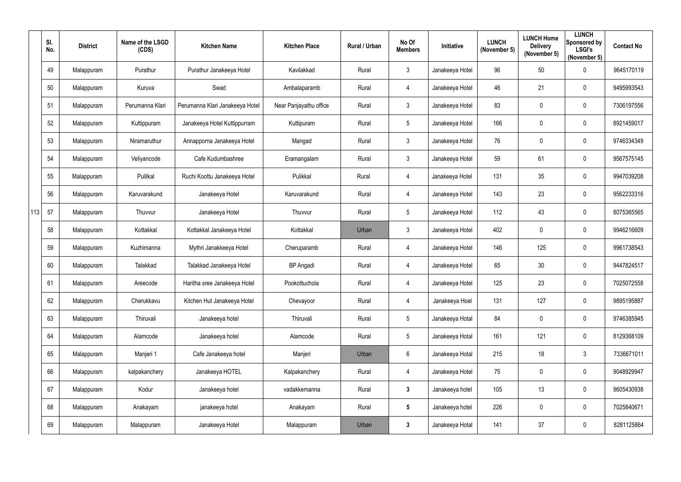|     | SI.<br>No. | <b>District</b> | Name of the LSGD<br>(CDS) | <b>Kitchen Name</b>             | <b>Kitchen Place</b>   | Rural / Urban | No Of<br><b>Members</b> | Initiative      | <b>LUNCH</b><br>(November 5) | <b>LUNCH Home</b><br><b>Delivery</b><br>(November 5) | <b>LUNCH</b><br>Sponsored by<br><b>LSGI's</b><br>(November 5) | <b>Contact No</b> |
|-----|------------|-----------------|---------------------------|---------------------------------|------------------------|---------------|-------------------------|-----------------|------------------------------|------------------------------------------------------|---------------------------------------------------------------|-------------------|
|     | 49         | Malappuram      | Purathur                  | Purathur Janakeeya Hotel        | Kavilakkad             | Rural         | $\mathfrak{Z}$          | Janakeeya Hotel | 96                           | 50                                                   | $\overline{0}$                                                | 9645170119        |
|     | 50         | Malappuram      | Kuruva                    | Swad                            | Ambalaparamb           | Rural         | 4                       | Janakeeya Hotel | 46                           | 21                                                   | $\mathbf 0$                                                   | 9495993543        |
|     | 51         | Malappuram      | Perumanna Klari           | Perumanna Klari Janakeeya Hotel | Near Panjayathu office | Rural         | $\mathfrak{Z}$          | Janakeeya Hotel | 83                           | 0                                                    | $\mathbf 0$                                                   | 7306197556        |
|     | 52         | Malappuram      | Kuttippuram               | Janakeeya Hotel Kuttippurram    | Kuttipuram             | Rural         | $5\phantom{.0}$         | Janakeeya Hotel | 166                          | 0                                                    | $\mathbf 0$                                                   | 8921459017        |
|     | 53         | Malappuram      | Niramaruthur              | Annapporna Janakeeya Hotel      | Mangad                 | Rural         | $\mathfrak{Z}$          | Janakeeya Hotel | 76                           | $\boldsymbol{0}$                                     | $\mathbf 0$                                                   | 9746334349        |
|     | 54         | Malappuram      | Veliyancode               | Cafe Kudumbashree               | Eramangalam            | Rural         | $\mathfrak{Z}$          | Janakeeya Hotel | 59                           | 61                                                   | $\mathbf 0$                                                   | 9567575145        |
|     | 55         | Malappuram      | Pulilkal                  | Ruchi Koottu Janakeeya Hotel    | Pulikkal               | Rural         | 4                       | Janakeeya Hotel | 131                          | 35                                                   | $\overline{0}$                                                | 9947039208        |
|     | 56         | Malappuram      | Karuvarakund              | Janakeeya Hotel                 | Karuvarakund           | Rural         | 4                       | Janakeeya Hotel | 143                          | 23                                                   | $\mathbf 0$                                                   | 9562233316        |
| 113 | 57         | Malappuram      | Thuvvur                   | Janakeeya Hotel                 | Thuvvur                | Rural         | $5\phantom{.0}$         | Janakeeya Hotel | 112                          | 43                                                   | $\mathbf 0$                                                   | 8075365565        |
|     | 58         | Malappuram      | Kottakkal                 | Kottakkal Janakeeya Hotel       | Kottakkal              | Urban         | $\mathfrak{Z}$          | Janakeeya Hotel | 402                          | 0                                                    | $\mathbf 0$                                                   | 9946216609        |
|     | 59         | Malappuram      | Kuzhimanna                | Mythri Janakkeeya Hotel         | Cheruparamb            | Rural         | 4                       | Janakeeya Hotel | 146                          | 125                                                  | $\mathbf 0$                                                   | 9961738543        |
|     | 60         | Malappuram      | Talakkad                  | Talakkad Janakeeya Hotel        | <b>BP</b> Angadi       | Rural         | 4                       | Janakeeya Hotel | 65                           | 30                                                   | $\mathbf 0$                                                   | 9447824517        |
|     | 61         | Malappuram      | Areecode                  | Haritha sree Janakeeya Hotel    | Pookottuchola          | Rural         | 4                       | Janakeeya Hotel | 125                          | 23                                                   | $\mathbf 0$                                                   | 7025072558        |
|     | 62         | Malappuram      | Cherukkavu                | Kitchen Hut Janakeeya Hotel     | Chevayoor              | Rural         | $\overline{4}$          | Janakeeya Hoel  | 131                          | 127                                                  | $\overline{0}$                                                | 9895195887        |
|     | 63         | Malappuram      | Thiruvali                 | Janakeeya hotel                 | Thiruvali              | Rural         | $5\phantom{.0}$         | Janakeeya Hotal | 84                           | 0                                                    | $\overline{0}$                                                | 9746385945        |
|     | 64         | Malappuram      | Alamcode                  | Janakeeya hotel                 | Alamcode               | Rural         | $5\phantom{.0}$         | Janakeeya Hotal | 161                          | 121                                                  | $\overline{0}$                                                | 8129368109        |
|     | 65         | Malappuram      | Manjeri 1                 | Cafe Janakeeya hotel            | Manjeri                | Urban         | $6\phantom{.0}$         | Janakeeya Hotal | 215                          | 18                                                   | $\mathbf{3}$                                                  | 7336671011        |
|     | 66         | Malappuram      | kalpakanchery             | Janakeeya HOTEL                 | Kalpakanchery          | Rural         | $\overline{4}$          | Janakeeya Hotel | 75                           | $\pmb{0}$                                            | $\overline{0}$                                                | 9048929947        |
|     | 67         | Malappuram      | Kodur                     | Janakeeya hotel                 | vadakkemanna           | Rural         | $\mathbf{3}$            | Janakeeya hotel | 105                          | 13                                                   | $\overline{0}$                                                | 9605430938        |
|     | 68         | Malappuram      | Anakayam                  | janakeeya hotel                 | Anakayam               | Rural         | $5\phantom{.0}$         | Janakeeya hotel | 226                          | $\pmb{0}$                                            | $\mathbf 0$                                                   | 7025840671        |
|     | 69         | Malappuram      | Malappuram                | Janakeeya Hotel                 | Malappuram             | Urban         | $\mathbf{3}$            | Janakeeya Hotal | 141                          | 37                                                   | $\overline{0}$                                                | 8281125864        |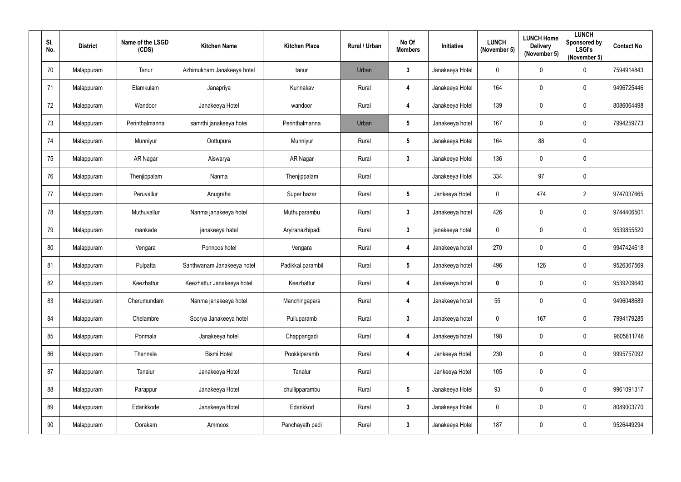| SI.<br>No. | <b>District</b> | Name of the LSGD<br>(CDS) | <b>Kitchen Name</b>        | <b>Kitchen Place</b> | Rural / Urban | No Of<br><b>Members</b> | Initiative      | <b>LUNCH</b><br>(November 5) | <b>LUNCH Home</b><br><b>Delivery</b><br>(November 5) | <b>LUNCH</b><br>Sponsored by<br><b>LSGI's</b><br>(November 5) | <b>Contact No</b> |
|------------|-----------------|---------------------------|----------------------------|----------------------|---------------|-------------------------|-----------------|------------------------------|------------------------------------------------------|---------------------------------------------------------------|-------------------|
| 70         | Malappuram      | Tanur                     | Azhimukham Janakeeya hotel | tanur                | Urban         | $3\phantom{a}$          | Janakeeya Hotel | $\mathbf 0$                  | $\mathbf 0$                                          | $\mathbf 0$                                                   | 7594914843        |
| 71         | Malappuram      | Elamkulam                 | Janapriya                  | Kunnakav             | Rural         | 4                       | Janakeeya Hotel | 164                          | $\mathbf 0$                                          | $\mathbf 0$                                                   | 9496725446        |
| 72         | Malappuram      | Wandoor                   | Janakeeya Hotel            | wandoor              | Rural         | 4                       | Janakeeya Hotel | 139                          | $\overline{0}$                                       | $\boldsymbol{0}$                                              | 8086064498        |
| 73         | Malappuram      | Perinthalmanna            | samrthi janakeeya hotei    | Perinthalmanna       | Urban         | $5\phantom{.0}$         | Janakeeya hotel | 167                          | $\mathbf 0$                                          | $\mathbf 0$                                                   | 7994259773        |
| 74         | Malappuram      | Munniyur                  | Oottupura                  | Munniyur             | Rural         | $5\phantom{.0}$         | Janakeeya Hotel | 164                          | 88                                                   | $\mathbf 0$                                                   |                   |
| 75         | Malappuram      | AR Nagar                  | Aiswarya                   | AR Nagar             | Rural         | $\mathbf{3}$            | Janakeeya Hotel | 136                          | $\mathbf 0$                                          | $\mathbf 0$                                                   |                   |
| 76         | Malappuram      | Thenjippalam              | Nanma                      | Thenjippalam         | Rural         |                         | Janakeeya Hotel | 334                          | 97                                                   | $\mathbf 0$                                                   |                   |
| 77         | Malappuram      | Peruvallur                | Anugraha                   | Super bazar          | Rural         | $5\phantom{.0}$         | Jankeeya Hotel  | $\mathbf 0$                  | 474                                                  | $\overline{2}$                                                | 9747037665        |
| 78         | Malappuram      | Muthuvallur               | Nanma janakeeya hotel      | Muthuparambu         | Rural         | $\mathbf{3}$            | Janakeeya hotel | 426                          | $\mathbf 0$                                          | $\overline{0}$                                                | 9744406501        |
| 79         | Malappuram      | mankada                   | janakeeya hatel            | Aryiranazhipadi      | Rural         | $\mathbf{3}$            | janakeeya hotel | $\boldsymbol{0}$             | $\mathbf 0$                                          | $\mathbf 0$                                                   | 9539855520        |
| 80         | Malappuram      | Vengara                   | Ponnoos hotel              | Vengara              | Rural         | 4                       | Janakeeya hotel | 270                          | $\mathbf 0$                                          | $\mathbf 0$                                                   | 9947424618        |
| 81         | Malappuram      | Pulpatta                  | Santhwanam Janakeeya hotel | Padikkal parambil    | Rural         | $5\phantom{.0}$         | Janakeeya hotel | 496                          | 126                                                  | $\boldsymbol{0}$                                              | 9526367569        |
| 82         | Malappuram      | Keezhattur                | Keezhattur Janakeeya hotel | Keezhattur           | Rural         | 4                       | Janakeeya hotel | $\boldsymbol{0}$             | $\mathbf 0$                                          | $\overline{0}$                                                | 9539209640        |
| 83         | Malappuram      | Cherumundam               | Nanma janakeeya hotel      | Manchingapara        | Rural         | $\overline{\mathbf{4}}$ | Janakeeya hotel | 55                           | $\mathbf 0$                                          | $\pmb{0}$                                                     | 9496048689        |
| 84         | Malappuram      | Chelambre                 | Soorya Janakeeya hotel     | Pulluparamb          | Rural         | $3\phantom{a}$          | Janakeeya hotel | $\boldsymbol{0}$             | 167                                                  | $\pmb{0}$                                                     | 7994179285        |
| 85         | Malappuram      | Ponmala                   | Janakeeya hotel            | Chappangadi          | Rural         | $\overline{\mathbf{4}}$ | Janakeeya hotel | 198                          | $\mathbf 0$                                          | $\boldsymbol{0}$                                              | 9605811748        |
| 86         | Malappuram      | Thennala                  | <b>Bismi Hotel</b>         | Pookkiparamb         | Rural         | 4                       | Jankeeya Hotel  | 230                          | $\mathbf 0$                                          | $\boldsymbol{0}$                                              | 9995757092        |
| 87         | Malappuram      | Tanalur                   | Janakeeya Hotel            | Tanalur              | Rural         |                         | Jankeeya Hotel  | 105                          | $\mathbf 0$                                          | $\pmb{0}$                                                     |                   |
| 88         | Malappuram      | Parappur                  | Janakeeya Hotel            | chullipparambu       | Rural         | $5\phantom{.0}$         | Janakeeya Hotel | 93                           | $\mathbf 0$                                          | $\pmb{0}$                                                     | 9961091317        |
| 89         | Malappuram      | Edarikkode                | Janakeeya Hotel            | Edarikkod            | Rural         | $3\phantom{a}$          | Janakeeya Hotel | $\pmb{0}$                    | $\mathbf 0$                                          | $\pmb{0}$                                                     | 8089003770        |
| $90\,$     | Malappuram      | Oorakam                   | Ammoos                     | Panchayath padi      | Rural         | $3\phantom{a}$          | Janakeeya Hotel | 187                          | $\mathbf 0$                                          | $\pmb{0}$                                                     | 9526449294        |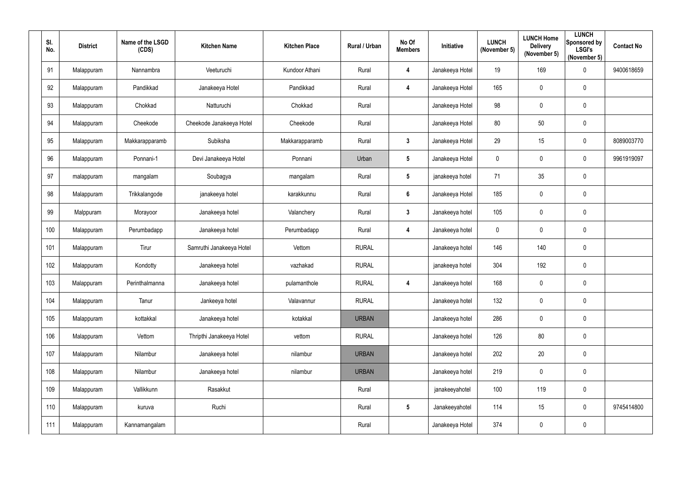| SI.<br>No. | <b>District</b> | Name of the LSGD<br>(CDS) | <b>Kitchen Name</b>      | <b>Kitchen Place</b> | Rural / Urban | No Of<br><b>Members</b> | Initiative      | <b>LUNCH</b><br>(November 5) | <b>LUNCH Home</b><br><b>Delivery</b><br>(November 5) | <b>LUNCH</b><br>Sponsored by<br><b>LSGI's</b><br>(November 5) | <b>Contact No</b> |
|------------|-----------------|---------------------------|--------------------------|----------------------|---------------|-------------------------|-----------------|------------------------------|------------------------------------------------------|---------------------------------------------------------------|-------------------|
| 91         | Malappuram      | Nannambra                 | Veeturuchi               | Kundoor Athani       | Rural         | $\overline{\mathbf{4}}$ | Janakeeya Hotel | 19                           | 169                                                  | $\mathbf 0$                                                   | 9400618659        |
| 92         | Malappuram      | Pandikkad                 | Janakeeya Hotel          | Pandikkad            | Rural         | 4                       | Janakeeya Hotel | 165                          | $\overline{0}$                                       | $\mathbf 0$                                                   |                   |
| 93         | Malappuram      | Chokkad                   | Natturuchi               | Chokkad              | Rural         |                         | Janakeeya Hotel | 98                           | $\overline{0}$                                       | $\mathbf 0$                                                   |                   |
| 94         | Malappuram      | Cheekode                  | Cheekode Janakeeya Hotel | Cheekode             | Rural         |                         | Janakeeya Hotel | 80                           | 50                                                   | $\mathbf 0$                                                   |                   |
| 95         | Malappuram      | Makkarapparamb            | Subiksha                 | Makkarapparamb       | Rural         | $3\phantom{.0}$         | Janakeeya Hotel | 29                           | 15                                                   | $\boldsymbol{0}$                                              | 8089003770        |
| 96         | Malappuram      | Ponnani-1                 | Devi Janakeeya Hotel     | Ponnani              | Urban         | $5\phantom{.0}$         | Janakeeya Hotel | $\pmb{0}$                    | $\overline{0}$                                       | $\boldsymbol{0}$                                              | 9961919097        |
| 97         | malappuram      | mangalam                  | Soubagya                 | mangalam             | Rural         | $5\phantom{.0}$         | janakeeya hotel | 71                           | 35                                                   | $\mathbf 0$                                                   |                   |
| 98         | Malappuram      | Trikkalangode             | janakeeya hotel          | karakkunnu           | Rural         | $6\phantom{1}$          | Janakeeya Hotel | 185                          | $\mathbf 0$                                          | $\mathbf 0$                                                   |                   |
| 99         | Malppuram       | Morayoor                  | Janakeeya hotel          | Valanchery           | Rural         | $\mathbf{3}$            | Janakeeya hotel | 105                          | $\overline{0}$                                       | $\mathbf 0$                                                   |                   |
| 100        | Malappuram      | Perumbadapp               | Janakeeya hotel          | Perumbadapp          | Rural         | $\overline{\mathbf{4}}$ | Janakeeya hotel | $\mathbf 0$                  | $\pmb{0}$                                            | $\mathbf 0$                                                   |                   |
| 101        | Malappuram      | Tirur                     | Samruthi Janakeeya Hotel | Vettom               | <b>RURAL</b>  |                         | Janakeeya hotel | 146                          | 140                                                  | $\mathbf 0$                                                   |                   |
| 102        | Malappuram      | Kondotty                  | Janakeeya hotel          | vazhakad             | <b>RURAL</b>  |                         | janakeeya hotel | 304                          | 192                                                  | $\mathbf 0$                                                   |                   |
| 103        | Malappuram      | Perinthalmanna            | Janakeeya hotel          | pulamanthole         | <b>RURAL</b>  | 4                       | Janakeeya hotel | 168                          | 0                                                    | $\overline{0}$                                                |                   |
| 104        | Malappuram      | Tanur                     | Jankeeya hotel           | Valavannur           | <b>RURAL</b>  |                         | Janakeeya hotel | 132                          | $\mathbf 0$                                          | $\pmb{0}$                                                     |                   |
| 105        | Malappuram      | kottakkal                 | Janakeeya hotel          | kotakkal             | <b>URBAN</b>  |                         | Janakeeya hotel | 286                          | $\mathbf 0$                                          | $\pmb{0}$                                                     |                   |
| 106        | Malappuram      | Vettom                    | Thripthi Janakeeya Hotel | vettom               | <b>RURAL</b>  |                         | Janakeeya hotel | 126                          | $80\,$                                               | $\pmb{0}$                                                     |                   |
| 107        | Malappuram      | Nilambur                  | Janakeeya hotel          | nilambur             | <b>URBAN</b>  |                         | Janakeeya hotel | 202                          | 20                                                   | $\pmb{0}$                                                     |                   |
| 108        | Malappuram      | Nilambur                  | Janakeeya hotel          | nilambur             | <b>URBAN</b>  |                         | Janakeeya hotel | 219                          | $\mathbf 0$                                          | $\pmb{0}$                                                     |                   |
| 109        | Malappuram      | Vallikkunn                | Rasakkut                 |                      | Rural         |                         | janakeeyahotel  | 100                          | 119                                                  | $\pmb{0}$                                                     |                   |
| 110        | Malappuram      | kuruva                    | Ruchi                    |                      | Rural         | $5\phantom{.0}$         | Janakeeyahotel  | 114                          | 15                                                   | $\pmb{0}$                                                     | 9745414800        |
| 111        | Malappuram      | Kannamangalam             |                          |                      | Rural         |                         | Janakeeya Hotel | 374                          | $\overline{0}$                                       | $\pmb{0}$                                                     |                   |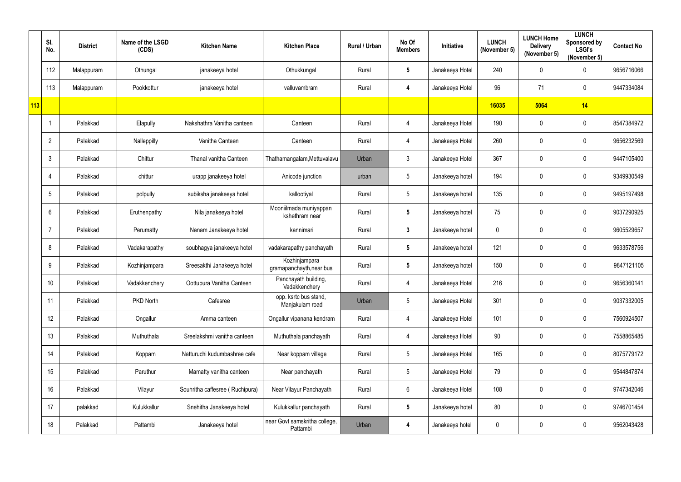|     | SI.<br>No.      | <b>District</b> | Name of the LSGD<br>(CDS) | <b>Kitchen Name</b>             | <b>Kitchen Place</b>                      | Rural / Urban | No Of<br><b>Members</b> | Initiative      | <b>LUNCH</b><br>(November 5) | <b>LUNCH Home</b><br><b>Delivery</b><br>(November 5) | <b>LUNCH</b><br><b>Sponsored by</b><br><b>LSGI's</b><br>(November 5) | <b>Contact No</b> |
|-----|-----------------|-----------------|---------------------------|---------------------------------|-------------------------------------------|---------------|-------------------------|-----------------|------------------------------|------------------------------------------------------|----------------------------------------------------------------------|-------------------|
|     | 112             | Malappuram      | Othungal                  | janakeeya hotel                 | Othukkungal                               | Rural         | $5\phantom{.0}$         | Janakeeya Hotel | 240                          | 0                                                    | $\mathbf 0$                                                          | 9656716066        |
|     | 113             | Malappuram      | Pookkottur                | janakeeya hotel                 | valluvambram                              | Rural         | 4                       | Janakeeya Hotel | 96                           | 71                                                   | $\mathbf 0$                                                          | 9447334084        |
| 113 |                 |                 |                           |                                 |                                           |               |                         |                 | 16035                        | 5064                                                 | 14                                                                   |                   |
|     |                 | Palakkad        | Elapully                  | Nakshathra Vanitha canteen      | Canteen                                   | Rural         | 4                       | Janakeeya Hotel | 190                          | 0                                                    | $\overline{0}$                                                       | 8547384972        |
|     | $\overline{2}$  | Palakkad        | Nalleppilly               | Vanitha Canteen                 | Canteen                                   | Rural         | 4                       | Janakeeya Hotel | 260                          | 0                                                    | $\mathbf 0$                                                          | 9656232569        |
|     | $\mathfrak{Z}$  | Palakkad        | Chittur                   | Thanal vanitha Canteen          | Thathamangalam, Mettuvalavu               | Urban         | $\mathfrak{Z}$          | Janakeeya Hotel | 367                          | $\pmb{0}$                                            | $\mathbf 0$                                                          | 9447105400        |
|     | 4               | Palakkad        | chittur                   | urapp janakeeya hotel           | Anicode junction                          | urban         | $5\phantom{.0}$         | Janakeeya hotel | 194                          | 0                                                    | $\mathbf 0$                                                          | 9349930549        |
|     | $5\phantom{.0}$ | Palakkad        | polpully                  | subiksha janakeeya hotel        | kallootiyal                               | Rural         | $5\phantom{.0}$         | Janakeeya hotel | 135                          | 0                                                    | $\mathbf 0$                                                          | 9495197498        |
|     | $6\phantom{.}$  | Palakkad        | Eruthenpathy              | Nila janakeeya hotel            | Mooniilmada muniyappan<br>kshethram near  | Rural         | $5\phantom{.0}$         | Janakeeya hotel | 75                           | 0                                                    | $\mathbf 0$                                                          | 9037290925        |
|     |                 | Palakkad        | Perumatty                 | Nanam Janakeeya hotel           | kannimari                                 | Rural         | $\mathbf{3}$            | Janakeeya hotel | 0                            | 0                                                    | $\mathbf 0$                                                          | 9605529657        |
|     | 8               | Palakkad        | Vadakarapathy             | soubhagya janakeeya hotel       | vadakarapathy panchayath                  | Rural         | $5\phantom{.0}$         | Janakeeya hotel | 121                          | 0                                                    | $\mathbf 0$                                                          | 9633578756        |
|     | 9               | Palakkad        | Kozhinjampara             | Sreesakthi Janakeeya hotel      | Kozhinjampara<br>gramapanchayth, near bus | Rural         | $5\phantom{.0}$         | Janakeeya hotel | 150                          | 0                                                    | $\mathbf 0$                                                          | 9847121105        |
|     | 10 <sup>°</sup> | Palakkad        | Vadakkenchery             | Oottupura Vanitha Canteen       | Panchayath building,<br>Vadakkenchery     | Rural         | 4                       | Janakeeya Hotel | 216                          | 0                                                    | $\mathbf 0$                                                          | 9656360141        |
|     | 11              | Palakkad        | PKD North                 | Cafesree                        | opp. ksrtc bus stand,<br>Manjakulam road  | Urban         | $\sqrt{5}$              | Janakeeya Hotel | 301                          | 0                                                    | $\mathbf 0$                                                          | 9037332005        |
|     | 12              | Palakkad        | Ongallur                  | Amma canteen                    | Ongallur vipanana kendram                 | Rural         | 4                       | Janakeeya Hotel | 101                          | 0                                                    | $\mathbf 0$                                                          | 7560924507        |
|     | 13              | Palakkad        | Muthuthala                | Sreelakshmi vanitha canteen     | Muthuthala panchayath                     | Rural         | 4                       | Janakeeya Hotel | 90                           | 0                                                    | $\overline{0}$                                                       | 7558865485        |
|     | 14              | Palakkad        | Koppam                    | Natturuchi kudumbashree cafe    | Near koppam village                       | Rural         | $5\phantom{.0}$         | Janakeeya Hotel | 165                          | 0                                                    | $\mathbf 0$                                                          | 8075779172        |
|     | 15              | Palakkad        | Paruthur                  | Mamatty vanitha canteen         | Near panchayath                           | Rural         | $\sqrt{5}$              | Janakeeya Hotel | 79                           | $\pmb{0}$                                            | $\mathbf 0$                                                          | 9544847874        |
|     | 16              | Palakkad        | Vilayur                   | Souhritha caffesree (Ruchipura) | Near Vilayur Panchayath                   | Rural         | $6\phantom{.0}$         | Janakeeya Hotel | 108                          | $\pmb{0}$                                            | $\mathbf 0$                                                          | 9747342046        |
|     | 17              | palakkad        | Kulukkallur               | Snehitha Janakeeya hotel        | Kulukkallur panchayath                    | Rural         | $5\phantom{.0}$         | Janakeeya hotel | 80                           | 0                                                    | $\overline{0}$                                                       | 9746701454        |
|     | 18              | Palakkad        | Pattambi                  | Janakeeya hotel                 | near Govt samskritha college,<br>Pattambi | Urban         | 4                       | Janakeeya hotel | 0                            | 0                                                    | $\mathbf 0$                                                          | 9562043428        |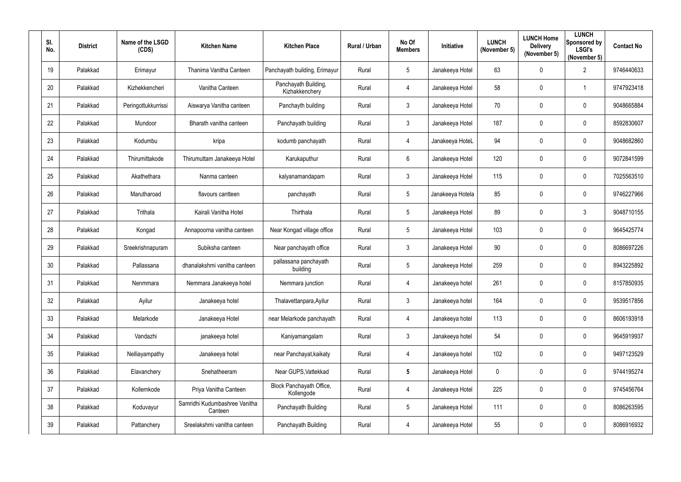| SI.<br>No. | <b>District</b> | Name of the LSGD<br>(CDS) | <b>Kitchen Name</b>                      | <b>Kitchen Place</b>                   | Rural / Urban | No Of<br><b>Members</b> | Initiative       | <b>LUNCH</b><br>(November 5) | <b>LUNCH Home</b><br><b>Delivery</b><br>(November 5) | <b>LUNCH</b><br>Sponsored by<br><b>LSGI's</b><br>(November 5) | <b>Contact No</b> |
|------------|-----------------|---------------------------|------------------------------------------|----------------------------------------|---------------|-------------------------|------------------|------------------------------|------------------------------------------------------|---------------------------------------------------------------|-------------------|
| 19         | Palakkad        | Erimayur                  | Thanima Vanitha Canteen                  | Panchayath building, Erimayur          | Rural         | $5\overline{)}$         | Janakeeya Hotel  | 63                           | $\mathbf 0$                                          | $\overline{2}$                                                | 9746440633        |
| 20         | Palakkad        | Kizhekkencheri            | Vanitha Canteen                          | Panchayath Building,<br>Kizhakkenchery | Rural         | $\overline{4}$          | Janakeeya Hotel  | 58                           | $\mathbf 0$                                          | -1                                                            | 9747923418        |
| 21         | Palakkad        | Peringottukkurrissi       | Aiswarya Vanitha canteen                 | Panchayth building                     | Rural         | $\mathbf{3}$            | Janakeeya Hotel  | 70                           | $\mathbf 0$                                          | $\overline{0}$                                                | 9048665884        |
| 22         | Palakkad        | Mundoor                   | Bharath vanitha canteen                  | Panchayath building                    | Rural         | $\mathbf{3}$            | Janakeeya Hotel  | 187                          | $\mathbf 0$                                          | $\mathbf 0$                                                   | 8592830607        |
| 23         | Palakkad        | Kodumbu                   | kripa                                    | kodumb panchayath                      | Rural         | $\overline{4}$          | Janakeeya HoteL  | 94                           | $\mathbf 0$                                          | $\overline{0}$                                                | 9048682860        |
| 24         | Palakkad        | Thirumittakode            | Thirumuttam Janakeeya Hotel              | Karukaputhur                           | Rural         | $6\phantom{.0}$         | Janakeeya Hotel  | 120                          | $\mathbf 0$                                          | $\boldsymbol{0}$                                              | 9072841599        |
| 25         | Palakkad        | Akathethara               | Nanma canteen                            | kalyanamandapam                        | Rural         | $\mathbf{3}$            | Janakeeya Hotel  | 115                          | 0                                                    | $\overline{0}$                                                | 7025563510        |
| 26         | Palakkad        | Marutharoad               | flavours cantteen                        | panchayath                             | Rural         | $5\phantom{.0}$         | Janakeeya Hotela | 85                           | $\mathbf 0$                                          | $\mathbf 0$                                                   | 9746227966        |
| 27         | Palakkad        | Trithala                  | Kairali Vanitha Hotel                    | Thirthala                              | Rural         | $5\overline{)}$         | Janakeeya Hotel  | 89                           | $\mathbf 0$                                          | $\mathbf{3}$                                                  | 9048710155        |
| 28         | Palakkad        | Kongad                    | Annapoorna vanitha canteen               | Near Kongad village office             | Rural         | $5\phantom{.0}$         | Janakeeya Hotel  | 103                          | $\mathbf 0$                                          | $\mathbf 0$                                                   | 9645425774        |
| 29         | Palakkad        | Sreekrishnapuram          | Subiksha canteen                         | Near panchayath office                 | Rural         | $\mathbf{3}$            | Janakeeya Hotel  | 90                           | $\mathbf 0$                                          | $\overline{0}$                                                | 8086697226        |
| 30         | Palakkad        | Pallassana                | dhanalakshmi vanitha canteen             | pallassana panchayath<br>building      | Rural         | $5\overline{)}$         | Janakeeya Hotel  | 259                          | $\mathbf 0$                                          | $\overline{0}$                                                | 8943225892        |
| 31         | Palakkad        | Nenmmara                  | Nemmara Janakeeya hotel                  | Nemmara junction                       | Rural         | 4                       | Janakeeya hotel  | 261                          | $\mathbf 0$                                          | $\mathbf 0$                                                   | 8157850935        |
| 32         | Palakkad        | Ayilur                    | Janakeeya hotel                          | Thalavettanpara, Ayilur                | Rural         | $\mathbf{3}$            | Janakeeya hotel  | 164                          | $\mathbf 0$                                          | $\mathbf 0$                                                   | 9539517856        |
| 33         | Palakkad        | Melarkode                 | Janakeeya Hotel                          | near Melarkode panchayath              | Rural         | $\overline{4}$          | Janakeeya hotel  | 113                          | $\mathbf 0$                                          | $\mathbf 0$                                                   | 8606193918        |
| 34         | Palakkad        | Vandazhi                  | janakeeya hotel                          | Kaniyamangalam                         | Rural         | $\mathbf{3}$            | Janakeeya hotel  | 54                           | $\mathbf 0$                                          | $\mathbf 0$                                                   | 9645919937        |
| 35         | Palakkad        | Nelliayampathy            | Janakeeya hotel                          | near Panchayat, kaikaty                | Rural         | $\overline{4}$          | Janakeeya hotel  | 102                          | $\mathbf 0$                                          | $\mathbf 0$                                                   | 9497123529        |
| 36         | Palakkad        | Elavanchery               | Snehatheeram                             | Near GUPS, Vattekkad                   | Rural         | $5\phantom{.0}$         | Janakeeya Hotel  | $\mathbf 0$                  | $\mathbf 0$                                          | $\mathbf 0$                                                   | 9744195274        |
| 37         | Palakkad        | Kollemkode                | Priya Vanitha Canteen                    | Block Panchayath Office,<br>Kollengode | Rural         | $\overline{4}$          | Janakeeya Hotel  | 225                          | $\mathbf 0$                                          | $\mathbf 0$                                                   | 9745456764        |
| 38         | Palakkad        | Koduvayur                 | Samridhi Kudumbashree Vanitha<br>Canteen | Panchayath Building                    | Rural         | $5\phantom{.0}$         | Janakeeya Hotel  | 111                          | $\mathbf 0$                                          | $\mathbf 0$                                                   | 8086263595        |
| 39         | Palakkad        | Pattanchery               | Sreelakshmi vanitha canteen              | Panchayath Building                    | Rural         | $\overline{4}$          | Janakeeya Hotel  | 55                           | $\mathbf 0$                                          | $\bm{0}$                                                      | 8086916932        |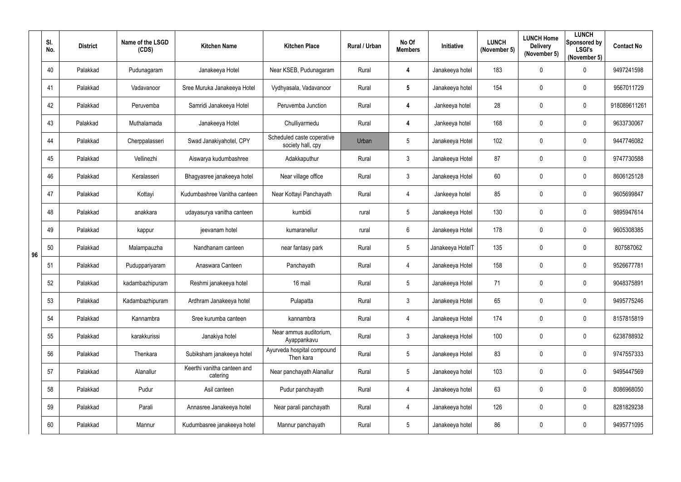|    | SI.<br>No. | <b>District</b> | Name of the LSGD<br>(CDS) | <b>Kitchen Name</b>                     | <b>Kitchen Place</b>                            | Rural / Urban | No Of<br><b>Members</b> | Initiative       | <b>LUNCH</b><br>(November 5) | <b>LUNCH Home</b><br><b>Delivery</b><br>(November 5) | <b>LUNCH</b><br>Sponsored by<br><b>LSGI's</b><br>(November 5) | <b>Contact No</b> |
|----|------------|-----------------|---------------------------|-----------------------------------------|-------------------------------------------------|---------------|-------------------------|------------------|------------------------------|------------------------------------------------------|---------------------------------------------------------------|-------------------|
|    | 40         | Palakkad        | Pudunagaram               | Janakeeya Hotel                         | Near KSEB, Pudunagaram                          | Rural         | $\overline{\mathbf{4}}$ | Janakeeya hotel  | 183                          | $\mathbf 0$                                          | $\mathbf 0$                                                   | 9497241598        |
|    | 41         | Palakkad        | Vadavanoor                | Sree Muruka Janakeeya Hotel             | Vydhyasala, Vadavanoor                          | Rural         | $5\phantom{.0}$         | Janakeeya hotel  | 154                          | 0                                                    | $\overline{0}$                                                | 9567011729        |
|    | 42         | Palakkad        | Peruvemba                 | Samridi Janakeeya Hotel                 | Peruvemba Junction                              | Rural         | $\overline{\mathbf{4}}$ | Jankeeya hotel   | 28                           | $\mathbf 0$                                          | $\mathbf 0$                                                   | 918089611261      |
|    | 43         | Palakkad        | Muthalamada               | Janakeeya Hotel                         | Chulliyarmedu                                   | Rural         | 4                       | Jankeeya hotel   | 168                          | 0                                                    | $\overline{0}$                                                | 9633730067        |
|    | 44         | Palakkad        | Cherppalasseri            | Swad Janakiyahotel, CPY                 | Scheduled caste coperative<br>society hall, cpy | Urban         | $5\overline{)}$         | Janakeeya Hotel  | 102                          | 0                                                    | $\overline{0}$                                                | 9447746082        |
|    | 45         | Palakkad        | Vellinezhi                | Aiswarya kudumbashree                   | Adakkaputhur                                    | Rural         | $\mathbf{3}$            | Janakeeya Hotel  | 87                           | $\mathbf 0$                                          | $\boldsymbol{0}$                                              | 9747730588        |
|    | 46         | Palakkad        | Keralasseri               | Bhagyasree janakeeya hotel              | Near village office                             | Rural         | $\mathfrak{Z}$          | Janakeeya Hotel  | 60                           | 0                                                    | $\overline{0}$                                                | 8606125128        |
|    | 47         | Palakkad        | Kottayi                   | Kudumbashree Vanitha canteen            | Near Kottayi Panchayath                         | Rural         | 4                       | Jankeeya hotel   | 85                           | 0                                                    | $\overline{0}$                                                | 9605699847        |
|    | 48         | Palakkad        | anakkara                  | udayasurya vanitha canteen              | kumbidi                                         | rural         | $5\phantom{.0}$         | Janakeeya Hotel  | 130                          | 0                                                    | $\overline{0}$                                                | 9895947614        |
|    | 49         | Palakkad        | kappur                    | jeevanam hotel                          | kumaranellur                                    | rural         | $6^{\circ}$             | Janakeeya Hotel  | 178                          | 0                                                    | $\overline{0}$                                                | 9605308385        |
| 96 | 50         | Palakkad        | Malampauzha               | Nandhanam canteen                       | near fantasy park                               | Rural         | $5\overline{)}$         | Janakeeya HotelT | 135                          | $\mathbf 0$                                          | $\overline{0}$                                                | 807587062         |
|    | 51         | Palakkad        | Puduppariyaram            | Anaswara Canteen                        | Panchayath                                      | Rural         | 4                       | Janakeeya Hotel  | 158                          | 0                                                    | $\overline{0}$                                                | 9526677781        |
|    | 52         | Palakkad        | kadambazhipuram           | Reshmi janakeeya hotel                  | 16 mail                                         | Rural         | 5                       | Janakeeya Hotel  | 71                           | 0                                                    | 0                                                             | 9048375891        |
|    | 53         | Palakkad        | Kadambazhipuram           | Ardhram Janakeeya hotel                 | Pulapatta                                       | Rural         | $\mathbf{3}$            | Janakeeya Hotel  | 65                           | $\mathbf 0$                                          | $\mathbf 0$                                                   | 9495775246        |
|    | 54         | Palakkad        | Kannambra                 | Sree kurumba canteen                    | kannambra                                       | Rural         | $\overline{4}$          | Janakeeya Hotel  | 174                          | 0                                                    | $\mathbf 0$                                                   | 8157815819        |
|    | 55         | Palakkad        | karakkurissi              | Janakiya hotel                          | Near ammus auditorium,<br>Ayappankavu           | Rural         | 3                       | Janakeeya Hotel  | 100                          | $\mathbf 0$                                          | $\mathbf 0$                                                   | 6238788932        |
|    | 56         | Palakkad        | Thenkara                  | Subiksham janakeeya hotel               | Ayurveda hospital compound<br>Then kara         | Rural         | $5\phantom{.0}$         | Janakeeya Hotel  | 83                           | $\mathbf 0$                                          | $\mathbf 0$                                                   | 9747557333        |
|    | 57         | Palakkad        | Alanallur                 | Keerthi vanitha canteen and<br>catering | Near panchayath Alanallur                       | Rural         | $5\phantom{.0}$         | Janakeeya hotel  | 103                          | $\mathbf 0$                                          | $\mathbf 0$                                                   | 9495447569        |
|    | 58         | Palakkad        | Pudur                     | Asil canteen                            | Pudur panchayath                                | Rural         | $\overline{4}$          | Janakeeya hotel  | 63                           | $\mathbf 0$                                          | $\mathbf 0$                                                   | 8086968050        |
|    | 59         | Palakkad        | Parali                    | Annasree Janakeeya hotel                | Near parali panchayath                          | Rural         | $\overline{4}$          | Janakeeya hotel  | 126                          | 0                                                    | $\mathbf 0$                                                   | 8281829238        |
|    | 60         | Palakkad        | Mannur                    | Kudumbasree janakeeya hotel             | Mannur panchayath                               | Rural         | $5\phantom{.0}$         | Janakeeya hotel  | 86                           | $\mathbf 0$                                          | $\boldsymbol{0}$                                              | 9495771095        |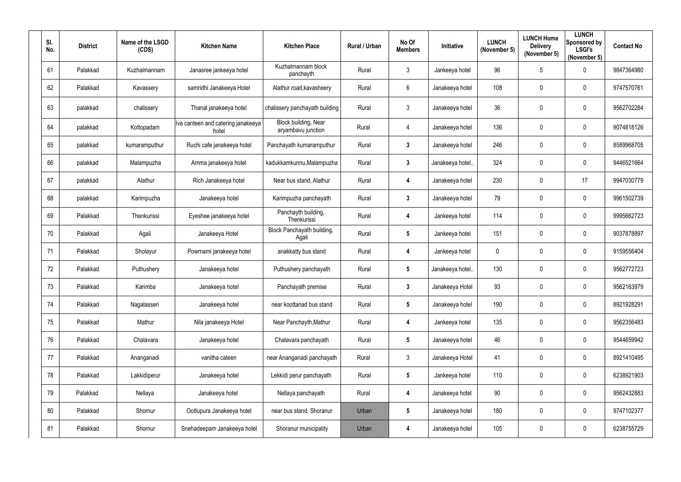| SI.<br>No. | <b>District</b> | Name of the LSGD<br>(CDS) | <b>Kitchen Name</b>                         | <b>Kitchen Place</b>                       | Rural / Urban | No Of<br><b>Members</b> | Initiative       | <b>LUNCH</b><br>(November 5) | <b>LUNCH Home</b><br><b>Delivery</b><br>(November 5) | <b>LUNCH</b><br>Sponsored by<br><b>LSGI's</b><br>(November 5) | <b>Contact No</b> |
|------------|-----------------|---------------------------|---------------------------------------------|--------------------------------------------|---------------|-------------------------|------------------|------------------------------|------------------------------------------------------|---------------------------------------------------------------|-------------------|
| 61         | Palakkad        | Kuzhalmannam              | Janasree jankeeya hotel                     | Kuzhalmannam block<br>panchayth            | Rural         | $\mathbf{3}$            | Jankeeya hotel   | 96                           | 5                                                    | $\overline{0}$                                                | 9847364980        |
| 62         | Palakkad        | Kavassery                 | samridhi Janakeeya Hotel                    | Alathur road, kavasheery                   | Rural         | $6^{\circ}$             | Janakeeya hotel  | 108                          | $\mathbf 0$                                          | $\overline{0}$                                                | 9747570761        |
| 63         | palakkad        | chalissery                | Thanal janakeeya hotel                      | chalissery panchayath building             | Rural         | $\mathbf{3}$            | Janakeeya hotel  | 36                           | $\mathbf 0$                                          | $\overline{0}$                                                | 9562702284        |
| 64         | palakkad        | Kottopadam                | Iva canteen and catering janakeeya<br>hotel | Block building, Near<br>aryambavu junction | Rural         | 4                       | Janakeeya hotel  | 136                          | $\mathbf 0$                                          | $\overline{0}$                                                | 9074818126        |
| 65         | palakkad        | kumaramputhur             | Ruchi cafe janakeeya hotel                  | Panchayath kumaramputhur                   | Rural         | $\mathbf{3}$            | Janakeeya hotel  | 246                          | $\overline{0}$                                       | $\overline{0}$                                                | 8589968705        |
| 66         | palakkad        | Malampuzha                | Amma janakeeya hotel                        | kadukkamkunnu, Malampuzha                  | Rural         | $3\phantom{a}$          | Janakeeya hotel. | 324                          | $\mathbf 0$                                          | $\mathbf 0$                                                   | 9446521664        |
| 67         | palakkad        | Alathur                   | Rich Janakeeya hotel                        | Near bus stand, Alathur                    | Rural         | $\overline{\mathbf{4}}$ | Janakeeya hotel  | 230                          | $\mathbf 0$                                          | 17                                                            | 9947030779        |
| 68         | palakkad        | Karimpuzha                | Janakeeya hotel                             | Karimpuzha panchayath                      | Rural         | $\mathbf{3}$            | Janakeeya hotel  | 79                           | $\overline{0}$                                       | $\overline{0}$                                                | 9961502739        |
| 69         | Palakkad        | Thenkurissi               | Eyeshee janakeeya hotel                     | Panchayth building,<br>Thenkurissi         | Rural         | $\overline{\mathbf{4}}$ | Jankeeya hotel   | 114                          | $\mathbf 0$                                          | $\overline{0}$                                                | 9995662723        |
| 70         | Palakkad        | Agali                     | Janakeeya Hotel                             | Block Panchayath building,<br>Agali        | Rural         | $5\phantom{.0}$         | Jankeeya hotel   | 151                          | $\mathbf 0$                                          | $\overline{0}$                                                | 9037878897        |
| 71         | Palakkad        | Sholayur                  | Powrnami janakeeya hotel                    | anakkatty bus stand                        | Rural         | 4                       | Jankeeya hotel   | $\mathbf 0$                  | $\overline{0}$                                       | $\overline{0}$                                                | 9159556404        |
| 72         | Palakkad        | Puthushery                | Janakeeya hotel                             | Puthushery panchayath                      | Rural         | $5\phantom{.0}$         | Janakeeya hotel. | 130                          | $\mathbf 0$                                          | $\mathbf 0$                                                   | 9562772723        |
| 73         | Palakkad        | Karimba                   | Janakeeya hotel                             | Panchayath premise                         | Rural         | $\mathbf{3}$            | Janakeeya Hotel  | 93                           | $\mathbf 0$                                          | $\mathbf 0$                                                   | 9562163979        |
| 74         | Palakkad        | Nagalasseri               | Janakeeya hotel                             | near koottanad bus stand                   | Rural         | $5\phantom{.0}$         | Janakeeya hotel  | 190                          | $\mathbf 0$                                          | $\mathbf 0$                                                   | 8921928291        |
| 75         | Palakkad        | Mathur                    | Nila janakeeya Hotel                        | Near Panchayth, Mathur                     | Rural         | 4                       | Jankeeya hotel   | 135                          | $\overline{0}$                                       | $\mathbf 0$                                                   | 9562356483        |
| 76         | Palakkad        | Chalavara                 | Janakeeya hotel                             | Chalavara panchayath                       | Rural         | $5\overline{)}$         | Janakeeya hotel  | 46                           | $\mathbf 0$                                          | $\mathbf 0$                                                   | 9544659942        |
| 77         | Palakkad        | Ananganadi                | vanitha cateen                              | near Ananganadi panchayath                 | Rural         | $\mathbf{3}$            | Janakeeya Hotel  | 41                           | $\mathbf 0$                                          | $\mathbf 0$                                                   | 8921410495        |
| 78         | Palakkad        | Lakkidiperur              | Janakeeya hotel                             | Lekkidi perur panchayath                   | Rural         | $5\phantom{.0}$         | Jankeeya hotel   | 110                          | $\mathbf 0$                                          | $\mathbf 0$                                                   | 6238921903        |
| 79         | Palakkad        | Nellaya                   | Janakeeya hotel                             | Nellaya panchayath                         | Rural         | $\overline{\mathbf{4}}$ | Janakeeya hotel  | 90                           | $\mathbf 0$                                          | $\mathbf 0$                                                   | 9562432883        |
| 80         | Palakkad        | Shornur                   | Oottupura Janakeeya hotel                   | near bus stand, Shoranur                   | Urban         | $5\phantom{.0}$         | Janakeeya hotel  | 180                          | $\mathbf 0$                                          | $\mathbf 0$                                                   | 9747102377        |
| 81         | Palakkad        | Shornur                   | Snehadeepam Janakeeya hotel                 | Shoranur municipality                      | Urban         | 4                       | Janakeeya hotel  | 105                          | $\mathbf 0$                                          | $\boldsymbol{0}$                                              | 6238755729        |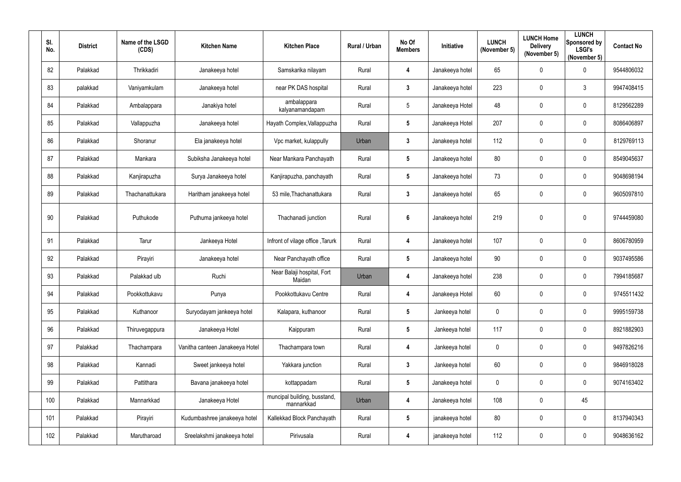| SI.<br>No. | <b>District</b> | Name of the LSGD<br>(CDS) | <b>Kitchen Name</b>             | <b>Kitchen Place</b>                       | Rural / Urban | No Of<br><b>Members</b> | Initiative      | <b>LUNCH</b><br>(November 5) | <b>LUNCH Home</b><br><b>Delivery</b><br>(November 5) | <b>LUNCH</b><br><b>Sponsored by</b><br><b>LSGI's</b><br>(November 5) | <b>Contact No</b> |
|------------|-----------------|---------------------------|---------------------------------|--------------------------------------------|---------------|-------------------------|-----------------|------------------------------|------------------------------------------------------|----------------------------------------------------------------------|-------------------|
| 82         | Palakkad        | Thrikkadiri               | Janakeeya hotel                 | Samskarika nilayam                         | Rural         | 4                       | Janakeeya hotel | 65                           | $\mathbf 0$                                          | $\mathbf 0$                                                          | 9544806032        |
| 83         | palakkad        | Vaniyamkulam              | Janakeeya hotel                 | near PK DAS hospital                       | Rural         | $3\phantom{a}$          | Janakeeya hotel | 223                          | $\mathbf 0$                                          | $\mathbf{3}$                                                         | 9947408415        |
| 84         | Palakkad        | Ambalappara               | Janakiya hotel                  | ambalappara<br>kalyanamandapam             | Rural         | $5\phantom{.0}$         | Janakeeya Hotel | 48                           | $\mathbf 0$                                          | $\mathbf 0$                                                          | 8129562289        |
| 85         | Palakkad        | Vallappuzha               | Janakeeya hotel                 | Hayath Complex, Vallappuzha                | Rural         | $5\phantom{.0}$         | Janakeeya Hotel | 207                          | $\mathbf 0$                                          | $\mathbf 0$                                                          | 8086406897        |
| 86         | Palakkad        | Shoranur                  | Ela janakeeya hotel             | Vpc market, kulappully                     | Urban         | $\mathbf{3}$            | Janakeeya hotel | 112                          | $\mathbf 0$                                          | $\mathbf 0$                                                          | 8129769113        |
| 87         | Palakkad        | Mankara                   | Subiksha Janakeeya hotel        | Near Mankara Panchayath                    | Rural         | $5\phantom{.0}$         | Janakeeya hotel | 80                           | 0                                                    | $\mathbf 0$                                                          | 8549045637        |
| 88         | Palakkad        | Kanjirapuzha              | Surya Janakeeya hotel           | Kanjirapuzha, panchayath                   | Rural         | $5\phantom{.0}$         | Janakeeya hotel | 73                           | 0                                                    | $\mathbf 0$                                                          | 9048698194        |
| 89         | Palakkad        | Thachanattukara           | Haritham janakeeya hotel        | 53 mile, Thachanattukara                   | Rural         | $\mathbf{3}$            | Janakeeya hotel | 65                           | $\mathbf 0$                                          | $\mathbf 0$                                                          | 9605097810        |
| 90         | Palakkad        | Puthukode                 | Puthuma jankeeya hotel          | Thachanadi junction                        | Rural         | $6\phantom{a}$          | Janakeeya hotel | 219                          | $\pmb{0}$                                            | $\mathbf 0$                                                          | 9744459080        |
| 91         | Palakkad        | Tarur                     | Jankeeya Hotel                  | Infront of vilage office, Tarurk           | Rural         | 4                       | Janakeeya hotel | 107                          | $\mathbf 0$                                          | $\mathbf 0$                                                          | 8606780959        |
| 92         | Palakkad        | Pirayiri                  | Janakeeya hotel                 | Near Panchayath office                     | Rural         | $5\phantom{.0}$         | Janakeeya hotel | 90                           | 0                                                    | $\mathbf 0$                                                          | 9037495586        |
| 93         | Palakkad        | Palakkad ulb              | Ruchi                           | Near Balaji hospital, Fort<br>Maidan       | Urban         | 4                       | Janakeeya hotel | 238                          | $\mathbf 0$                                          | $\mathbf 0$                                                          | 7994185687        |
| 94         | Palakkad        | Pookkottukavu             | Punya                           | Pookkottukavu Centre                       | Rural         | 4                       | Janakeeya Hotel | 60                           | 0                                                    | $\mathbf 0$                                                          | 9745511432        |
| 95         | Palakkad        | Kuthanoor                 | Suryodayam jankeeya hotel       | Kalapara, kuthanoor                        | Rural         | $5\phantom{.0}$         | Jankeeya hotel  | 0                            | $\pmb{0}$                                            | $\mathbf 0$                                                          | 9995159738        |
| 96         | Palakkad        | Thiruvegappura            | Janakeeya Hotel                 | Kaippuram                                  | Rural         | $5\phantom{.0}$         | Jankeeya hotel  | 117                          | 0                                                    | $\mathbf 0$                                                          | 8921882903        |
| 97         | Palakkad        | Thachampara               | Vanitha canteen Janakeeya Hotel | Thachampara town                           | Rural         | 4                       | Jankeeya hotel  | 0                            | $\pmb{0}$                                            | $\mathbf 0$                                                          | 9497826216        |
| 98         | Palakkad        | Kannadi                   | Sweet jankeeya hotel            | Yakkara junction                           | Rural         | $\mathbf{3}$            | Jankeeya hotel  | 60                           | $\pmb{0}$                                            | $\mathbf 0$                                                          | 9846918028        |
| 99         | Palakkad        | Pattithara                | Bavana janakeeya hotel          | kottappadam                                | Rural         | $5\phantom{.0}$         | Janakeeya hotel | $\pmb{0}$                    | $\pmb{0}$                                            | $\mathbf 0$                                                          | 9074163402        |
| 100        | Palakkad        | Mannarkkad                | Janakeeya Hotel                 | muncipal building, busstand,<br>mannarkkad | Urban         | 4                       | Janakeeya hotel | 108                          | $\pmb{0}$                                            | 45                                                                   |                   |
| 101        | Palakkad        | Pirayiri                  | Kudumbashree janakeeya hotel    | Kallekkad Block Panchayath                 | Rural         | $5\phantom{.0}$         | janakeeya hotel | 80                           | $\pmb{0}$                                            | $\mathbf 0$                                                          | 8137940343        |
| 102        | Palakkad        | Marutharoad               | Sreelakshmi janakeeya hotel     | Pirivusala                                 | Rural         | 4                       | janakeeya hotel | 112                          | $\pmb{0}$                                            | $\overline{0}$                                                       | 9048636162        |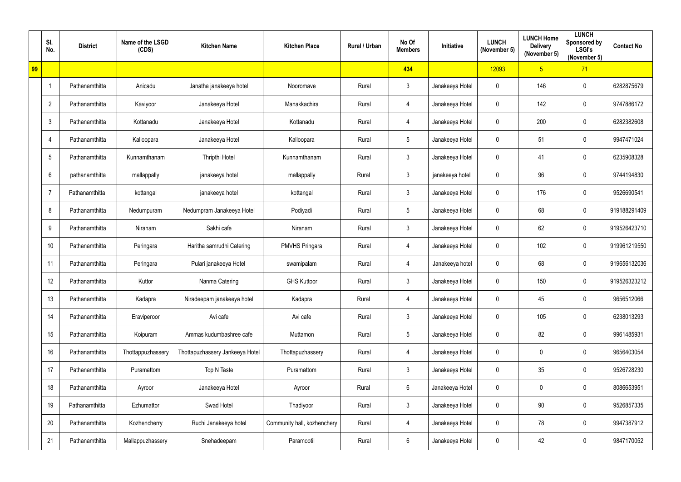|    | SI.<br>No.     | <b>District</b> | Name of the LSGD<br>(CDS) | <b>Kitchen Name</b>             | <b>Kitchen Place</b>        | Rural / Urban | No Of<br><b>Members</b> | Initiative      | <b>LUNCH</b><br>(November 5) | <b>LUNCH Home</b><br><b>Delivery</b><br>(November 5) | <b>LUNCH</b><br>Sponsored by<br><b>LSGI's</b><br>(November 5) | <b>Contact No</b> |
|----|----------------|-----------------|---------------------------|---------------------------------|-----------------------------|---------------|-------------------------|-----------------|------------------------------|------------------------------------------------------|---------------------------------------------------------------|-------------------|
| 99 |                |                 |                           |                                 |                             |               | 434                     |                 | 12093                        | 5 <sub>5</sub>                                       | 71                                                            |                   |
|    | $\overline{1}$ | Pathanamthitta  | Anicadu                   | Janatha janakeeya hotel         | Nooromave                   | Rural         | $\mathbf{3}$            | Janakeeya Hotel | $\mathbf 0$                  | 146                                                  | $\overline{0}$                                                | 6282875679        |
|    | $\overline{2}$ | Pathanamthitta  | Kaviyoor                  | Janakeeya Hotel                 | Manakkachira                | Rural         | $\overline{4}$          | Janakeeya Hotel | $\mathbf 0$                  | 142                                                  | $\mathbf 0$                                                   | 9747886172        |
|    | $\mathfrak{Z}$ | Pathanamthitta  | Kottanadu                 | Janakeeya Hotel                 | Kottanadu                   | Rural         | $\overline{4}$          | Janakeeya Hotel | $\mathbf 0$                  | 200                                                  | $\mathbf 0$                                                   | 6282382608        |
|    | 4              | Pathanamthitta  | Kalloopara                | Janakeeya Hotel                 | Kalloopara                  | Rural         | $5\phantom{.0}$         | Janakeeya Hotel | $\overline{0}$               | 51                                                   | $\overline{0}$                                                | 9947471024        |
|    | 5              | Pathanamthitta  | Kunnamthanam              | <b>Thripthi Hotel</b>           | Kunnamthanam                | Rural         | $\mathbf{3}$            | Janakeeya Hotel | $\boldsymbol{0}$             | 41                                                   | $\mathbf 0$                                                   | 6235908328        |
|    | $6\phantom{1}$ | pathanamthitta  | mallappally               | janakeeya hotel                 | mallappally                 | Rural         | $\mathbf{3}$            | janakeeya hotel | $\mathbf 0$                  | 96                                                   | $\mathbf 0$                                                   | 9744194830        |
|    | $\overline{7}$ | Pathanamthitta  | kottangal                 | janakeeya hotel                 | kottangal                   | Rural         | $\mathbf{3}$            | Janakeeya Hotel | $\overline{0}$               | 176                                                  | $\mathbf 0$                                                   | 9526690541        |
|    | 8              | Pathanamthitta  | Nedumpuram                | Nedumpram Janakeeya Hotel       | Podiyadi                    | Rural         | $5\overline{)}$         | Janakeeya Hotel | $\mathbf 0$                  | 68                                                   | $\mathbf 0$                                                   | 919188291409      |
|    | 9              | Pathanamthitta  | Niranam                   | Sakhi cafe                      | Niranam                     | Rural         | $\mathbf{3}$            | Janakeeya Hotel | $\mathbf 0$                  | 62                                                   | $\mathbf 0$                                                   | 919526423710      |
|    | 10             | Pathanamthitta  | Peringara                 | Haritha samrudhi Catering       | <b>PMVHS Pringara</b>       | Rural         | $\overline{4}$          | Janakeeya Hotel | $\overline{0}$               | 102                                                  | $\mathbf 0$                                                   | 919961219550      |
|    | 11             | Pathanamthitta  | Peringara                 | Pulari janakeeya Hotel          | swamipalam                  | Rural         | 4                       | Janakeeya hotel | $\mathbf 0$                  | 68                                                   | $\mathbf 0$                                                   | 919656132036      |
|    | 12             | Pathanamthitta  | Kuttor                    | Nanma Catering                  | <b>GHS Kuttoor</b>          | Rural         | $\mathbf{3}$            | Janakeeya Hotel | $\boldsymbol{0}$             | 150                                                  | $\mathbf 0$                                                   | 919526323212      |
|    | 13             | Pathanamthitta  | Kadapra                   | Niradeepam janakeeya hotel      | Kadapra                     | Rural         | $\overline{4}$          | Janakeeya Hotel | $\overline{0}$               | 45                                                   | $\mathbf 0$                                                   | 9656512066        |
|    | 14             | Pathanamthitta  | Eraviperoor               | Avi cafe                        | Avi cafe                    | Rural         | $\mathbf{3}$            | Janakeeya Hotel | $\mathbf 0$                  | 105                                                  | $\mathbf 0$                                                   | 6238013293        |
|    | 15             | Pathanamthitta  | Koipuram                  | Ammas kudumbashree cafe         | Muttamon                    | Rural         | $5\phantom{.0}$         | Janakeeya Hotel | $\mathbf 0$                  | 82                                                   | $\mathbf 0$                                                   | 9961485931        |
|    | 16             | Pathanamthitta  | Thottappuzhassery         | Thottapuzhassery Jankeeya Hotel | Thottapuzhassery            | Rural         | $\overline{4}$          | Janakeeya Hotel | $\overline{0}$               | 0                                                    | $\mathbf 0$                                                   | 9656403054        |
|    | 17             | Pathanamthitta  | Puramattom                | Top N Taste                     | Puramattom                  | Rural         | $\mathbf{3}$            | Janakeeya Hotel | $\mathbf 0$                  | 35                                                   | $\mathbf 0$                                                   | 9526728230        |
|    | 18             | Pathanamthitta  | Ayroor                    | Janakeeya Hotel                 | Ayroor                      | Rural         | 6                       | Janakeeya Hotel | $\bm{0}$                     | 0                                                    | $\mathbf 0$                                                   | 8086653951        |
|    | 19             | Pathanamthitta  | Ezhumattor                | Swad Hotel                      | Thadiyoor                   | Rural         | $\mathbf{3}$            | Janakeeya Hotel | $\overline{0}$               | 90                                                   | $\mathbf 0$                                                   | 9526857335        |
|    | 20             | Pathanamthitta  | Kozhencherry              | Ruchi Janakeeya hotel           | Community hall, kozhenchery | Rural         | $\overline{4}$          | Janakeeya Hotel | $\mathbf 0$                  | 78                                                   | $\mathbf 0$                                                   | 9947387912        |
|    | 21             | Pathanamthitta  | Mallappuzhassery          | Snehadeepam                     | Paramootil                  | Rural         | $6\overline{6}$         | Janakeeya Hotel | $\boldsymbol{0}$             | 42                                                   | $\overline{0}$                                                | 9847170052        |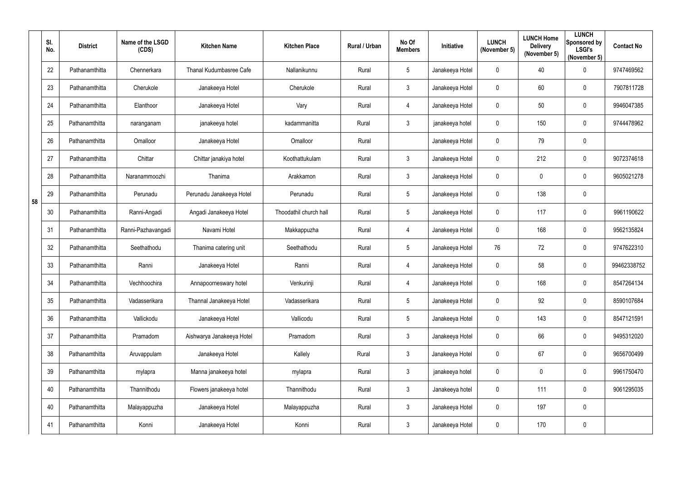|    | SI.<br>No. | <b>District</b> | Name of the LSGD<br>(CDS) | <b>Kitchen Name</b>       | <b>Kitchen Place</b>   | Rural / Urban | No Of<br><b>Members</b> | Initiative      | <b>LUNCH</b><br>(November 5) | <b>LUNCH Home</b><br><b>Delivery</b><br>(November 5) | <b>LUNCH</b><br>Sponsored by<br><b>LSGI's</b><br>(November 5) | <b>Contact No</b> |
|----|------------|-----------------|---------------------------|---------------------------|------------------------|---------------|-------------------------|-----------------|------------------------------|------------------------------------------------------|---------------------------------------------------------------|-------------------|
|    | 22         | Pathanamthitta  | Chennerkara               | Thanal Kudumbasree Cafe   | Nallanikunnu           | Rural         | $5\phantom{.0}$         | Janakeeya Hotel | $\mathbf 0$                  | 40                                                   | $\mathbf 0$                                                   | 9747469562        |
|    | 23         | Pathanamthitta  | Cherukole                 | Janakeeya Hotel           | Cherukole              | Rural         | $\mathbf{3}$            | Janakeeya Hotel | $\mathbf 0$                  | 60                                                   | $\mathbf 0$                                                   | 7907811728        |
|    | 24         | Pathanamthitta  | Elanthoor                 | Janakeeya Hotel           | Vary                   | Rural         | 4                       | Janakeeya Hotel | $\overline{0}$               | 50                                                   | $\overline{0}$                                                | 9946047385        |
|    | 25         | Pathanamthitta  | naranganam                | janakeeya hotel           | kadammanitta           | Rural         | $\mathbf{3}$            | janakeeya hotel | $\overline{0}$               | 150                                                  | $\overline{0}$                                                | 9744478962        |
|    | 26         | Pathanamthitta  | Omalloor                  | Janakeeya Hotel           | Omalloor               | Rural         |                         | Janakeeya Hotel | $\mathbf 0$                  | 79                                                   | $\mathbf 0$                                                   |                   |
|    | 27         | Pathanamthitta  | Chittar                   | Chittar janakiya hotel    | Koothattukulam         | Rural         | $\mathbf{3}$            | Janakeeya Hotel | $\mathbf 0$                  | 212                                                  | $\overline{0}$                                                | 9072374618        |
|    | 28         | Pathanamthitta  | Naranammoozhi             | Thanima                   | Arakkamon              | Rural         | $\mathbf{3}$            | Janakeeya Hotel | $\mathbf 0$                  | 0                                                    | $\mathbf 0$                                                   | 9605021278        |
| 58 | 29         | Pathanamthitta  | Perunadu                  | Perunadu Janakeeya Hotel  | Perunadu               | Rural         | $5\phantom{.0}$         | Janakeeya Hotel | $\mathbf 0$                  | 138                                                  | $\mathbf 0$                                                   |                   |
|    | 30         | Pathanamthitta  | Ranni-Angadi              | Angadi Janakeeya Hotel    | Thoodathil church hall | Rural         | $5\phantom{.0}$         | Janakeeya Hotel | $\overline{0}$               | 117                                                  | $\overline{0}$                                                | 9961190622        |
|    | 31         | Pathanamthitta  | Ranni-Pazhavangadi        | Navami Hotel              | Makkappuzha            | Rural         | 4                       | Janakeeya Hotel | $\overline{0}$               | 168                                                  | $\mathbf 0$                                                   | 9562135824        |
|    | 32         | Pathanamthitta  | Seethathodu               | Thanima catering unit     | Seethathodu            | Rural         | $5\phantom{.0}$         | Janakeeya Hotel | 76                           | 72                                                   | $\overline{0}$                                                | 9747622310        |
|    | 33         | Pathanamthitta  | Ranni                     | Janakeeya Hotel           | Ranni                  | Rural         | $\overline{4}$          | Janakeeya Hotel | $\mathbf 0$                  | 58                                                   | $\overline{0}$                                                | 99462338752       |
|    | 34         | Pathanamthitta  | Vechhoochira              | Annapoorneswary hotel     | Venkurinji             | Rural         | 4                       | Janakeeya Hotel | $\mathbf 0$                  | 168                                                  | $\mathbf 0$                                                   | 8547264134        |
|    | 35         | Pathanamthitta  | Vadasserikara             | Thannal Janakeeya Hotel   | Vadasserikara          | Rural         | $5\phantom{.0}$         | Janakeeya Hotel | $\mathbf 0$                  | 92                                                   | $\overline{0}$                                                | 8590107684        |
|    | 36         | Pathanamthitta  | Vallickodu                | Janakeeya Hotel           | Vallicodu              | Rural         | $5\phantom{.0}$         | Janakeeya Hotel | $\mathbf 0$                  | 143                                                  | $\overline{0}$                                                | 8547121591        |
|    | 37         | Pathanamthitta  | Pramadom                  | Aishwarya Janakeeya Hotel | Pramadom               | Rural         | $\mathbf{3}$            | Janakeeya Hotel | $\mathbf 0$                  | 66                                                   | $\overline{0}$                                                | 9495312020        |
|    | 38         | Pathanamthitta  | Aruvappulam               | Janakeeya Hotel           | Kallely                | Rural         | $\mathbf{3}$            | Janakeeya Hotel | $\mathbf 0$                  | 67                                                   | $\overline{0}$                                                | 9656700499        |
|    | 39         | Pathanamthitta  | mylapra                   | Manna janakeeya hotel     | mylapra                | Rural         | $\mathbf{3}$            | janakeeya hotel | $\mathbf 0$                  | 0                                                    | $\overline{0}$                                                | 9961750470        |
|    | 40         | Pathanamthitta  | Thannithodu               | Flowers janakeeya hotel   | Thannithodu            | Rural         | $\mathbf{3}$            | Janakeeya hotel | $\mathbf 0$                  | 111                                                  | $\overline{0}$                                                | 9061295035        |
|    | 40         | Pathanamthitta  | Malayappuzha              | Janakeeya Hotel           | Malayappuzha           | Rural         | $\mathbf{3}$            | Janakeeya Hotel | $\mathbf 0$                  | 197                                                  | $\overline{0}$                                                |                   |
|    | 41         | Pathanamthitta  | Konni                     | Janakeeya Hotel           | Konni                  | Rural         | $\mathbf{3}$            | Janakeeya Hotel | $\boldsymbol{0}$             | 170                                                  | $\overline{0}$                                                |                   |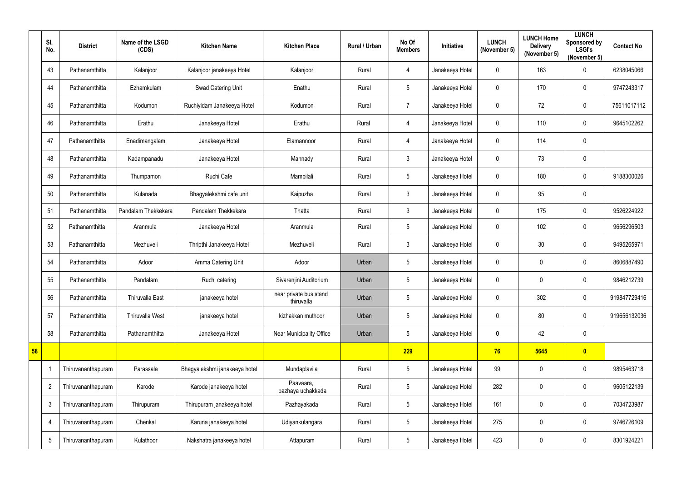|    | SI.<br>No.      | <b>District</b>    | Name of the LSGD<br>(CDS) | <b>Kitchen Name</b>           | <b>Kitchen Place</b>                 | Rural / Urban | No Of<br><b>Members</b> | Initiative      | <b>LUNCH</b><br>(November 5) | <b>LUNCH Home</b><br><b>Delivery</b><br>(November 5) | <b>LUNCH</b><br>Sponsored by<br><b>LSGI's</b><br>(November 5) | <b>Contact No</b> |
|----|-----------------|--------------------|---------------------------|-------------------------------|--------------------------------------|---------------|-------------------------|-----------------|------------------------------|------------------------------------------------------|---------------------------------------------------------------|-------------------|
|    | 43              | Pathanamthitta     | Kalanjoor                 | Kalanjoor janakeeya Hotel     | Kalanjoor                            | Rural         | 4                       | Janakeeya Hotel | $\mathbf 0$                  | 163                                                  | $\mathbf 0$                                                   | 6238045066        |
|    | 44              | Pathanamthitta     | Ezhamkulam                | Swad Catering Unit            | Enathu                               | Rural         | 5                       | Janakeeya Hotel | $\mathbf 0$                  | 170                                                  | $\mathbf 0$                                                   | 9747243317        |
|    | 45              | Pathanamthitta     | Kodumon                   | Ruchiyidam Janakeeya Hotel    | Kodumon                              | Rural         | $\overline{7}$          | Janakeeya Hotel | $\mathbf 0$                  | 72                                                   | $\mathbf 0$                                                   | 75611017112       |
|    | 46              | Pathanamthitta     | Erathu                    | Janakeeya Hotel               | Erathu                               | Rural         | $\overline{4}$          | Janakeeya Hotel | $\overline{0}$               | 110                                                  | $\mathbf 0$                                                   | 9645102262        |
|    | 47              | Pathanamthitta     | Enadimangalam             | Janakeeya Hotel               | Elamannoor                           | Rural         | 4                       | Janakeeya Hotel | $\mathbf 0$                  | 114                                                  | $\mathbf 0$                                                   |                   |
|    | 48              | Pathanamthitta     | Kadampanadu               | Janakeeya Hotel               | Mannady                              | Rural         | $\mathfrak{Z}$          | Janakeeya Hotel | $\mathbf 0$                  | 73                                                   | $\mathbf 0$                                                   |                   |
|    | 49              | Pathanamthitta     | Thumpamon                 | Ruchi Cafe                    | Mampilali                            | Rural         | 5                       | Janakeeya Hotel | $\mathbf 0$                  | 180                                                  | $\mathbf 0$                                                   | 9188300026        |
|    | 50              | Pathanamthitta     | Kulanada                  | Bhagyalekshmi cafe unit       | Kaipuzha                             | Rural         | $3\overline{3}$         | Janakeeya Hotel | $\mathbf 0$                  | 95                                                   | $\mathbf 0$                                                   |                   |
|    | 51              | Pathanamthitta     | Pandalam Thekkekara       | Pandalam Thekkekara           | Thatta                               | Rural         | $3\overline{3}$         | Janakeeya Hotel | $\mathbf 0$                  | 175                                                  | $\mathbf 0$                                                   | 9526224922        |
|    | 52              | Pathanamthitta     | Aranmula                  | Janakeeya Hotel               | Aranmula                             | Rural         | 5                       | Janakeeya Hotel | $\mathbf 0$                  | 102                                                  | $\mathbf 0$                                                   | 9656296503        |
|    | 53              | Pathanamthitta     | Mezhuveli                 | Thripthi Janakeeya Hotel      | Mezhuveli                            | Rural         | $\mathfrak{Z}$          | Janakeeya Hotel | $\mathbf 0$                  | 30                                                   | $\mathbf 0$                                                   | 9495265971        |
|    | 54              | Pathanamthitta     | Adoor                     | Amma Catering Unit            | Adoor                                | Urban         | 5                       | Janakeeya Hotel | $\mathbf 0$                  | 0                                                    | $\mathbf 0$                                                   | 8606887490        |
|    | 55              | Pathanamthitta     | Pandalam                  | Ruchi catering                | Sivarenjini Auditorium               | Urban         | 5                       | Janakeeya Hotel | $\mathbf 0$                  | 0                                                    | $\mathbf 0$                                                   | 9846212739        |
|    | 56              | Pathanamthitta     | Thiruvalla East           | janakeeya hotel               | near private bus stand<br>thiruvalla | Urban         | 5                       | Janakeeya Hotel | $\mathbf 0$                  | 302                                                  | $\mathbf 0$                                                   | 919847729416      |
|    | 57              | Pathanamthitta     | Thiruvalla West           | janakeeya hotel               | kizhakkan muthoor                    | Urban         | 5                       | Janakeeya Hotel | $\mathbf 0$                  | 80                                                   | $\mathbf 0$                                                   | 919656132036      |
|    | 58              | Pathanamthitta     | Pathanamthitta            | Janakeeya Hotel               | Near Municipality Office             | Urban         | 5                       | Janakeeya Hotel | $\bm{0}$                     | 42                                                   | $\mathbf 0$                                                   |                   |
| 58 |                 |                    |                           |                               |                                      |               | 229                     |                 | 76                           | 5645                                                 | $\bullet$                                                     |                   |
|    |                 | Thiruvananthapuram | Parassala                 | Bhagyalekshmi janakeeya hotel | Mundaplavila                         | Rural         | 5                       | Janakeeya Hotel | 99                           | 0                                                    | $\mathbf 0$                                                   | 9895463718        |
|    | $\overline{2}$  | Thiruvananthapuram | Karode                    | Karode janakeeya hotel        | Paavaara,<br>pazhaya uchakkada       | Rural         | 5                       | Janakeeya Hotel | 282                          | 0                                                    | $\mathbf 0$                                                   | 9605122139        |
|    | $\mathbf{3}$    | Thiruvananthapuram | Thirupuram                | Thirupuram janakeeya hotel    | Pazhayakada                          | Rural         | 5                       | Janakeeya Hotel | 161                          | 0                                                    | $\mathbf 0$                                                   | 7034723987        |
|    | 4               | Thiruvananthapuram | Chenkal                   | Karuna janakeeya hotel        | Udiyankulangara                      | Rural         | 5                       | Janakeeya Hotel | 275                          | 0                                                    | $\mathbf 0$                                                   | 9746726109        |
|    | $5\phantom{.0}$ | Thiruvananthapuram | Kulathoor                 | Nakshatra janakeeya hotel     | Attapuram                            | Rural         | 5                       | Janakeeya Hotel | 423                          | 0                                                    | $\mathbf 0$                                                   | 8301924221        |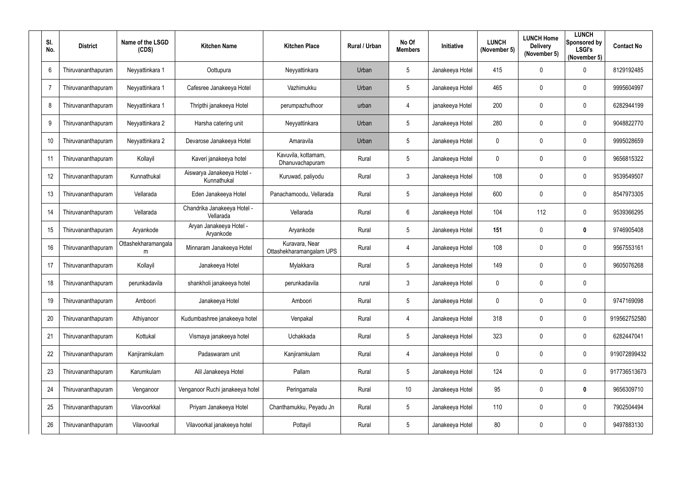| SI.<br>No.      | <b>District</b>    | Name of the LSGD<br>(CDS) | <b>Kitchen Name</b>                       | <b>Kitchen Place</b>                       | Rural / Urban | No Of<br><b>Members</b> | Initiative      | <b>LUNCH</b><br>(November 5) | <b>LUNCH Home</b><br><b>Delivery</b><br>(November 5) | <b>LUNCH</b><br>Sponsored by<br><b>LSGI's</b><br>(November 5) | <b>Contact No</b> |
|-----------------|--------------------|---------------------------|-------------------------------------------|--------------------------------------------|---------------|-------------------------|-----------------|------------------------------|------------------------------------------------------|---------------------------------------------------------------|-------------------|
| $6\phantom{1}6$ | Thiruvananthapuram | Neyyattinkara 1           | Oottupura                                 | Neyyattinkara                              | Urban         | $5\overline{)}$         | Janakeeya Hotel | 415                          | $\mathbf 0$                                          | $\mathbf 0$                                                   | 8129192485        |
| $\overline{7}$  | Thiruvananthapuram | Neyyattinkara 1           | Cafesree Janakeeya Hotel                  | Vazhimukku                                 | Urban         | $5\phantom{.0}$         | Janakeeya Hotel | 465                          | $\mathbf 0$                                          | $\mathbf 0$                                                   | 9995604997        |
| 8               | Thiruvananthapuram | Neyyattinkara 1           | Thripthi janakeeya Hotel                  | perumpazhuthoor                            | urban         | $\overline{4}$          | janakeeya Hotel | 200                          | $\mathbf 0$                                          | $\mathbf 0$                                                   | 6282944199        |
| 9               | Thiruvananthapuram | Neyyattinkara 2           | Harsha catering unit                      | Neyyattinkara                              | Urban         | $5\phantom{.0}$         | Janakeeya Hotel | 280                          | $\mathbf 0$                                          | $\mathbf 0$                                                   | 9048822770        |
| 10 <sup>°</sup> | Thiruvananthapuram | Neyyattinkara 2           | Devarose Janakeeya Hotel                  | Amaravila                                  | Urban         | $5\phantom{.0}$         | Janakeeya Hotel | $\mathbf 0$                  | 0                                                    | $\mathbf 0$                                                   | 9995028659        |
| 11              | Thiruvananthapuram | Kollayil                  | Kaveri janakeeya hotel                    | Kavuvila, kottamam,<br>Dhanuvachapuram     | Rural         | $5\phantom{.0}$         | Janakeeya Hotel | $\mathbf 0$                  | 0                                                    | $\boldsymbol{0}$                                              | 9656815322        |
| 12              | Thiruvananthapuram | Kunnathukal               | Aiswarya Janakeeya Hotel -<br>Kunnathukal | Kuruwad, paliyodu                          | Rural         | $\mathbf{3}$            | Janakeeya Hotel | 108                          | $\mathbf 0$                                          | $\mathbf 0$                                                   | 9539549507        |
| 13              | Thiruvananthapuram | Vellarada                 | Eden Janakeeya Hotel                      | Panachamoodu, Vellarada                    | Rural         | $5\phantom{.0}$         | Janakeeya Hotel | 600                          | $\mathbf 0$                                          | $\mathbf 0$                                                   | 8547973305        |
| 14              | Thiruvananthapuram | Vellarada                 | Chandrika Janakeeya Hotel -<br>Vellarada  | Vellarada                                  | Rural         | $6\overline{6}$         | Janakeeya Hotel | 104                          | 112                                                  | $\mathbf 0$                                                   | 9539366295        |
| 15              | Thiruvananthapuram | Aryankode                 | Aryan Janakeeya Hotel -<br>Aryankode      | Aryankode                                  | Rural         | $5\phantom{.0}$         | Janakeeya Hotel | 151                          | $\mathbf 0$                                          | $\boldsymbol{0}$                                              | 9746905408        |
| 16              | Thiruvananthapuram | Ottashekharamangala<br>m  | Minnaram Janakeeya Hotel                  | Kuravara, Near<br>Ottashekharamangalam UPS | Rural         | 4                       | Janakeeya Hotel | 108                          | 0                                                    | $\mathbf 0$                                                   | 9567553161        |
| 17              | Thiruvananthapuram | Kollayil                  | Janakeeya Hotel                           | Mylakkara                                  | Rural         | $5\phantom{.0}$         | Janakeeya Hotel | 149                          | $\mathbf 0$                                          | $\mathbf 0$                                                   | 9605076268        |
| 18              | Thiruvananthapuram | perunkadavila             | shankholi janakeeya hotel                 | perunkadavila                              | rural         | $\mathfrak{Z}$          | Janakeeya Hotel | $\mathbf 0$                  | 0                                                    | 0                                                             |                   |
| 19              | Thiruvananthapuram | Amboori                   | Janakeeya Hotel                           | Amboori                                    | Rural         | $5\phantom{.0}$         | Janakeeya Hotel | $\pmb{0}$                    | $\mathbf 0$                                          | $\mathbf 0$                                                   | 9747169098        |
| 20              | Thiruvananthapuram | Athiyanoor                | Kudumbashree janakeeya hotel              | Venpakal                                   | Rural         | $\overline{4}$          | Janakeeya Hotel | 318                          | $\mathbf 0$                                          | $\mathbf 0$                                                   | 919562752580      |
| 21              | Thiruvananthapuram | Kottukal                  | Vismaya janakeeya hotel                   | Uchakkada                                  | Rural         | $5\phantom{.0}$         | Janakeeya Hotel | 323                          | $\pmb{0}$                                            | $\mathbf 0$                                                   | 6282447041        |
| 22              | Thiruvananthapuram | Kanjiramkulam             | Padaswaram unit                           | Kanjiramkulam                              | Rural         | $\overline{4}$          | Janakeeya Hotel | $\boldsymbol{0}$             | $\mathbf 0$                                          | $\pmb{0}$                                                     | 919072899432      |
| 23              | Thiruvananthapuram | Karumkulam                | Alil Janakeeya Hotel                      | Pallam                                     | Rural         | $5\overline{)}$         | Janakeeya Hotel | 124                          | $\mathbf 0$                                          | $\mathbf 0$                                                   | 917736513673      |
| 24              | Thiruvananthapuram | Venganoor                 | Venganoor Ruchi janakeeya hotel           | Peringamala                                | Rural         | $10$                    | Janakeeya Hotel | 95                           | $\mathbf 0$                                          | $\boldsymbol{0}$                                              | 9656309710        |
| 25              | Thiruvananthapuram | Vilavoorkkal              | Priyam Janakeeya Hotel                    | Chanthamukku, Peyadu Jn                    | Rural         | $5\phantom{.0}$         | Janakeeya Hotel | 110                          | $\mathbf 0$                                          | $\mathbf 0$                                                   | 7902504494        |
| 26              | Thiruvananthapuram | Vilavoorkal               | Vilavoorkal janakeeya hotel               | Pottayil                                   | Rural         | $5\overline{)}$         | Janakeeya Hotel | 80                           | $\mathbf 0$                                          | $\bm{0}$                                                      | 9497883130        |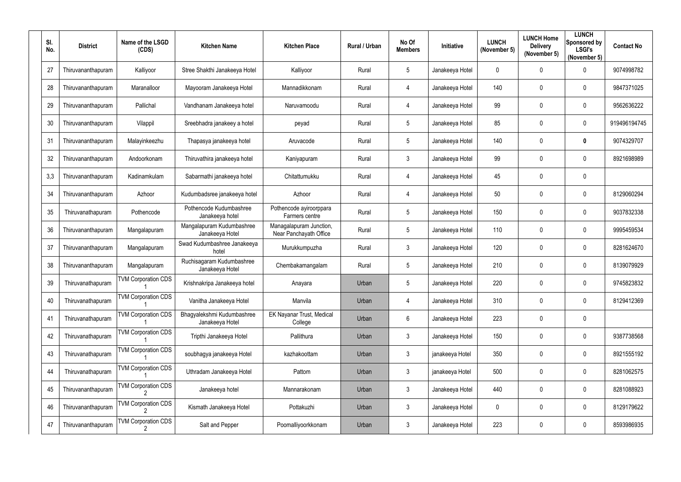| SI.<br>No. | <b>District</b>    | Name of the LSGD<br>(CDS)  | <b>Kitchen Name</b>                           | <b>Kitchen Place</b>                              | <b>Rural / Urban</b> | No Of<br><b>Members</b> | Initiative      | <b>LUNCH</b><br>(November 5) | <b>LUNCH Home</b><br><b>Delivery</b><br>(November 5) | <b>LUNCH</b><br>Sponsored by<br><b>LSGI's</b><br>(November 5) | <b>Contact No</b> |
|------------|--------------------|----------------------------|-----------------------------------------------|---------------------------------------------------|----------------------|-------------------------|-----------------|------------------------------|------------------------------------------------------|---------------------------------------------------------------|-------------------|
| 27         | Thiruvananthapuram | Kalliyoor                  | Stree Shakthi Janakeeya Hotel                 | Kalliyoor                                         | Rural                | $5\phantom{.0}$         | Janakeeya Hotel | $\mathbf 0$                  | $\mathbf 0$                                          | $\mathbf 0$                                                   | 9074998782        |
| 28         | Thiruvananthapuram | Maranalloor                | Mayooram Janakeeya Hotel                      | Mannadikkonam                                     | Rural                | 4                       | Janakeeya Hotel | 140                          | $\mathbf 0$                                          | $\mathbf 0$                                                   | 9847371025        |
| 29         | Thiruvananthapuram | Pallichal                  | Vandhanam Janakeeya hotel                     | Naruvamoodu                                       | Rural                | $\overline{4}$          | Janakeeya Hotel | 99                           | $\mathbf 0$                                          | $\mathbf 0$                                                   | 9562636222        |
| 30         | Thiruvananthapuram | Vilappil                   | Sreebhadra janakeey a hotel                   | peyad                                             | Rural                | $5\phantom{.0}$         | Janakeeya Hotel | 85                           | $\mathbf 0$                                          | $\mathbf 0$                                                   | 919496194745      |
| 31         | Thiruvananthapuram | Malayinkeezhu              | Thapasya janakeeya hotel                      | Aruvacode                                         | Rural                | $5\overline{)}$         | Janakeeya Hotel | 140                          | $\mathbf 0$                                          | $\boldsymbol{0}$                                              | 9074329707        |
| 32         | Thiruvananthapuram | Andoorkonam                | Thiruvathira janakeeya hotel                  | Kaniyapuram                                       | Rural                | $\mathfrak{Z}$          | Janakeeya Hotel | 99                           | $\mathbf 0$                                          | $\mathbf 0$                                                   | 8921698989        |
| 3,3        | Thiruvananthapuram | Kadinamkulam               | Sabarmathi janakeeya hotel                    | Chitattumukku                                     | Rural                | 4                       | Janakeeya Hotel | 45                           | $\mathbf 0$                                          | $\mathbf 0$                                                   |                   |
| 34         | Thiruvananthapuram | Azhoor                     | Kudumbadsree janakeeya hotel                  | Azhoor                                            | Rural                | $\overline{4}$          | Janakeeya Hotel | 50                           | $\mathbf 0$                                          | $\mathbf 0$                                                   | 8129060294        |
| 35         | Thiruvanathapuram  | Pothencode                 | Pothencode Kudumbashree<br>Janakeeya hotel    | Pothencode ayiroorppara<br>Farmers centre         | Rural                | $5\phantom{.0}$         | Janakeeya Hotel | 150                          | $\boldsymbol{0}$                                     | $\mathbf 0$                                                   | 9037832338        |
| 36         | Thiruvananthapuram | Mangalapuram               | Mangalapuram Kudumbashree<br>Janakeeya Hotel  | Managalapuram Junction,<br>Near Panchayath Office | Rural                | $5\phantom{.0}$         | Janakeeya Hotel | 110                          | $\mathbf 0$                                          | $\mathbf 0$                                                   | 9995459534        |
| 37         | Thiruvananthapuram | Mangalapuram               | Swad Kudumbashree Janakeeya<br>hotel          | Murukkumpuzha                                     | Rural                | $\mathbf{3}$            | Janakeeya Hotel | 120                          | $\boldsymbol{0}$                                     | $\mathbf 0$                                                   | 8281624670        |
| 38         | Thiruvananthapuram | Mangalapuram               | Ruchisagaram Kudumbashree<br>Janakeeya Hotel  | Chembakamangalam                                  | Rural                | $5\phantom{.0}$         | Janakeeya Hotel | 210                          | $\boldsymbol{0}$                                     | $\mathbf 0$                                                   | 8139079929        |
| 39         | Thiruvanathapuram  | <b>TVM Corporation CDS</b> | Krishnakripa Janakeeya hotel                  | Anayara                                           | Urban                | 5                       | Janakeeya Hotel | 220                          | 0                                                    | $\mathbf 0$                                                   | 9745823832        |
| 40         | Thiruvanathapuram  | <b>TVM Corporation CDS</b> | Vanitha Janakeeya Hotel                       | Manvila                                           | Urban                | 4                       | Janakeeya Hotel | 310                          | $\boldsymbol{0}$                                     | $\mathbf 0$                                                   | 8129412369        |
| 41         | Thiruvanathapuram  | <b>TVM Corporation CDS</b> | Bhagyalekshmi Kudumbashree<br>Janakeeya Hotel | EK Nayanar Trust, Medical<br>College              | Urban                | $6\overline{6}$         | Janakeeya Hotel | 223                          | $\boldsymbol{0}$                                     | $\mathbf 0$                                                   |                   |
| 42         | Thiruvanathapuram  | <b>TVM Corporation CDS</b> | Tripthi Janakeeya Hotel                       | Pallithura                                        | Urban                | $\mathbf{3}$            | Janakeeya Hotel | 150                          | $\boldsymbol{0}$                                     | $\boldsymbol{0}$                                              | 9387738568        |
| 43         | Thiruvanathapuram  | <b>TVM Corporation CDS</b> | soubhagya janakeeya Hotel                     | kazhakoottam                                      | Urban                | $\mathbf{3}$            | janakeeya Hotel | 350                          | $\boldsymbol{0}$                                     | $\boldsymbol{0}$                                              | 8921555192        |
| 44         | Thiruvanathapuram  | <b>TVM Corporation CDS</b> | Uthradam Janakeeya Hotel                      | Pattom                                            | Urban                | $\mathfrak{Z}$          | janakeeya Hotel | 500                          | $\boldsymbol{0}$                                     | $\boldsymbol{0}$                                              | 8281062575        |
| 45         | Thiruvananthapuram | <b>TVM Corporation CDS</b> | Janakeeya hotel                               | Mannarakonam                                      | Urban                | $\mathbf{3}$            | Janakeeya Hotel | 440                          | $\boldsymbol{0}$                                     | $\mathbf 0$                                                   | 8281088923        |
| 46         | Thiruvananthapuram | <b>TVM Corporation CDS</b> | Kismath Janakeeya Hotel                       | Pottakuzhi                                        | Urban                | $\mathbf{3}$            | Janakeeya Hotel | $\overline{0}$               | $\boldsymbol{0}$                                     | $\mathbf 0$                                                   | 8129179622        |
| 47         | Thiruvananthapuram | <b>TVM Corporation CDS</b> | Salt and Pepper                               | Poomalliyoorkkonam                                | Urban                | $\mathbf{3}$            | Janakeeya Hotel | 223                          | $\boldsymbol{0}$                                     | $\boldsymbol{0}$                                              | 8593986935        |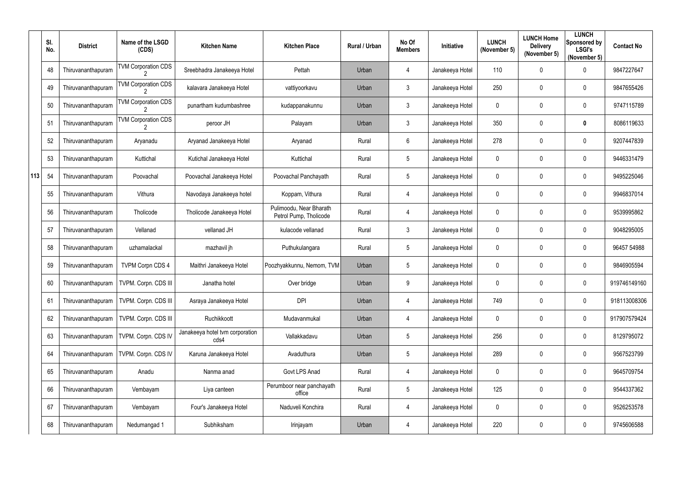|     | SI.<br>No. | <b>District</b>    | Name of the LSGD<br>(CDS)  | <b>Kitchen Name</b>                     | <b>Kitchen Place</b>                              | <b>Rural / Urban</b> | No Of<br><b>Members</b> | Initiative      | <b>LUNCH</b><br>(November 5) | <b>LUNCH Home</b><br><b>Delivery</b><br>(November 5) | <b>LUNCH</b><br>Sponsored by<br><b>LSGI's</b><br>(November 5) | <b>Contact No</b> |
|-----|------------|--------------------|----------------------------|-----------------------------------------|---------------------------------------------------|----------------------|-------------------------|-----------------|------------------------------|------------------------------------------------------|---------------------------------------------------------------|-------------------|
|     | 48         | Thiruvananthapuram | <b>TVM Corporation CDS</b> | Sreebhadra Janakeeya Hotel              | Pettah                                            | Urban                | 4                       | Janakeeya Hotel | 110                          | 0                                                    | $\overline{0}$                                                | 9847227647        |
|     | 49         | Thiruvananthapuram | <b>TVM Corporation CDS</b> | kalavara Janakeeya Hotel                | vattiyoorkavu                                     | Urban                | $\mathfrak{Z}$          | Janakeeya Hotel | 250                          | 0                                                    | $\overline{0}$                                                | 9847655426        |
|     | 50         | Thiruvananthapuram | <b>TVM Corporation CDS</b> | punartham kudumbashree                  | kudappanakunnu                                    | Urban                | $\mathfrak{Z}$          | Janakeeya Hotel | $\mathbf 0$                  | 0                                                    | $\overline{0}$                                                | 9747115789        |
|     | 51         | Thiruvananthapuram | <b>TVM Corporation CDS</b> | peroor JH                               | Palayam                                           | Urban                | $\mathfrak{Z}$          | Janakeeya Hotel | 350                          | 0                                                    | $\bf{0}$                                                      | 8086119633        |
|     | 52         | Thiruvananthapuram | Aryanadu                   | Aryanad Janakeeya Hotel                 | Aryanad                                           | Rural                | $6\phantom{.}$          | Janakeeya Hotel | 278                          | 0                                                    | $\overline{0}$                                                | 9207447839        |
|     | 53         | Thiruvananthapuram | Kuttichal                  | Kutichal Janakeeya Hotel                | Kuttichal                                         | Rural                | $5\phantom{.0}$         | Janakeeya Hotel | $\mathbf 0$                  | 0                                                    | $\overline{0}$                                                | 9446331479        |
| 113 | 54         | Thiruvananthapuram | Poovachal                  | Poovachal Janakeeya Hotel               | Poovachal Panchayath                              | Rural                | 5                       | Janakeeya Hotel | $\mathbf 0$                  | 0                                                    | $\overline{0}$                                                | 9495225046        |
|     | 55         | Thiruvananthapuram | Vithura                    | Navodaya Janakeeya hotel                | Koppam, Vithura                                   | Rural                | 4                       | Janakeeya Hotel | $\mathbf 0$                  | 0                                                    | $\overline{0}$                                                | 9946837014        |
|     | 56         | Thiruvananthapuram | Tholicode                  | Tholicode Janakeeya Hotel               | Pulimoodu, Near Bharath<br>Petrol Pump, Tholicode | Rural                | 4                       | Janakeeya Hotel | $\mathbf 0$                  | 0                                                    | $\overline{0}$                                                | 9539995862        |
|     | 57         | Thiruvananthapuram | Vellanad                   | vellanad JH                             | kulacode vellanad                                 | Rural                | $\mathfrak{Z}$          | Janakeeya Hotel | $\mathbf 0$                  | $\boldsymbol{0}$                                     | $\overline{0}$                                                | 9048295005        |
|     | 58         | Thiruvananthapuram | uzhamalackal               | mazhavil jh                             | Puthukulangara                                    | Rural                | 5                       | Janakeeya Hotel | 0                            | 0                                                    | $\overline{0}$                                                | 96457 54988       |
|     | 59         | Thiruvananthapuram | <b>TVPM Corpn CDS 4</b>    | Maithri Janakeeya Hotel                 | Poozhyakkunnu, Nemom, TVM                         | Urban                | $5\phantom{.0}$         | Janakeeya Hotel | $\mathbf 0$                  | 0                                                    | $\overline{0}$                                                | 9846905594        |
|     | 60         | Thiruvananthapuram | TVPM. Corpn. CDS III       | Janatha hotel                           | Over bridge                                       | Urban                | 9                       | Janakeeya Hotel | 0                            | 0                                                    | $\mathbf 0$                                                   | 919746149160      |
|     | 61         | Thiruvananthapuram | TVPM. Corpn. CDS III       | Asraya Janakeeya Hotel                  | <b>DPI</b>                                        | Urban                | 4                       | Janakeeya Hotel | 749                          | 0                                                    | $\mathbf 0$                                                   | 918113008306      |
|     | 62         | Thiruvananthapuram | TVPM. Corpn. CDS III       | Ruchikkoott                             | Mudavanmukal                                      | Urban                | 4                       | Janakeeya Hotel | $\mathbf 0$                  | 0                                                    | $\overline{0}$                                                | 917907579424      |
|     | 63         | Thiruvananthapuram | TVPM. Corpn. CDS IV        | Janakeeya hotel tvm corporation<br>cds4 | Vallakkadavu                                      | Urban                | $5\phantom{.0}$         | Janakeeya Hotel | 256                          | 0                                                    | $\overline{0}$                                                | 8129795072        |
|     | 64         | Thiruvananthapuram | TVPM. Corpn. CDS IV        | Karuna Janakeeya Hotel                  | Avaduthura                                        | Urban                | $5\phantom{.0}$         | Janakeeya Hotel | 289                          | 0                                                    | $\mathbf 0$                                                   | 9567523799        |
|     | 65         | Thiruvananthapuram | Anadu                      | Nanma anad                              | Govt LPS Anad                                     | Rural                | $\overline{4}$          | Janakeeya Hotel | $\mathbf 0$                  | 0                                                    | $\overline{0}$                                                | 9645709754        |
|     | 66         | Thiruvananthapuram | Vembayam                   | Liya canteen                            | Perumboor near panchayath<br>office               | Rural                | $5\phantom{.0}$         | Janakeeya Hotel | 125                          | 0                                                    | $\mathbf 0$                                                   | 9544337362        |
|     | 67         | Thiruvananthapuram | Vembayam                   | Four's Janakeeya Hotel                  | Naduveli Konchira                                 | Rural                | 4                       | Janakeeya Hotel | $\mathbf 0$                  | 0                                                    | $\mathbf 0$                                                   | 9526253578        |
|     | 68         | Thiruvananthapuram | Nedumangad 1               | Subhiksham                              | Irinjayam                                         | Urban                | 4                       | Janakeeya Hotel | 220                          | 0                                                    | $\overline{0}$                                                | 9745606588        |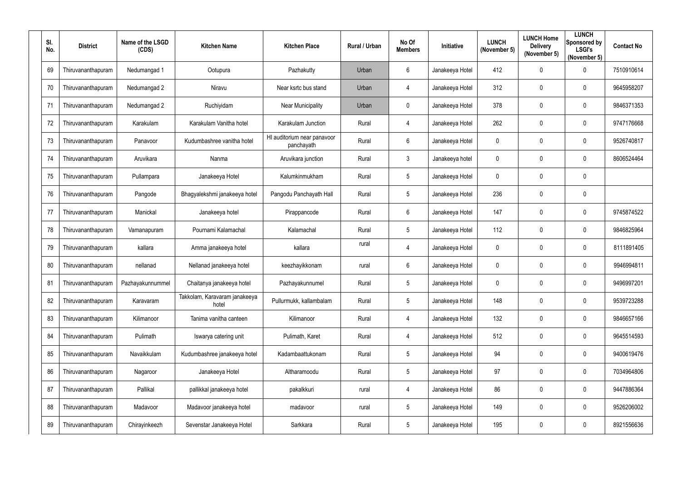| SI.<br>No. | <b>District</b>    | Name of the LSGD<br>(CDS) | <b>Kitchen Name</b>                    | <b>Kitchen Place</b>                      | <b>Rural / Urban</b> | No Of<br><b>Members</b> | Initiative      | <b>LUNCH</b><br>(November 5) | <b>LUNCH Home</b><br><b>Delivery</b><br>(November 5) | <b>LUNCH</b><br>Sponsored by<br><b>LSGI's</b><br>(November 5) | <b>Contact No</b> |
|------------|--------------------|---------------------------|----------------------------------------|-------------------------------------------|----------------------|-------------------------|-----------------|------------------------------|------------------------------------------------------|---------------------------------------------------------------|-------------------|
| 69         | Thiruvananthapuram | Nedumangad 1              | Ootupura                               | Pazhakutty                                | Urban                | $6\phantom{.}6$         | Janakeeya Hotel | 412                          | $\boldsymbol{0}$                                     | $\mathbf 0$                                                   | 7510910614        |
| 70         | Thiruvananthapuram | Nedumangad 2              | Niravu                                 | Near ksrtc bus stand                      | Urban                | 4                       | Janakeeya Hotel | 312                          | $\boldsymbol{0}$                                     | $\mathbf 0$                                                   | 9645958207        |
| 71         | Thiruvananthapuram | Nedumangad 2              | Ruchiyidam                             | <b>Near Municipality</b>                  | Urban                | $\mathbf 0$             | Janakeeya Hotel | 378                          | $\boldsymbol{0}$                                     | $\boldsymbol{0}$                                              | 9846371353        |
| 72         | Thiruvananthapuram | Karakulam                 | Karakulam Vanitha hotel                | Karakulam Junction                        | Rural                | $\overline{4}$          | Janakeeya Hotel | 262                          | $\boldsymbol{0}$                                     | $\mathbf 0$                                                   | 9747176668        |
| 73         | Thiruvananthapuram | Panavoor                  | Kudumbashree vanitha hotel             | HI auditorium near panavoor<br>panchayath | Rural                | $6\overline{6}$         | Janakeeya Hotel | $\mathbf 0$                  | $\mathbf 0$                                          | $\mathbf 0$                                                   | 9526740817        |
| 74         | Thiruvananthapuram | Aruvikara                 | Nanma                                  | Aruvikara junction                        | Rural                | $\mathbf{3}$            | Janakeeya hotel | $\boldsymbol{0}$             | $\boldsymbol{0}$                                     | $\mathbf 0$                                                   | 8606524464        |
| 75         | Thiruvananthapuram | Pullampara                | Janakeeya Hotel                        | Kalumkinmukham                            | Rural                | $5\phantom{.0}$         | Janakeeya Hotel | $\mathbf{0}$                 | $\boldsymbol{0}$                                     | $\mathbf 0$                                                   |                   |
| 76         | Thiruvananthapuram | Pangode                   | Bhagyalekshmi janakeeya hotel          | Pangodu Panchayath Hall                   | Rural                | $5\overline{)}$         | Janakeeya Hotel | 236                          | $\mathbf 0$                                          | $\mathbf 0$                                                   |                   |
| 77         | Thiruvananthapuram | Manickal                  | Janakeeya hotel                        | Pirappancode                              | Rural                | $6\phantom{.}6$         | Janakeeya Hotel | 147                          | $\boldsymbol{0}$                                     | $\mathbf 0$                                                   | 9745874522        |
| 78         | Thiruvananthapuram | Vamanapuram               | Pournami Kalamachal                    | Kalamachal                                | Rural                | $5\phantom{.0}$         | Janakeeya Hotel | 112                          | $\mathbf 0$                                          | $\mathbf 0$                                                   | 9846825964        |
| 79         | Thiruvananthapuram | kallara                   | Amma janakeeya hotel                   | kallara                                   | rural                | 4                       | Janakeeya Hotel | $\mathbf 0$                  | $\boldsymbol{0}$                                     | $\boldsymbol{0}$                                              | 8111891405        |
| 80         | Thiruvananthapuram | nellanad                  | Nellanad janakeeya hotel               | keezhayikkonam                            | rural                | 6                       | Janakeeya Hotel | $\mathbf 0$                  | $\boldsymbol{0}$                                     | $\mathbf 0$                                                   | 9946994811        |
| 81         | Thiruvananthapuram | Pazhayakunnummel          | Chaitanya janakeeya hotel              | Pazhayakunnumel                           | Rural                | $5\overline{)}$         | Janakeeya Hotel | $\mathbf 0$                  | 0                                                    | $\overline{0}$                                                | 9496997201        |
| 82         | Thiruvananthapuram | Karavaram                 | Takkolam, Karavaram janakeeya<br>hotel | Pullurmukk, kallambalam                   | Rural                | $5\overline{)}$         | Janakeeya Hotel | 148                          | $\boldsymbol{0}$                                     | $\mathbf 0$                                                   | 9539723288        |
| 83         | Thiruvananthapuram | Kilimanoor                | Tanima vanitha canteen                 | Kilimanoor                                | Rural                | $\overline{4}$          | Janakeeya Hotel | 132                          | $\boldsymbol{0}$                                     | $\mathbf 0$                                                   | 9846657166        |
| 84         | Thiruvananthapuram | Pulimath                  | Iswarya catering unit                  | Pulimath, Karet                           | Rural                | 4                       | Janakeeya Hotel | 512                          | $\boldsymbol{0}$                                     | $\boldsymbol{0}$                                              | 9645514593        |
| 85         | Thiruvananthapuram | Navaikkulam               | Kudumbashree janakeeya hotel           | Kadambaattukonam                          | Rural                | 5 <sub>5</sub>          | Janakeeya Hotel | 94                           | $\boldsymbol{0}$                                     | $\boldsymbol{0}$                                              | 9400619476        |
| 86         | Thiruvananthapuram | Nagaroor                  | Janakeeya Hotel                        | Altharamoodu                              | Rural                | $5\phantom{.0}$         | Janakeeya Hotel | 97                           | $\pmb{0}$                                            | $\boldsymbol{0}$                                              | 7034964806        |
| 87         | Thiruvananthapuram | Pallikal                  | pallikkal janakeeya hotel              | pakalkkuri                                | rural                | 4                       | Janakeeya Hotel | 86                           | 0                                                    | $\mathbf 0$                                                   | 9447886364        |
| 88         | Thiruvananthapuram | Madavoor                  | Madavoor janakeeya hotel               | madavoor                                  | rural                | $5\phantom{.0}$         | Janakeeya Hotel | 149                          | 0                                                    | $\boldsymbol{0}$                                              | 9526206002        |
| 89         | Thiruvananthapuram | Chirayinkeezh             | Sevenstar Janakeeya Hotel              | Sarkkara                                  | Rural                | $5\phantom{.0}$         | Janakeeya Hotel | 195                          | $\boldsymbol{0}$                                     | $\boldsymbol{0}$                                              | 8921556636        |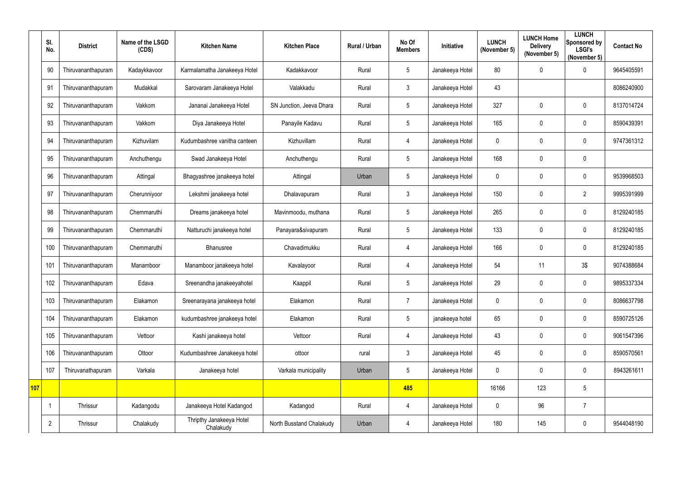|            | SI.<br>No.     | <b>District</b>    | Name of the LSGD<br>(CDS) | <b>Kitchen Name</b>                   | <b>Kitchen Place</b>     | <b>Rural / Urban</b> | No Of<br><b>Members</b> | Initiative      | <b>LUNCH</b><br>(November 5) | <b>LUNCH Home</b><br><b>Delivery</b><br>(November 5) | <b>LUNCH</b><br>Sponsored by<br><b>LSGI's</b><br>(November 5) | <b>Contact No</b> |
|------------|----------------|--------------------|---------------------------|---------------------------------------|--------------------------|----------------------|-------------------------|-----------------|------------------------------|------------------------------------------------------|---------------------------------------------------------------|-------------------|
|            | 90             | Thiruvananthapuram | Kadaykkavoor              | Karmalamatha Janakeeya Hotel          | Kadakkavoor              | Rural                | $5\phantom{.0}$         | Janakeeya Hotel | 80                           | 0                                                    | $\overline{0}$                                                | 9645405591        |
|            | 91             | Thiruvananthapuram | Mudakkal                  | Sarovaram Janakeeya Hotel             | Valakkadu                | Rural                | $3\overline{3}$         | Janakeeya Hotel | 43                           |                                                      |                                                               | 8086240900        |
|            | 92             | Thiruvananthapuram | Vakkom                    | Jananai Janakeeya Hotel               | SN Junction, Jeeva Dhara | Rural                | 5                       | Janakeeya Hotel | 327                          | 0                                                    | $\overline{0}$                                                | 8137014724        |
|            | 93             | Thiruvananthapuram | Vakkom                    | Diya Janakeeya Hotel                  | Panayile Kadavu          | Rural                | 5                       | Janakeeya Hotel | 165                          | 0                                                    | $\overline{0}$                                                | 8590439391        |
|            | 94             | Thiruvananthapuram | Kizhuvilam                | Kudumbashree vanitha canteen          | Kizhuvillam              | Rural                | 4                       | Janakeeya Hotel | $\mathbf 0$                  | 0                                                    | $\overline{0}$                                                | 9747361312        |
|            | 95             | Thiruvananthapuram | Anchuthengu               | Swad Janakeeya Hotel                  | Anchuthengu              | Rural                | 5                       | Janakeeya Hotel | 168                          | 0                                                    | $\boldsymbol{0}$                                              |                   |
|            | 96             | Thiruvananthapuram | Attingal                  | Bhagyashree janakeeya hotel           | Attingal                 | Urban                | 5                       | Janakeeya Hotel | $\mathbf 0$                  | 0                                                    | $\overline{0}$                                                | 9539968503        |
|            | 97             | Thiruvananthapuram | Cherunniyoor              | Lekshmi janakeeya hotel               | Dhalavapuram             | Rural                | $\mathbf{3}$            | Janakeeya Hotel | 150                          | 0                                                    | $\overline{2}$                                                | 9995391999        |
|            | 98             | Thiruvananthapuram | Chemmaruthi               | Dreams janakeeya hotel                | Mavinmoodu, muthana      | Rural                | 5                       | Janakeeya Hotel | 265                          | 0                                                    | $\overline{0}$                                                | 8129240185        |
|            | 99             | Thiruvananthapuram | Chemmaruthi               | Natturuchi janakeeya hotel            | Panayara&sivapuram       | Rural                | 5                       | Janakeeya Hotel | 133                          | 0                                                    | $\overline{0}$                                                | 8129240185        |
|            | 100            | Thiruvananthapuram | Chemmaruthi               | Bhanusree                             | Chavadimukku             | Rural                | 4                       | Janakeeya Hotel | 166                          | 0                                                    | $\overline{0}$                                                | 8129240185        |
|            | 101            | Thiruvananthapuram | Manamboor                 | Manamboor janakeeya hotel             | Kavalayoor               | Rural                | 4                       | Janakeeya Hotel | 54                           | 11                                                   | 3\$                                                           | 9074388684        |
|            | 102            | Thiruvananthapuram | Edava                     | Sreenandha janakeeyahotel             | Kaappil                  | Rural                | 5                       | Janakeeya Hotel | 29                           | 0                                                    | 0                                                             | 9895337334        |
|            | 103            | Thiruvananthapuram | Elakamon                  | Sreenarayana janakeeya hotel          | Elakamon                 | Rural                | $\overline{7}$          | Janakeeya Hotel | $\mathbf 0$                  | 0                                                    | $\mathbf 0$                                                   | 8086637798        |
|            | 104            | Thiruvananthapuram | Elakamon                  | kudumbashree janakeeya hotel          | Elakamon                 | Rural                | 5                       | janakeeya hotel | 65                           | 0                                                    | $\mathbf 0$                                                   | 8590725126        |
|            | 105            | Thiruvananthapuram | Vettoor                   | Kashi janakeeya hotel                 | Vettoor                  | Rural                | 4                       | Janakeeya Hotel | 43                           | 0                                                    | $\mathbf 0$                                                   | 9061547396        |
|            | 106            | Thiruvananthapuram | Ottoor                    | Kudumbashree Janakeeya hotel          | ottoor                   | rural                | $\mathbf{3}$            | Janakeeya Hotel | 45                           | 0                                                    | $\mathbf 0$                                                   | 8590570561        |
|            | 107            | Thiruvanathapuram  | Varkala                   | Janakeeya hotel                       | Varkala municipality     | Urban                | 5                       | Janakeeya Hotel | $\mathbf 0$                  | 0                                                    | $\mathbf 0$                                                   | 8943261611        |
| <b>107</b> |                |                    |                           |                                       |                          |                      | 485                     |                 | 16166                        | 123                                                  | $\overline{5}$                                                |                   |
|            |                | Thrissur           | Kadangodu                 | Janakeeya Hotel Kadangod              | Kadangod                 | Rural                | 4                       | Janakeeya Hotel | $\overline{0}$               | 96                                                   | $\overline{7}$                                                |                   |
|            | $\overline{2}$ | Thrissur           | Chalakudy                 | Thripthy Janakeeya Hotel<br>Chalakudy | North Busstand Chalakudy | Urban                | 4                       | Janakeeya Hotel | 180                          | 145                                                  | $\pmb{0}$                                                     | 9544048190        |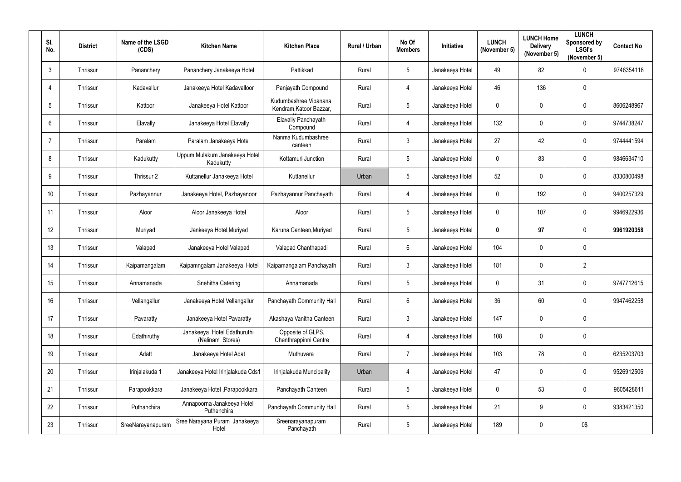| SI.<br>No.     | <b>District</b> | Name of the LSGD<br>(CDS) | <b>Kitchen Name</b>                             | <b>Kitchen Place</b>                             | Rural / Urban | No Of<br><b>Members</b> | Initiative      | <b>LUNCH</b><br>(November 5) | <b>LUNCH Home</b><br><b>Delivery</b><br>(November 5) | <b>LUNCH</b><br>Sponsored by<br><b>LSGI's</b><br>(November 5) | <b>Contact No</b> |
|----------------|-----------------|---------------------------|-------------------------------------------------|--------------------------------------------------|---------------|-------------------------|-----------------|------------------------------|------------------------------------------------------|---------------------------------------------------------------|-------------------|
| $\mathbf{3}$   | Thrissur        | Pananchery                | Pananchery Janakeeya Hotel                      | Pattikkad                                        | Rural         | $5\phantom{.0}$         | Janakeeya Hotel | 49                           | 82                                                   | $\mathbf 0$                                                   | 9746354118        |
| $\overline{4}$ | Thrissur        | Kadavallur                | Janakeeya Hotel Kadavalloor                     | Panjayath Compound                               | Rural         | 4                       | Janakeeya Hotel | 46                           | 136                                                  | $\mathbf 0$                                                   |                   |
| 5              | Thrissur        | Kattoor                   | Janakeeya Hotel Kattoor                         | Kudumbashree Vipanana<br>Kendram, Katoor Bazzar, | Rural         | 5                       | Janakeeya Hotel | $\mathbf 0$                  | 0                                                    | $\mathbf 0$                                                   | 8606248967        |
| 6              | Thrissur        | Elavally                  | Janakeeya Hotel Elavally                        | Elavally Panchayath<br>Compound                  | Rural         | 4                       | Janakeeya Hotel | 132                          | 0                                                    | $\mathbf 0$                                                   | 9744738247        |
|                | Thrissur        | Paralam                   | Paralam Janakeeya Hotel                         | Nanma Kudumbashree<br>canteen                    | Rural         | $\mathbf{3}$            | Janakeeya Hotel | 27                           | 42                                                   | $\mathbf 0$                                                   | 9744441594        |
| 8              | Thrissur        | Kadukutty                 | Uppum Mulakum Janakeeya Hotel<br>Kadukutty      | Kottamuri Junction                               | Rural         | $5\phantom{.0}$         | Janakeeya Hotel | $\mathbf 0$                  | 83                                                   | $\overline{0}$                                                | 9846634710        |
| 9              | Thrissur        | Thrissur 2                | Kuttanellur Janakeeya Hotel                     | Kuttanellur                                      | Urban         | $5\phantom{.0}$         | Janakeeya Hotel | 52                           | 0                                                    | $\mathbf 0$                                                   | 8330800498        |
| 10             | Thrissur        | Pazhayannur               | Janakeeya Hotel, Pazhayanoor                    | Pazhayannur Panchayath                           | Rural         | 4                       | Janakeeya Hotel | $\mathbf 0$                  | 192                                                  | $\mathbf 0$                                                   | 9400257329        |
| 11             | Thrissur        | Aloor                     | Aloor Janakeeya Hotel                           | Aloor                                            | Rural         | $5\phantom{.0}$         | Janakeeya Hotel | $\mathbf 0$                  | 107                                                  | $\mathbf 0$                                                   | 9946922936        |
| 12             | Thrissur        | Muriyad                   | Jankeeya Hotel, Muriyad                         | Karuna Canteen, Muriyad                          | Rural         | $5\phantom{.0}$         | Janakeeya Hotel | $\boldsymbol{0}$             | 97                                                   | $\mathbf 0$                                                   | 9961920358        |
| 13             | Thrissur        | Valapad                   | Janakeeya Hotel Valapad                         | Valapad Chanthapadi                              | Rural         | $6\overline{6}$         | Janakeeya Hotel | 104                          | 0                                                    | $\mathbf 0$                                                   |                   |
| 14             | Thrissur        | Kaipamangalam             | Kaipamngalam Janakeeya Hotel                    | Kaipamangalam Panchayath                         | Rural         | $\mathbf{3}$            | Janakeeya Hotel | 181                          | 0                                                    | $\overline{2}$                                                |                   |
| 15             | Thrissur        | Annamanada                | Snehitha Catering                               | Annamanada                                       | Rural         | 5                       | Janakeeya Hotel | $\mathbf 0$                  | 31                                                   | $\mathbf 0$                                                   | 9747712615        |
| 16             | Thrissur        | Vellangallur              | Janakeeya Hotel Vellangallur                    | Panchayath Community Hall                        | Rural         | $6\phantom{.}$          | Janakeeya Hotel | 36                           | 60                                                   | $\overline{0}$                                                | 9947462258        |
| 17             | Thrissur        | Pavaratty                 | Janakeeya Hotel Pavaratty                       | Akashaya Vanitha Canteen                         | Rural         | $\mathbf{3}$            | Janakeeya Hotel | 147                          | 0                                                    | $\mathbf 0$                                                   |                   |
| 18             | Thrissur        | Edathiruthy               | Janakeeya Hotel Edathuruthi<br>(Nalinam Stores) | Opposite of GLPS,<br>Chenthrappinni Centre       | Rural         | $\overline{4}$          | Janakeeya Hotel | 108                          | 0                                                    | $\mathbf 0$                                                   |                   |
| 19             | Thrissur        | Adatt                     | Janakeeya Hotel Adat                            | Muthuvara                                        | Rural         | $\overline{7}$          | Janakeeya Hotel | 103                          | 78                                                   | $\overline{0}$                                                | 6235203703        |
| 20             | Thrissur        | Irinjalakuda 1            | Janakeeya Hotel Irinjalakuda Cds1               | Irinjalakuda Muncipality                         | Urban         | 4                       | Janakeeya Hotel | 47                           | 0                                                    | $\overline{0}$                                                | 9526912506        |
| 21             | Thrissur        | Parapookkara              | Janakeeya Hotel, Parapookkara                   | Panchayath Canteen                               | Rural         | $5\phantom{.0}$         | Janakeeya Hotel | $\mathbf 0$                  | 53                                                   | $\overline{0}$                                                | 9605428611        |
| 22             | Thrissur        | Puthanchira               | Annapoorna Janakeeya Hotel<br>Puthenchira       | Panchayath Community Hall                        | Rural         | $5\phantom{.0}$         | Janakeeya Hotel | 21                           | 9                                                    | $\overline{0}$                                                | 9383421350        |
| 23             | Thrissur        | SreeNarayanapuram         | Sree Narayana Puram Janakeeya<br>Hotel          | Sreenarayanapuram<br>Panchayath                  | Rural         | 5                       | Janakeeya Hotel | 189                          | 0                                                    | 0\$                                                           |                   |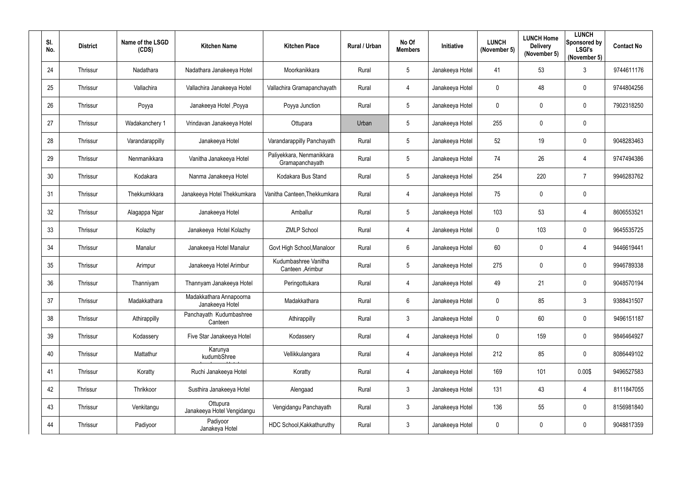| SI.<br>No. | <b>District</b> | Name of the LSGD<br>(CDS) | <b>Kitchen Name</b>                        | <b>Kitchen Place</b>                         | Rural / Urban | No Of<br><b>Members</b> | Initiative      | <b>LUNCH</b><br>(November 5) | <b>LUNCH Home</b><br><b>Delivery</b><br>(November 5) | <b>LUNCH</b><br>Sponsored by<br><b>LSGI's</b><br>(November 5) | <b>Contact No</b> |
|------------|-----------------|---------------------------|--------------------------------------------|----------------------------------------------|---------------|-------------------------|-----------------|------------------------------|------------------------------------------------------|---------------------------------------------------------------|-------------------|
| 24         | Thrissur        | Nadathara                 | Nadathara Janakeeya Hotel                  | Moorkanikkara                                | Rural         | $5\phantom{.0}$         | Janakeeya Hotel | 41                           | 53                                                   | $\mathbf{3}$                                                  | 9744611176        |
| 25         | Thrissur        | Vallachira                | Vallachira Janakeeya Hotel                 | Vallachira Gramapanchayath                   | Rural         | $\overline{4}$          | Janakeeya Hotel | $\mathbf 0$                  | 48                                                   | $\overline{0}$                                                | 9744804256        |
| 26         | Thrissur        | Poyya                     | Janakeeya Hotel, Poyya                     | Poyya Junction                               | Rural         | $5\phantom{.0}$         | Janakeeya Hotel | $\mathbf 0$                  | $\mathbf 0$                                          | $\overline{0}$                                                | 7902318250        |
| 27         | Thrissur        | Wadakanchery 1            | Vrindavan Janakeeya Hotel                  | Ottupara                                     | Urban         | $5\phantom{.0}$         | Janakeeya Hotel | 255                          | $\mathbf 0$                                          | $\mathbf 0$                                                   |                   |
| 28         | Thrissur        | Varandarappilly           | Janakeeya Hotel                            | Varandarappilly Panchayath                   | Rural         | $5\phantom{.0}$         | Janakeeya Hotel | 52                           | 19                                                   | $\overline{0}$                                                | 9048283463        |
| 29         | Thrissur        | Nenmanikkara              | Vanitha Janakeeya Hotel                    | Paliyekkara, Nenmanikkara<br>Gramapanchayath | Rural         | $5\overline{)}$         | Janakeeya Hotel | 74                           | 26                                                   | $\overline{4}$                                                | 9747494386        |
| 30         | Thrissur        | Kodakara                  | Nanma Janakeeya Hotel                      | Kodakara Bus Stand                           | Rural         | $5\overline{)}$         | Janakeeya Hotel | 254                          | 220                                                  | $\overline{7}$                                                | 9946283762        |
| 31         | Thrissur        | Thekkumkkara              | Janakeeya Hotel Thekkumkara                | Vanitha Canteen, Thekkumkara                 | Rural         | $\overline{4}$          | Janakeeya Hotel | 75                           | $\mathbf 0$                                          | $\mathbf 0$                                                   |                   |
| 32         | Thrissur        | Alagappa Ngar             | Janakeeya Hotel                            | Amballur                                     | Rural         | $5\overline{)}$         | Janakeeya Hotel | 103                          | 53                                                   | $\overline{4}$                                                | 8606553521        |
| 33         | Thrissur        | Kolazhy                   | Janakeeya Hotel Kolazhy                    | <b>ZMLP School</b>                           | Rural         | $\overline{4}$          | Janakeeya Hotel | $\mathbf 0$                  | 103                                                  | $\overline{0}$                                                | 9645535725        |
| 34         | Thrissur        | Manalur                   | Janakeeya Hotel Manalur                    | Govt High School, Manaloor                   | Rural         | 6                       | Janakeeya Hotel | 60                           | $\mathbf 0$                                          | $\overline{4}$                                                | 9446619441        |
| 35         | Thrissur        | Arimpur                   | Janakeeya Hotel Arimbur                    | Kudumbashree Vanitha<br>Canteen, Arimbur     | Rural         | $5\phantom{.0}$         | Janakeeya Hotel | 275                          | $\mathbf 0$                                          | $\overline{0}$                                                | 9946789338        |
| 36         | Thrissur        | Thanniyam                 | Thannyam Janakeeya Hotel                   | Peringottukara                               | Rural         | 4                       | Janakeeya Hotel | 49                           | 21                                                   | $\mathbf 0$                                                   | 9048570194        |
| 37         | Thrissur        | Madakkathara              | Madakkathara Annapoorna<br>Janakeeya Hotel | Madakkathara                                 | Rural         | $6\phantom{.}6$         | Janakeeya Hotel | $\pmb{0}$                    | 85                                                   | $\mathbf{3}$                                                  | 9388431507        |
| 38         | Thrissur        | Athirappilly              | Panchayath Kudumbashree<br>Canteen         | Athirappilly                                 | Rural         | $\mathbf{3}$            | Janakeeya Hotel | $\mathbf 0$                  | 60                                                   | $\mathbf 0$                                                   | 9496151187        |
| 39         | Thrissur        | Kodassery                 | Five Star Janakeeya Hotel                  | Kodassery                                    | Rural         | $\overline{4}$          | Janakeeya Hotel | $\mathbf 0$                  | 159                                                  | $\mathbf 0$                                                   | 9846464927        |
| 40         | Thrissur        | Mattathur                 | Karunya<br>kudumbShree                     | Vellikkulangara                              | Rural         | $\overline{4}$          | Janakeeya Hotel | 212                          | 85                                                   | $\mathbf 0$                                                   | 8086449102        |
| 41         | Thrissur        | Koratty                   | Ruchi Janakeeya Hotel                      | Koratty                                      | Rural         | $\overline{4}$          | Janakeeya Hotel | 169                          | 101                                                  | 0.00\$                                                        | 9496527583        |
| 42         | Thrissur        | Thrikkoor                 | Susthira Janakeeya Hotel                   | Alengaad                                     | Rural         | $\mathbf{3}$            | Janakeeya Hotel | 131                          | 43                                                   | $\overline{4}$                                                | 8111847055        |
| 43         | Thrissur        | Venkitangu                | Ottupura<br>Janakeeya Hotel Vengidangu     | Vengidangu Panchayath                        | Rural         | $\mathbf{3}$            | Janakeeya Hotel | 136                          | 55                                                   | $\mathbf 0$                                                   | 8156981840        |
| 44         | Thrissur        | Padiyoor                  | Padiyoor<br>Janakeya Hotel                 | HDC School, Kakkathuruthy                    | Rural         | $\mathfrak{Z}$          | Janakeeya Hotel | $\boldsymbol{0}$             | $\mathbf 0$                                          | $\bm{0}$                                                      | 9048817359        |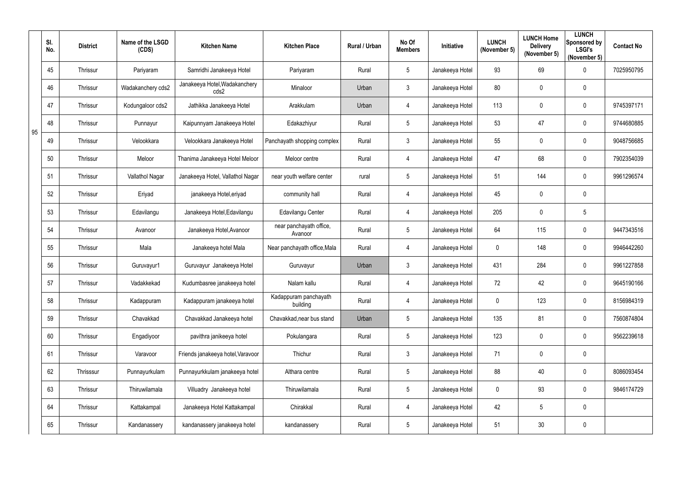|    | SI.<br>No. | <b>District</b> | Name of the LSGD<br>(CDS) | <b>Kitchen Name</b>                   | <b>Kitchen Place</b>               | Rural / Urban | No Of<br><b>Members</b> | Initiative      | <b>LUNCH</b><br>(November 5) | <b>LUNCH Home</b><br><b>Delivery</b><br>(November 5) | <b>LUNCH</b><br>Sponsored by<br><b>LSGI's</b><br>(November 5) | <b>Contact No</b> |
|----|------------|-----------------|---------------------------|---------------------------------------|------------------------------------|---------------|-------------------------|-----------------|------------------------------|------------------------------------------------------|---------------------------------------------------------------|-------------------|
|    | 45         | Thrissur        | Pariyaram                 | Samridhi Janakeeya Hotel              | Pariyaram                          | Rural         | 5                       | Janakeeya Hotel | 93                           | 69                                                   | $\mathbf 0$                                                   | 7025950795        |
|    | 46         | Thrissur        | Wadakanchery cds2         | Janakeeya Hotel, Wadakanchery<br>cds2 | Minaloor                           | Urban         | $\mathfrak{Z}$          | Janakeeya Hotel | 80                           | 0                                                    | $\mathbf 0$                                                   |                   |
|    | 47         | Thrissur        | Kodungaloor cds2          | Jathikka Janakeeya Hotel              | Arakkulam                          | Urban         | $\overline{4}$          | Janakeeya Hotel | 113                          | 0                                                    | $\mathbf 0$                                                   | 9745397171        |
|    | 48         | Thrissur        | Punnayur                  | Kaipunnyam Janakeeya Hotel            | Edakazhiyur                        | Rural         | 5                       | Janakeeya Hotel | 53                           | 47                                                   | $\mathbf 0$                                                   | 9744680885        |
| 95 | 49         | Thrissur        | Velookkara                | Velookkara Janakeeya Hotel            | Panchayath shopping complex        | Rural         | 3                       | Janakeeya Hotel | 55                           | 0                                                    | $\mathbf 0$                                                   | 9048756685        |
|    | 50         | Thrissur        | Meloor                    | Thanima Janakeeya Hotel Meloor        | Meloor centre                      | Rural         | $\overline{4}$          | Janakeeya Hotel | 47                           | 68                                                   | $\mathbf 0$                                                   | 7902354039        |
|    | 51         | Thrissur        | Vallathol Nagar           | Janakeeya Hotel, Vallathol Nagar      | near youth welfare center          | rural         | 5                       | Janakeeya Hotel | 51                           | 144                                                  | $\mathbf 0$                                                   | 9961296574        |
|    | 52         | Thrissur        | Eriyad                    | janakeeya Hotel, eriyad               | community hall                     | Rural         | $\overline{4}$          | Janakeeya Hotel | 45                           | 0                                                    | $\mathbf 0$                                                   |                   |
|    | 53         | Thrissur        | Edavilangu                | Janakeeya Hotel, Edavilangu           | Edavilangu Center                  | Rural         | $\overline{4}$          | Janakeeya Hotel | 205                          | 0                                                    | $\overline{5}$                                                |                   |
|    | 54         | Thrissur        | Avanoor                   | Janakeeya Hotel, Avanoor              | near panchayath office,<br>Avanoor | Rural         | 5                       | Janakeeya Hotel | 64                           | 115                                                  | $\mathbf 0$                                                   | 9447343516        |
|    | 55         | Thrissur        | Mala                      | Janakeeya hotel Mala                  | Near panchayath office, Mala       | Rural         | $\overline{4}$          | Janakeeya Hotel | $\mathbf 0$                  | 148                                                  | $\mathbf 0$                                                   | 9946442260        |
|    | 56         | Thrissur        | Guruvayur1                | Guruvayur Janakeeya Hotel             | Guruvayur                          | Urban         | $\mathfrak{Z}$          | Janakeeya Hotel | 431                          | 284                                                  | $\mathbf 0$                                                   | 9961227858        |
|    | 57         | Thrissur        | Vadakkekad                | Kudumbasree janakeeya hotel           | Nalam kallu                        | Rural         | 4                       | Janakeeya Hotel | 72                           | 42                                                   | 0                                                             | 9645190166        |
|    | 58         | Thrissur        | Kadappuram                | Kadappuram janakeeya hotel            | Kadappuram panchayath<br>building  | Rural         | $\overline{4}$          | Janakeeya Hotel | $\overline{0}$               | 123                                                  | $\overline{0}$                                                | 8156984319        |
|    | 59         | Thrissur        | Chavakkad                 | Chavakkad Janakeeya hotel             | Chavakkad, near bus stand          | Urban         | 5                       | Janakeeya Hotel | 135                          | 81                                                   | $\mathbf 0$                                                   | 7560874804        |
|    | 60         | Thrissur        | Engadiyoor                | pavithra janikeeya hotel              | Pokulangara                        | Rural         | 5                       | Janakeeya Hotel | 123                          | 0                                                    | $\mathbf 0$                                                   | 9562239618        |
|    | 61         | Thrissur        | Varavoor                  | Friends janakeeya hotel, Varavoor     | Thichur                            | Rural         | $\mathfrak{Z}$          | Janakeeya Hotel | 71                           | 0                                                    | $\mathbf 0$                                                   |                   |
|    | 62         | Thrisssur       | Punnayurkulam             | Punnayurkkulam janakeeya hotel        | Althara centre                     | Rural         | $5\overline{)}$         | Janakeeya Hotel | 88                           | 40                                                   | $\mathbf 0$                                                   | 8086093454        |
|    | 63         | Thrissur        | Thiruwilamala             | Villuadry Janakeeya hotel             | Thiruwilamala                      | Rural         | 5                       | Janakeeya Hotel | $\mathbf 0$                  | 93                                                   | $\mathbf 0$                                                   | 9846174729        |
|    | 64         | Thrissur        | Kattakampal               | Janakeeya Hotel Kattakampal           | Chirakkal                          | Rural         | $\overline{4}$          | Janakeeya Hotel | 42                           | 5                                                    | $\pmb{0}$                                                     |                   |
|    | 65         | Thrissur        | Kandanassery              | kandanassery janakeeya hotel          | kandanassery                       | Rural         | 5                       | Janakeeya Hotel | 51                           | 30                                                   | $\mathbf 0$                                                   |                   |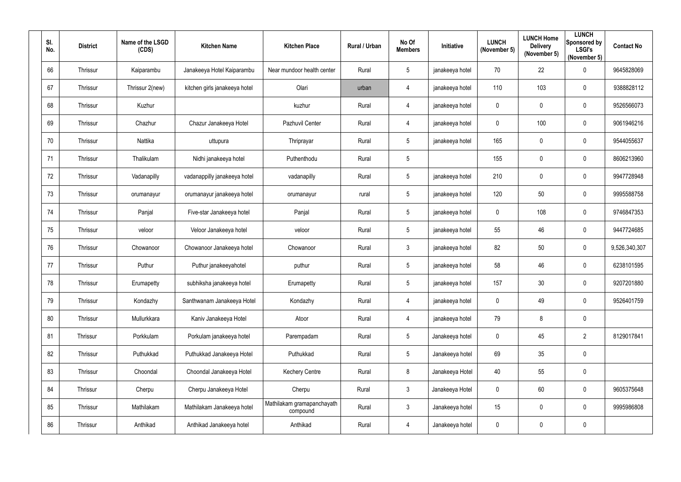| SI.<br>No. | <b>District</b> | Name of the LSGD<br>(CDS) | <b>Kitchen Name</b>           | <b>Kitchen Place</b>                   | Rural / Urban | No Of<br><b>Members</b> | Initiative      | <b>LUNCH</b><br>(November 5) | <b>LUNCH Home</b><br><b>Delivery</b><br>(November 5) | <b>LUNCH</b><br>Sponsored by<br><b>LSGI's</b><br>(November 5) | <b>Contact No</b> |
|------------|-----------------|---------------------------|-------------------------------|----------------------------------------|---------------|-------------------------|-----------------|------------------------------|------------------------------------------------------|---------------------------------------------------------------|-------------------|
| 66         | Thrissur        | Kaiparambu                | Janakeeya Hotel Kaiparambu    | Near mundoor health center             | Rural         | $5\phantom{.0}$         | janakeeya hotel | 70                           | 22                                                   | $\mathbf 0$                                                   | 9645828069        |
| 67         | Thrissur        | Thrissur 2(new)           | kitchen girls janakeeya hotel | Olari                                  | urban         | 4                       | janakeeya hotel | 110                          | 103                                                  | $\overline{0}$                                                | 9388828112        |
| 68         | Thrissur        | Kuzhur                    |                               | kuzhur                                 | Rural         | $\overline{4}$          | janakeeya hotel | $\mathbf 0$                  | 0                                                    | $\overline{0}$                                                | 9526566073        |
| 69         | Thrissur        | Chazhur                   | Chazur Janakeeya Hotel        | Pazhuvil Center                        | Rural         | 4                       | janakeeya hotel | $\mathbf 0$                  | 100                                                  | $\overline{0}$                                                | 9061946216        |
| 70         | Thrissur        | Nattika                   | uttupura                      | Thriprayar                             | Rural         | $5\phantom{.0}$         | janakeeya hotel | 165                          | 0                                                    | $\overline{0}$                                                | 9544055637        |
| 71         | Thrissur        | Thalikulam                | Nidhi janakeeya hotel         | Puthenthodu                            | Rural         | $5\overline{)}$         |                 | 155                          | 0                                                    | $\overline{0}$                                                | 8606213960        |
| 72         | Thrissur        | Vadanapilly               | vadanappilly janakeeya hotel  | vadanapilly                            | Rural         | $5\phantom{.0}$         | janakeeya hotel | 210                          | 0                                                    | $\mathbf 0$                                                   | 9947728948        |
| 73         | Thrissur        | orumanayur                | orumanayur janakeeya hotel    | orumanayur                             | rural         | $5\phantom{.0}$         | janakeeya hotel | 120                          | 50                                                   | $\overline{0}$                                                | 9995588758        |
| 74         | Thrissur        | Panjal                    | Five-star Janakeeya hotel     | Panjal                                 | Rural         | $5\phantom{.0}$         | janakeeya hotel | $\mathbf 0$                  | 108                                                  | $\overline{0}$                                                | 9746847353        |
| 75         | Thrissur        | veloor                    | Veloor Janakeeya hotel        | veloor                                 | Rural         | $5\phantom{.0}$         | janakeeya hotel | 55                           | 46                                                   | $\overline{0}$                                                | 9447724685        |
| 76         | Thrissur        | Chowanoor                 | Chowanoor Janakeeya hotel     | Chowanoor                              | Rural         | $\mathbf{3}$            | janakeeya hotel | 82                           | 50                                                   | $\overline{0}$                                                | 9,526,340,307     |
| 77         | Thrissur        | Puthur                    | Puthur janakeeyahotel         | puthur                                 | Rural         | $5\phantom{.0}$         | janakeeya hotel | 58                           | 46                                                   | $\overline{0}$                                                | 6238101595        |
| 78         | Thrissur        | Erumapetty                | subhiksha janakeeya hotel     | Erumapetty                             | Rural         | 5                       | janakeeya hotel | 157                          | 30                                                   | $\mathbf 0$                                                   | 9207201880        |
| 79         | Thrissur        | Kondazhy                  | Santhwanam Janakeeya Hotel    | Kondazhy                               | Rural         | $\overline{4}$          | janakeeya hotel | $\mathbf 0$                  | 49                                                   | $\overline{0}$                                                | 9526401759        |
| 80         | Thrissur        | Mullurkkara               | Kaniv Janakeeya Hotel         | Atoor                                  | Rural         | $\overline{4}$          | janakeeya hotel | 79                           | 8                                                    | $\overline{0}$                                                |                   |
| 81         | Thrissur        | Porkkulam                 | Porkulam janakeeya hotel      | Parempadam                             | Rural         | $5\phantom{.0}$         | Janakeeya hotel | $\mathbf 0$                  | 45                                                   | $\overline{2}$                                                | 8129017841        |
| 82         | Thrissur        | Puthukkad                 | Puthukkad Janakeeya Hotel     | Puthukkad                              | Rural         | 5 <sub>5</sub>          | Janakeeya hotel | 69                           | 35                                                   | $\overline{0}$                                                |                   |
| 83         | Thrissur        | Choondal                  | Choondal Janakeeya Hotel      | <b>Kechery Centre</b>                  | Rural         | 8                       | Janakeeya Hotel | 40                           | 55                                                   | $\overline{0}$                                                |                   |
| 84         | Thrissur        | Cherpu                    | Cherpu Janakeeya Hotel        | Cherpu                                 | Rural         | $\mathbf{3}$            | Janakeeya Hotel | $\mathbf 0$                  | 60                                                   | $\overline{0}$                                                | 9605375648        |
| 85         | Thrissur        | Mathilakam                | Mathilakam Janakeeya hotel    | Mathilakam gramapanchayath<br>compound | Rural         | 3 <sup>1</sup>          | Janakeeya hotel | 15                           | 0                                                    | $\mathbf 0$                                                   | 9995986808        |
| 86         | Thrissur        | Anthikad                  | Anthikad Janakeeya hotel      | Anthikad                               | Rural         | $\overline{4}$          | Janakeeya hotel | $\boldsymbol{0}$             | 0                                                    | $\overline{0}$                                                |                   |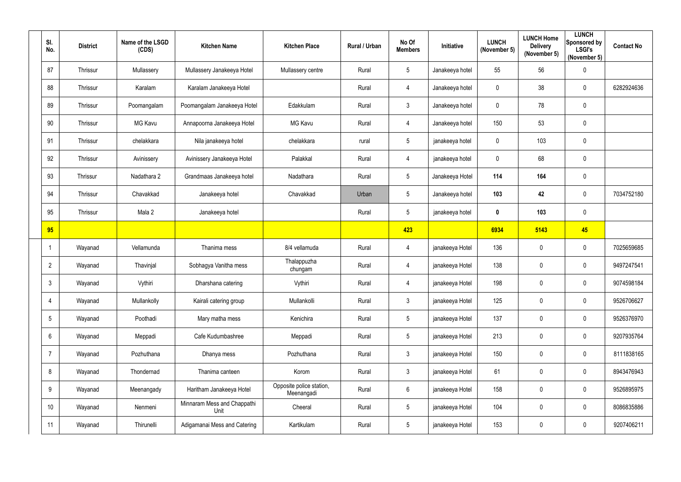| SI.<br>No.      | <b>District</b> | Name of the LSGD<br>(CDS) | <b>Kitchen Name</b>                 | <b>Kitchen Place</b>                   | Rural / Urban | No Of<br><b>Members</b> | Initiative      | <b>LUNCH</b><br>(November 5) | <b>LUNCH Home</b><br><b>Delivery</b><br>(November 5) | <b>LUNCH</b><br>Sponsored by<br><b>LSGI's</b><br>(November 5) | <b>Contact No</b> |
|-----------------|-----------------|---------------------------|-------------------------------------|----------------------------------------|---------------|-------------------------|-----------------|------------------------------|------------------------------------------------------|---------------------------------------------------------------|-------------------|
| 87              | Thrissur        | Mullassery                | Mullassery Janakeeya Hotel          | Mullassery centre                      | Rural         | $5\phantom{.0}$         | Janakeeya hotel | 55                           | 56                                                   | $\mathbf 0$                                                   |                   |
| 88              | Thrissur        | Karalam                   | Karalam Janakeeya Hotel             |                                        | Rural         | $\overline{4}$          | Janakeeya hotel | $\pmb{0}$                    | 38                                                   | $\mathbf 0$                                                   | 6282924636        |
| 89              | Thrissur        | Poomangalam               | Poomangalam Janakeeya Hotel         | Edakkulam                              | Rural         | 3                       | Janakeeya hotel | $\mathbf 0$                  | 78                                                   | $\mathbf 0$                                                   |                   |
| 90              | Thrissur        | MG Kavu                   | Annapoorna Janakeeya Hotel          | <b>MG Kavu</b>                         | Rural         | $\overline{4}$          | Janakeeya hotel | 150                          | 53                                                   | $\mathbf 0$                                                   |                   |
| 91              | Thrissur        | chelakkara                | Nila janakeeya hotel                | chelakkara                             | rural         | $5\overline{)}$         | janakeeya hotel | $\mathbf 0$                  | 103                                                  | $\mathbf 0$                                                   |                   |
| 92              | Thrissur        | Avinissery                | Avinissery Janakeeya Hotel          | Palakkal                               | Rural         | $\overline{4}$          | janakeeya hotel | $\overline{0}$               | 68                                                   | $\mathbf 0$                                                   |                   |
| 93              | Thrissur        | Nadathara 2               | Grandmaas Janakeeya hotel           | Nadathara                              | Rural         | $5\overline{)}$         | Janakeeya Hotel | 114                          | 164                                                  | $\mathbf 0$                                                   |                   |
| 94              | Thrissur        | Chavakkad                 | Janakeeya hotel                     | Chavakkad                              | Urban         | $5\overline{)}$         | Janakeeya hotel | 103                          | 42                                                   | $\mathbf 0$                                                   | 7034752180        |
| 95              | Thrissur        | Mala 2                    | Janakeeya hotel                     |                                        | Rural         | $5\phantom{.0}$         | janakeeya hotel | $\boldsymbol{0}$             | 103                                                  | $\boldsymbol{0}$                                              |                   |
| 95              |                 |                           |                                     |                                        |               | 423                     |                 | 6934                         | 5143                                                 | 45                                                            |                   |
|                 | Wayanad         | Vellamunda                | Thanima mess                        | 8/4 vellamuda                          | Rural         | 4                       | janakeeya Hotel | 136                          | $\mathbf 0$                                          | $\boldsymbol{0}$                                              | 7025659685        |
| $\overline{2}$  | Wayanad         | Thavinjal                 | Sobhagya Vanitha mess               | Thalappuzha<br>chungam                 | Rural         | $\overline{4}$          | janakeeya Hotel | 138                          | $\mathbf 0$                                          | $\overline{0}$                                                | 9497247541        |
| 3               | Wayanad         | Vythiri                   | Dharshana catering                  | Vythiri                                | Rural         | 4                       | janakeeya Hotel | 198                          | 0                                                    | $\mathbf 0$                                                   | 9074598184        |
| $\overline{4}$  | Wayanad         | Mullankolly               | Kairali catering group              | Mullankolli                            | Rural         | $3\phantom{.0}$         | janakeeya Hotel | 125                          | $\mathbf 0$                                          | $\pmb{0}$                                                     | 9526706627        |
| $5\phantom{.0}$ | Wayanad         | Poothadi                  | Mary matha mess                     | Kenichira                              | Rural         | $5\phantom{.0}$         | janakeeya Hotel | 137                          | $\pmb{0}$                                            | $\pmb{0}$                                                     | 9526376970        |
| $6\overline{6}$ | Wayanad         | Meppadi                   | Cafe Kudumbashree                   | Meppadi                                | Rural         | $5\phantom{.0}$         | janakeeya Hotel | 213                          | $\pmb{0}$                                            | $\pmb{0}$                                                     | 9207935764        |
| $\overline{7}$  | Wayanad         | Pozhuthana                | Dhanya mess                         | Pozhuthana                             | Rural         | $\mathbf{3}$            | janakeeya Hotel | 150                          | $\mathbf 0$                                          | $\pmb{0}$                                                     | 8111838165        |
| 8               | Wayanad         | Thondernad                | Thanima canteen                     | Korom                                  | Rural         | 3 <sup>1</sup>          | janakeeya Hotel | 61                           | $\pmb{0}$                                            | $\mathbf 0$                                                   | 8943476943        |
| 9               | Wayanad         | Meenangady                | Haritham Janakeeya Hotel            | Opposite police station,<br>Meenangadi | Rural         | $6\phantom{.}6$         | janakeeya Hotel | 158                          | $\mathbf 0$                                          | $\pmb{0}$                                                     | 9526895975        |
| 10              | Wayanad         | Nenmeni                   | Minnaram Mess and Chappathi<br>Unit | Cheeral                                | Rural         | $5\phantom{.0}$         | janakeeya Hotel | 104                          | $\pmb{0}$                                            | $\mathbf 0$                                                   | 8086835886        |
| 11              | Wayanad         | Thirunelli                | Adigamanai Mess and Catering        | Kartikulam                             | Rural         | $5\phantom{.0}$         | janakeeya Hotel | 153                          | $\mathbf 0$                                          | $\bm{0}$                                                      | 9207406211        |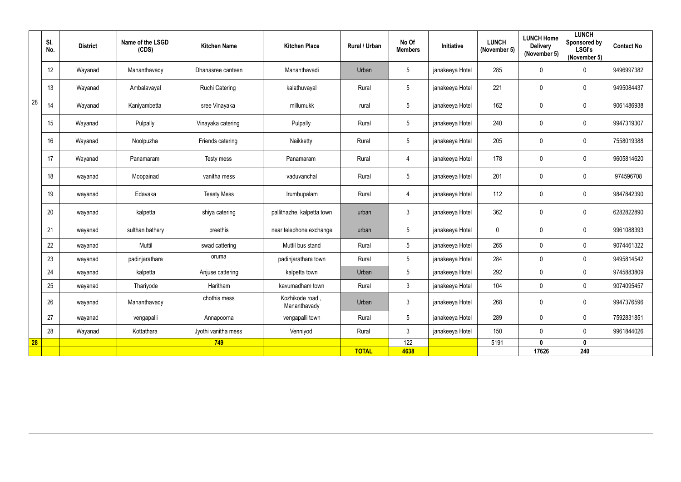|    | SI.<br>No. | <b>District</b> | Name of the LSGD<br>(CDS) | <b>Kitchen Name</b>   | <b>Kitchen Place</b>            | Rural / Urban | No Of<br><b>Members</b> | Initiative      | <b>LUNCH</b><br>(November 5) | <b>LUNCH Home</b><br><b>Delivery</b><br>(November 5) | <b>LUNCH</b><br><b>Sponsored by</b><br><b>LSGI's</b><br>(November 5) | <b>Contact No</b> |
|----|------------|-----------------|---------------------------|-----------------------|---------------------------------|---------------|-------------------------|-----------------|------------------------------|------------------------------------------------------|----------------------------------------------------------------------|-------------------|
|    | 12         | Wayanad         | Mananthavady              | Dhanasree canteen     | Mananthavadi                    | Urban         | $5\phantom{.0}$         | janakeeya Hotel | 285                          | $\pmb{0}$                                            | $\overline{0}$                                                       | 9496997382        |
|    | 13         | Wayanad         | Ambalavayal               | <b>Ruchi Catering</b> | kalathuvayal                    | Rural         | $5\phantom{.0}$         | janakeeya Hotel | 221                          | 0                                                    | $\mathbf 0$                                                          | 9495084437        |
| 28 | 14         | Wayanad         | Kaniyambetta              | sree Vinayaka         | millumukk                       | rural         | $5\phantom{.0}$         | janakeeya Hotel | 162                          | 0                                                    | $\overline{0}$                                                       | 9061486938        |
|    | 15         | Wayanad         | Pulpally                  | Vinayaka catering     | Pulpally                        | Rural         | $5\phantom{.0}$         | janakeeya Hotel | 240                          | $\pmb{0}$                                            | $\overline{0}$                                                       | 9947319307        |
|    | 16         | Wayanad         | Noolpuzha                 | Friends catering      | Naikketty                       | Rural         | $5\phantom{.0}$         | janakeeya Hotel | 205                          | $\pmb{0}$                                            | $\overline{0}$                                                       | 7558019388        |
|    | 17         | Wayanad         | Panamaram                 | Testy mess            | Panamaram                       | Rural         | 4                       | janakeeya Hotel | 178                          | 0                                                    | $\overline{0}$                                                       | 9605814620        |
|    | 18         | wayanad         | Moopainad                 | vanitha mess          | vaduvanchal                     | Rural         | $\sqrt{5}$              | janakeeya Hotel | 201                          | $\pmb{0}$                                            | $\mathbf 0$                                                          | 974596708         |
|    | 19         | wayanad         | Edavaka                   | <b>Teasty Mess</b>    | Irumbupalam                     | Rural         | 4                       | janakeeya Hotel | 112                          | $\pmb{0}$                                            | $\overline{0}$                                                       | 9847842390        |
|    | 20         | wayanad         | kalpetta                  | shiya catering        | pallithazhe, kalpetta town      | urban         | $\mathfrak{Z}$          | janakeeya Hotel | 362                          | $\pmb{0}$                                            | $\overline{0}$                                                       | 6282822890        |
|    | 21         | wayanad         | sulthan bathery           | preethis              | near telephone exchange         | urban         | $5\phantom{.0}$         | janakeeya Hotel | $\mathbf 0$                  | 0                                                    | $\mathbf 0$                                                          | 9961088393        |
|    | 22         | wayanad         | Muttil                    | swad cattering        | Muttil bus stand                | Rural         | $5\phantom{.0}$         | janakeeya Hotel | 265                          | $\pmb{0}$                                            | $\mathbf 0$                                                          | 9074461322        |
|    | 23         | wayanad         | padinjarathara            | oruma                 | padinjarathara town             | Rural         | $5\phantom{.0}$         | janakeeya Hotel | 284                          | 0                                                    | $\mathbf 0$                                                          | 9495814542        |
|    | 24         | wayanad         | kalpetta                  | Anjuse cattering      | kalpetta town                   | Urban         | $5\phantom{.0}$         | janakeeya Hotel | 292                          | $\mathbf 0$                                          | $\mathbf 0$                                                          | 9745883809        |
|    | 25         | wayanad         | Thariyode                 | Haritham              | kavumadham town                 | Rural         | $\mathfrak{Z}$          | janakeeya Hotel | 104                          | 0                                                    | $\mathbf 0$                                                          | 9074095457        |
|    | 26         | wayanad         | Mananthavady              | chothis mess          | Kozhikode road,<br>Mananthavady | Urban         | $\mathfrak{Z}$          | janakeeya Hotel | 268                          | $\pmb{0}$                                            | $\overline{0}$                                                       | 9947376596        |
|    | 27         | wayanad         | vengapalli                | Annapoorna            | vengapalli town                 | Rural         | $5\phantom{.0}$         | janakeeya Hotel | 289                          | $\pmb{0}$                                            | $\mathbf 0$                                                          | 7592831851        |
|    | 28         | Wayanad         | Kottathara                | Jyothi vanitha mess   | Venniyod                        | Rural         | $\mathfrak{Z}$          | janakeeya Hotel | 150                          | 0                                                    | $\mathbf 0$                                                          | 9961844026        |
| 28 |            |                 |                           | 749                   |                                 |               | 122                     |                 | 5191                         | $\boldsymbol{0}$                                     | $\boldsymbol{0}$                                                     |                   |
|    |            |                 |                           |                       |                                 | <b>TOTAL</b>  | 4638                    |                 |                              | 17626                                                | 240                                                                  |                   |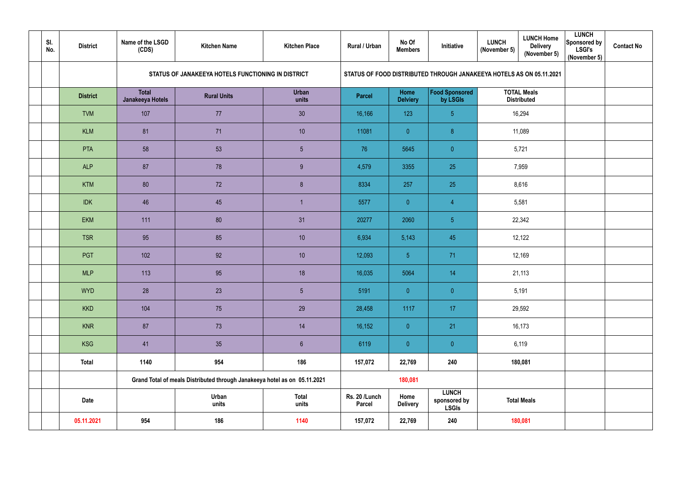| SI.<br>No. | <b>District</b> | Name of the LSGD<br>(CDS)        | <b>Kitchen Name</b>                                                       | <b>Kitchen Place</b>  | <b>Rural / Urban</b>           | No Of<br><b>Members</b> | Initiative                                   | <b>LUNCH Home</b><br><b>LUNCH</b><br><b>Delivery</b><br>(November 5) $ $<br>(November 5) | <b>LUNCH</b><br>Sponsored by<br><b>LSGI's</b><br>(November 5) | <b>Contact No</b> |
|------------|-----------------|----------------------------------|---------------------------------------------------------------------------|-----------------------|--------------------------------|-------------------------|----------------------------------------------|------------------------------------------------------------------------------------------|---------------------------------------------------------------|-------------------|
|            |                 |                                  | STATUS OF JANAKEEYA HOTELS FUNCTIONING IN DISTRICT                        |                       |                                |                         |                                              | STATUS OF FOOD DISTRIBUTED THROUGH JANAKEEYA HOTELS AS ON 05.11.2021                     |                                                               |                   |
|            | <b>District</b> | <b>Total</b><br>Janakeeya Hotels | <b>Rural Units</b>                                                        | <b>Urban</b><br>units | <b>Parcel</b>                  | Home<br><b>Delviery</b> | Food Sponsored<br>by LSGIs                   | <b>TOTAL Meals</b><br><b>Distributed</b>                                                 |                                                               |                   |
|            | <b>TVM</b>      | 107                              | 77                                                                        | 30                    | 16,166                         | 123                     | 5 <sup>5</sup>                               | 16,294                                                                                   |                                                               |                   |
|            | <b>KLM</b>      | 81                               | 71                                                                        | 10                    | 11081                          | $\overline{0}$          | 8                                            | 11,089                                                                                   |                                                               |                   |
|            | <b>PTA</b>      | 58                               | 53                                                                        | $5\overline{)}$       | 76                             | 5645                    | $\overline{0}$                               | 5,721                                                                                    |                                                               |                   |
|            | <b>ALP</b>      | 87                               | 78                                                                        | 9                     | 4,579                          | 3355                    | 25                                           | 7,959                                                                                    |                                                               |                   |
|            | <b>KTM</b>      | 80                               | 72                                                                        | 8 <sup>°</sup>        | 8334                           | 257                     | 25                                           | 8,616                                                                                    |                                                               |                   |
|            | <b>IDK</b>      | 46                               | 45                                                                        |                       | 5577                           | $\overline{0}$          | $\overline{4}$                               | 5,581                                                                                    |                                                               |                   |
|            | <b>EKM</b>      | 111                              | 80                                                                        | 31                    | 20277                          | 2060                    | 5 <sup>5</sup>                               | 22,342                                                                                   |                                                               |                   |
|            | <b>TSR</b>      | 95                               | 85                                                                        | 10                    | 6,934                          | 5,143                   | 45                                           | 12,122                                                                                   |                                                               |                   |
|            | PGT             | 102                              | 92                                                                        | 10                    | 12,093                         | 5 <sup>1</sup>          | 71                                           | 12,169                                                                                   |                                                               |                   |
|            | <b>MLP</b>      | 113                              | 95                                                                        | 18                    | 16,035                         | 5064                    | 14                                           | 21,113                                                                                   |                                                               |                   |
|            | <b>WYD</b>      | 28                               | 23                                                                        | $5\phantom{.0}$       | 5191                           | $\overline{0}$          | $\overline{0}$                               | 5,191                                                                                    |                                                               |                   |
|            | <b>KKD</b>      | 104                              | 75                                                                        | 29                    | 28,458                         | 1117                    | 17                                           | 29,592                                                                                   |                                                               |                   |
|            | <b>KNR</b>      | 87                               | 73                                                                        | 14                    | 16,152                         | $\pmb{0}$               | 21                                           | 16,173                                                                                   |                                                               |                   |
|            | <b>KSG</b>      | 41                               | 35                                                                        | $6\phantom{.}6$       | 6119                           | $\mathbf{0}$            | $\overline{0}$                               | 6,119                                                                                    |                                                               |                   |
|            | <b>Total</b>    | 1140                             | 954                                                                       | 186                   | 157,072                        | 22,769                  | 240                                          | 180,081                                                                                  |                                                               |                   |
|            |                 |                                  | Grand Total of meals Distributed through Janakeeya hotel as on 05.11.2021 |                       |                                | 180,081                 |                                              |                                                                                          |                                                               |                   |
|            | <b>Date</b>     |                                  | Urban<br>units                                                            | <b>Total</b><br>units | Rs. 20 /Lunch<br><b>Parcel</b> | Home<br><b>Delivery</b> | <b>LUNCH</b><br>sponsored by<br><b>LSGIs</b> | <b>Total Meals</b>                                                                       |                                                               |                   |
|            | 05.11.2021      | 954                              | 186                                                                       | 1140                  | 157,072                        | 22,769                  | 240                                          | 180,081                                                                                  |                                                               |                   |